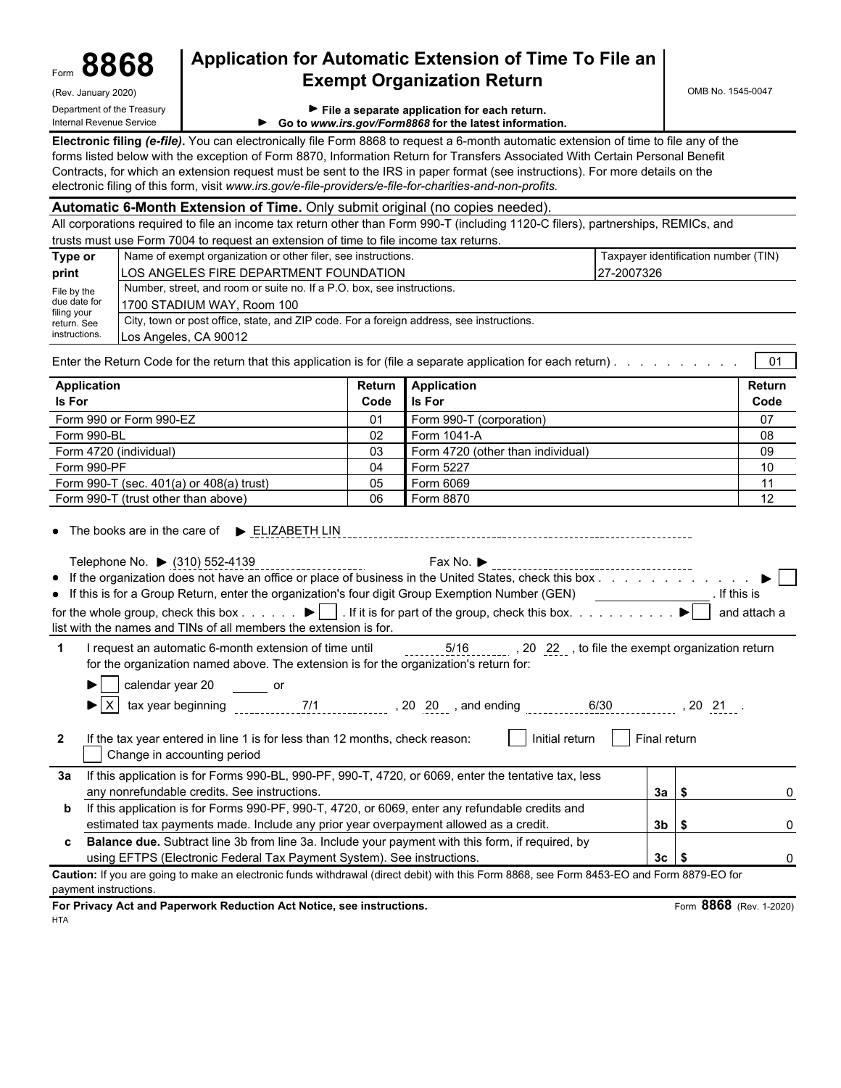| orm | 00 O<br>~<br>$\boldsymbol{O}$<br>X O | ∼<br>Ū. |
|-----|--------------------------------------|---------|
|     |                                      |         |

(Rev. January 2020) **Department of the Treasury** 

### Form **8868 Application for Automatic Extension of Time To File an Exempt Organization Return**

OMB No. 1545-0047

|  |  |  |  | File a separate application for each return. |  |  |  |
|--|--|--|--|----------------------------------------------|--|--|--|
|--|--|--|--|----------------------------------------------|--|--|--|

| Internal Revenue Service |                                                          |
|--------------------------|----------------------------------------------------------|
|                          | ► Go to www.irs.gov/Form8868 for the latest information. |

**Electronic filing** *(e-file)***.** You can electronically file Form 8868 to request a 6-month automatic extension of time to file any of the forms listed below with the exception of Form 8870, Information Return for Transfers Associated With Certain Personal Benefit Contracts, for which an extension request must be sent to the IRS in paper format (see instructions). For more details on the electronic filing of this form, visit *www.irs.gov/e-file-providers/e-file-for-charities-and-non-profits.*

|                                        | Automatic 6-Month Extension of Time. Only submit original (no copies needed).                                                                                                                                                                                                                                                                                                                                              |        |                                   |                                      |                 |                              |
|----------------------------------------|----------------------------------------------------------------------------------------------------------------------------------------------------------------------------------------------------------------------------------------------------------------------------------------------------------------------------------------------------------------------------------------------------------------------------|--------|-----------------------------------|--------------------------------------|-----------------|------------------------------|
|                                        | All corporations required to file an income tax return other than Form 990-T (including 1120-C filers), partnerships, REMICs, and                                                                                                                                                                                                                                                                                          |        |                                   |                                      |                 |                              |
|                                        | trusts must use Form 7004 to request an extension of time to file income tax returns.                                                                                                                                                                                                                                                                                                                                      |        |                                   |                                      |                 |                              |
| Type or                                | Name of exempt organization or other filer, see instructions.                                                                                                                                                                                                                                                                                                                                                              |        |                                   | Taxpayer identification number (TIN) |                 |                              |
| print                                  | LOS ANGELES FIRE DEPARTMENT FOUNDATION                                                                                                                                                                                                                                                                                                                                                                                     |        |                                   | 27-2007326                           |                 |                              |
| File by the                            | Number, street, and room or suite no. If a P.O. box, see instructions.                                                                                                                                                                                                                                                                                                                                                     |        |                                   |                                      |                 |                              |
| due date for                           | 1700 STADIUM WAY, Room 100                                                                                                                                                                                                                                                                                                                                                                                                 |        |                                   |                                      |                 |                              |
| filing your<br>return. See             | City, town or post office, state, and ZIP code. For a foreign address, see instructions.                                                                                                                                                                                                                                                                                                                                   |        |                                   |                                      |                 |                              |
| instructions.                          | Los Angeles, CA 90012                                                                                                                                                                                                                                                                                                                                                                                                      |        |                                   |                                      |                 |                              |
|                                        |                                                                                                                                                                                                                                                                                                                                                                                                                            |        |                                   |                                      |                 |                              |
|                                        | Enter the Return Code for the return that this application is for (file a separate application for each return).                                                                                                                                                                                                                                                                                                           |        |                                   |                                      |                 | 01                           |
| <b>Application</b>                     |                                                                                                                                                                                                                                                                                                                                                                                                                            | Return | <b>Application</b>                |                                      |                 | Return                       |
| Is For                                 |                                                                                                                                                                                                                                                                                                                                                                                                                            | Code   | ls For                            |                                      |                 | Code                         |
|                                        | Form 990 or Form 990-EZ                                                                                                                                                                                                                                                                                                                                                                                                    | 01     | Form 990-T (corporation)          |                                      |                 | 07                           |
| Form 990-BL                            |                                                                                                                                                                                                                                                                                                                                                                                                                            | 02     | Form 1041-A                       |                                      |                 | 08                           |
|                                        | Form 4720 (individual)                                                                                                                                                                                                                                                                                                                                                                                                     | 03     | Form 4720 (other than individual) |                                      |                 | 09                           |
| Form 990-PF                            |                                                                                                                                                                                                                                                                                                                                                                                                                            | 04     | Form 5227                         |                                      |                 | 10                           |
|                                        | Form 990-T (sec. 401(a) or 408(a) trust)                                                                                                                                                                                                                                                                                                                                                                                   | 05     | Form 6069                         |                                      |                 | 11                           |
|                                        | Form 990-T (trust other than above)                                                                                                                                                                                                                                                                                                                                                                                        | 06     | Form 8870                         |                                      |                 | 12                           |
|                                        | Telephone No. ▶ (310) 552-4139<br>• If the organization does not have an office or place of business in the United States, check this box<br>• If this is for a Group Return, enter the organization's four digit Group Exemption Number (GEN) [169]<br>for the whole group, check this box ▶ D . If it is for part of the group, check this box. ▶ D<br>list with the names and TINs of all members the extension is for. |        | Fax No. ▶                         |                                      |                 | . If this is<br>and attach a |
| $\mathbf 1$                            | I request an automatic 6-month extension of time until<br>for the organization named above. The extension is for the organization's return for:                                                                                                                                                                                                                                                                            |        |                                   |                                      |                 |                              |
| DI I<br>$\blacktriangleright$ $\mid$ X | calendar year 20 or                                                                                                                                                                                                                                                                                                                                                                                                        |        |                                   |                                      |                 |                              |
| $\mathbf{2}$                           | If the tax year entered in line 1 is for less than 12 months, check reason:<br>Change in accounting period                                                                                                                                                                                                                                                                                                                 |        | Initial return     Final return   |                                      |                 |                              |
|                                        | 3a If this application is for Forms 990-BL, 990-PF, 990-T, 4720, or 6069, enter the tentative tax, less                                                                                                                                                                                                                                                                                                                    |        |                                   |                                      |                 |                              |
|                                        | any nonrefundable credits. See instructions.                                                                                                                                                                                                                                                                                                                                                                               |        |                                   |                                      | 3a I S          |                              |
| b                                      | If this application is for Forms 990-PF, 990-T, 4720, or 6069, enter any refundable credits and                                                                                                                                                                                                                                                                                                                            |        |                                   |                                      |                 |                              |
|                                        | estimated tax payments made. Include any prior year overpayment allowed as a credit.                                                                                                                                                                                                                                                                                                                                       |        |                                   |                                      | $3b$ $\sqrt{5}$ | ∩                            |
|                                        | Balance due. Subtract line 3b from line 3a. Include your payment with this form, if required, by                                                                                                                                                                                                                                                                                                                           |        |                                   |                                      |                 |                              |
|                                        | using EFTPS (Electronic Federal Tax Payment System). See instructions.                                                                                                                                                                                                                                                                                                                                                     |        |                                   |                                      | $3c$ $\sqrt{5}$ | $\Omega$                     |

**Caution:** If you are going to make an electronic funds withdrawal (direct debit) with this Form 8868, see Form 8453-EO and Form 8879-EO for payment instructions.

**For Privacy Act and Paperwork Reduction Act Notice, see instructions.** Form **8868** (Rev. 1-2020) HTA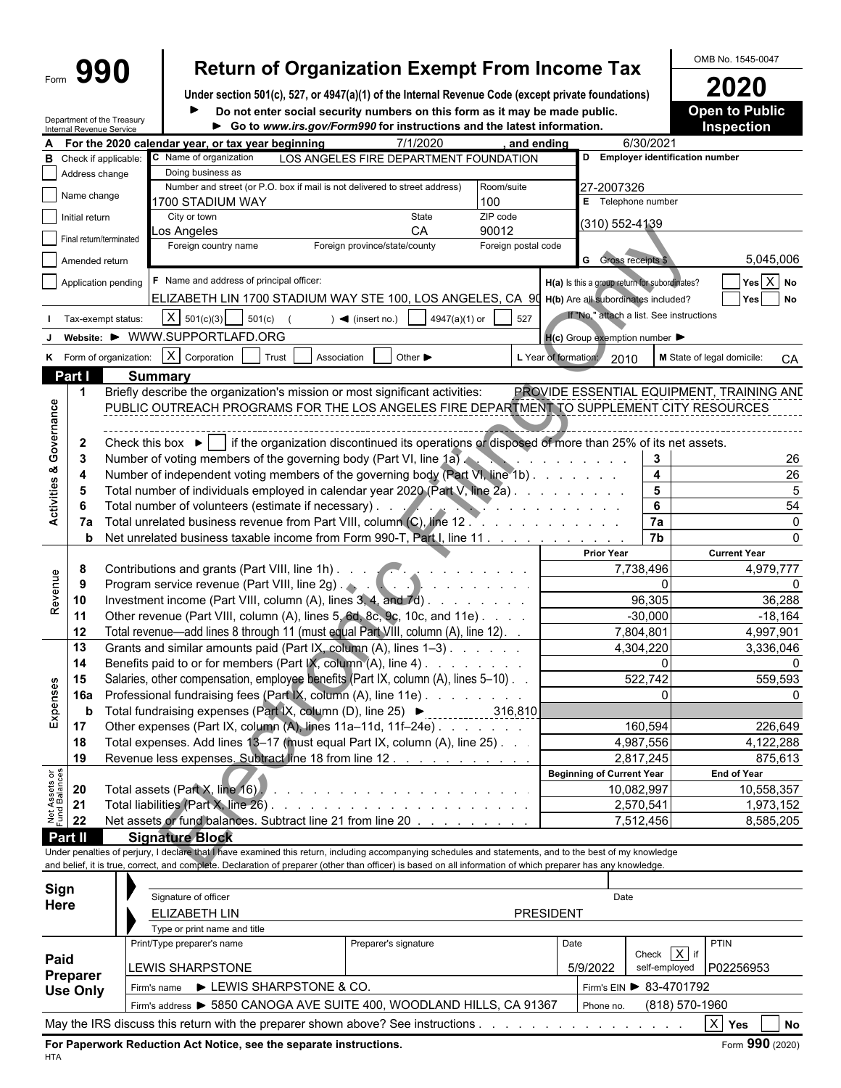# Form **990 Return of Organization Exempt From Income Tax** OMB No. 1545-0047

**Under section 501(c), 527, or 4947(a)(1) of the Internal Revenue Code (except private foundations) 2020** Do not enter social security numbers on this form as it may be made public. **Open to Public** 

|                                |                | Department of the Treasury | Do not enter social security numbers on this form as it may be made public.                                                                                  |                                        |                     |                                                     |                                          | <b>Open to Public</b>                     |
|--------------------------------|----------------|----------------------------|--------------------------------------------------------------------------------------------------------------------------------------------------------------|----------------------------------------|---------------------|-----------------------------------------------------|------------------------------------------|-------------------------------------------|
|                                |                | Internal Revenue Service   | Go to www.irs.gov/Form990 for instructions and the latest information.                                                                                       |                                        |                     |                                                     |                                          | <b>Inspection</b>                         |
|                                |                |                            | For the 2020 calendar year, or tax year beginning                                                                                                            | 7/1/2020                               | and ending          |                                                     | 6/30/2021                                |                                           |
| в                              |                | Check if applicable:       | C Name of organization                                                                                                                                       | LOS ANGELES FIRE DEPARTMENT FOUNDATION |                     | D Employer identification number                    |                                          |                                           |
|                                | Address change |                            | Doing business as                                                                                                                                            |                                        |                     |                                                     |                                          |                                           |
|                                | Name change    |                            | Number and street (or P.O. box if mail is not delivered to street address)                                                                                   |                                        | Room/suite          | 27-2007326                                          |                                          |                                           |
|                                |                |                            | 1700 STADIUM WAY                                                                                                                                             |                                        | 100                 | E Telephone number                                  |                                          |                                           |
|                                | Initial return |                            | City or town                                                                                                                                                 | State                                  | ZIP code            | (310) 552-4139                                      |                                          |                                           |
|                                |                | Final return/terminated    | _os Angeles                                                                                                                                                  | CA                                     | 90012               |                                                     |                                          |                                           |
|                                | Amended return |                            | Foreign country name                                                                                                                                         | Foreign province/state/county          | Foreign postal code | <b>G</b> Gross receipts \$                          |                                          | 5,045,006                                 |
|                                |                |                            |                                                                                                                                                              |                                        |                     |                                                     |                                          |                                           |
|                                |                | Application pending        | F Name and address of principal officer:                                                                                                                     |                                        |                     | H(a) Is this a group return for subordinates?       |                                          | $Yes \overline{X} No$                     |
|                                |                |                            | ELIZABETH LIN 1700 STADIUM WAY STE 100, LOS ANGELES, CA 90                                                                                                   |                                        |                     | H(b) Are all subordinates included?                 |                                          | Yes No                                    |
|                                |                | I Tax-exempt status:       | $X \mid 501(c)(3)$<br>501(c)                                                                                                                                 | 4947(a)(1) or<br>$\sum$ (insert no.)   | 527                 | If "No," attach a list. See instructions            |                                          |                                           |
|                                |                |                            | Website: ▶ WWW.SUPPORTLAFD.ORG                                                                                                                               |                                        |                     |                                                     |                                          |                                           |
|                                |                |                            |                                                                                                                                                              |                                        |                     | $H(c)$ Group exemption number $\blacktriangleright$ |                                          |                                           |
|                                |                | K Form of organization:    | X Corporation<br>Trust<br>Association                                                                                                                        | Other ▶                                |                     | L Year of formation:<br>2010                        |                                          | M State of legal domicile:<br>CA          |
|                                | Part I         |                            | <b>Summary</b>                                                                                                                                               |                                        |                     |                                                     |                                          |                                           |
|                                | $\mathbf 1$    |                            | Briefly describe the organization's mission or most significant activities:                                                                                  |                                        |                     |                                                     |                                          | PROVIDE ESSENTIAL EQUIPMENT, TRAINING AND |
| Activities & Governance        |                |                            | PUBLIC OUTREACH PROGRAMS FOR THE LOS ANGELES FIRE DEPARTMENT TO SUPPLEMENT CITY RESOURCES                                                                    |                                        |                     |                                                     |                                          |                                           |
|                                |                |                            |                                                                                                                                                              |                                        |                     |                                                     |                                          |                                           |
|                                | $\mathbf{2}$   |                            | Check this box $\blacktriangleright$   if the organization discontinued its operations or disposed of more than 25% of its net assets.                       |                                        |                     |                                                     |                                          |                                           |
|                                | -3             |                            | Number of voting members of the governing body (Part VI, line 1a).                                                                                           |                                        |                     | and the contract of the contract of the             | 3                                        | 26                                        |
|                                | 4              |                            | Number of independent voting members of the governing body (Part VI, line 1b)                                                                                |                                        |                     |                                                     | $\overline{\mathbf{4}}$                  | 26                                        |
|                                | 5              |                            | Total number of individuals employed in calendar year 2020 (Part V, line 2a).                                                                                |                                        |                     |                                                     | $5\phantom{a}$                           | $\overline{5}$                            |
|                                |                |                            |                                                                                                                                                              |                                        |                     |                                                     | 6                                        | 54                                        |
|                                | 6              |                            | Total number of volunteers (estimate if necessary). .                                                                                                        |                                        |                     |                                                     |                                          |                                           |
|                                | 7а             |                            | Total unrelated business revenue from Part VIII, column (C), line 12.                                                                                        |                                        |                     | and the state of the state of the state of          | 7a                                       | $\Omega$                                  |
|                                |                |                            | Net unrelated business taxable income from Form 990-T, Part I, line 11                                                                                       |                                        |                     |                                                     | 7 <sub>b</sub>                           | $\Omega$                                  |
|                                | b              |                            |                                                                                                                                                              |                                        |                     |                                                     |                                          |                                           |
|                                |                |                            |                                                                                                                                                              |                                        |                     | <b>Prior Year</b>                                   |                                          | <b>Current Year</b>                       |
|                                | 8              |                            |                                                                                                                                                              |                                        |                     | 7,738,496                                           |                                          | 4,979,777                                 |
|                                | 9              |                            | Program service revenue (Part VIII, line 2g)                                                                                                                 |                                        |                     |                                                     | $\Omega$                                 |                                           |
|                                | 10             |                            | Investment income (Part VIII, column (A), lines 3, 4, and 7d)                                                                                                |                                        |                     |                                                     | 96,305                                   | 36,288                                    |
| Revenue                        | 11             |                            | Other revenue (Part VIII, column (A), lines 5, 6d, 8c, 9c, 10c, and 11e)                                                                                     |                                        |                     |                                                     | $-30,000$                                | $-18,164$                                 |
|                                | 12             |                            | Total revenue—add lines 8 through 11 (must equal Part VIII, column (A), line 12). .                                                                          |                                        |                     | 7,804,801                                           |                                          | 4,997,901                                 |
|                                | 13             |                            | Grants and similar amounts paid (Part IX, column (A), lines 1-3).                                                                                            |                                        |                     | 4,304,220                                           |                                          | 3,336,046                                 |
|                                | 14             |                            | Benefits paid to or for members (Part IX, column (A), line 4)                                                                                                |                                        |                     |                                                     | 0                                        |                                           |
|                                | 15             |                            |                                                                                                                                                              |                                        |                     |                                                     | 522,742                                  | 559,593                                   |
|                                |                |                            | Salaries, other compensation, employee benefits (Part IX, column (A), lines 5-10).                                                                           |                                        |                     |                                                     |                                          |                                           |
|                                | 16a            |                            | Professional fundraising fees (Part IX, column (A), line 11e)                                                                                                |                                        |                     |                                                     |                                          |                                           |
| Expenses                       | b              |                            | Total fundraising expenses (Part IX, column (D), line 25) ▶ ____________                                                                                     |                                        | 316.810             |                                                     |                                          |                                           |
|                                | 17             |                            | Other expenses (Part IX, column (A), lines 11a-11d, 11f-24e)                                                                                                 |                                        |                     |                                                     | 160,594                                  | 226,649                                   |
|                                | 18             |                            | Total expenses. Add lines 13-17 (must equal Part IX, column (A), line 25). .                                                                                 |                                        |                     | 4,987,556                                           |                                          | 4,122,288                                 |
|                                | 19             |                            | Revenue less expenses. Subtract line 18 from line 12.                                                                                                        |                                        |                     | 2,817,245                                           |                                          | 875,613                                   |
|                                |                |                            |                                                                                                                                                              |                                        |                     | Beginning of Current Year                           |                                          | <b>End of Year</b>                        |
|                                | 20             |                            |                                                                                                                                                              |                                        |                     | 10,082,997                                          |                                          | 10,558,357                                |
|                                | 21             |                            |                                                                                                                                                              |                                        |                     | 2,570,541                                           |                                          | 1,973,152                                 |
| Net Assets or<br>Fund Balances | 22             |                            | Net assets or fund balances. Subtract line 21 from line 20                                                                                                   |                                        |                     | 7,512,456                                           |                                          | 8,585,205                                 |
|                                | Part II        |                            | <b>Signature Block</b>                                                                                                                                       |                                        |                     |                                                     |                                          |                                           |
|                                |                |                            | Under penalties of perjury, I declare that I have examined this return, including accompanying schedules and statements, and to the best of my knowledge     |                                        |                     |                                                     |                                          |                                           |
|                                |                |                            | and belief, it is true, correct, and complete. Declaration of preparer (other than officer) is based on all information of which preparer has any knowledge. |                                        |                     |                                                     |                                          |                                           |
|                                |                |                            |                                                                                                                                                              |                                        |                     |                                                     |                                          |                                           |
| Sign                           |                |                            | Signature of officer                                                                                                                                         |                                        |                     | Date                                                |                                          |                                           |
| Here                           |                |                            | ELIZABETH LIN                                                                                                                                                |                                        |                     | <b>PRESIDENT</b>                                    |                                          |                                           |
|                                |                |                            | Type or print name and title                                                                                                                                 |                                        |                     |                                                     |                                          |                                           |
|                                |                |                            | Print/Type preparer's name                                                                                                                                   | Preparer's signature                   |                     | Date                                                |                                          | <b>PTIN</b>                               |
| Paid                           |                |                            | <b>LEWIS SHARPSTONE</b>                                                                                                                                      |                                        |                     | 5/9/2022                                            | Check $\overline{X}$ if<br>self-employed | P02256953                                 |

Firm's name LEWIS SHARPSTONE & CO. Firm's EIN 83-4701792

**Use Only**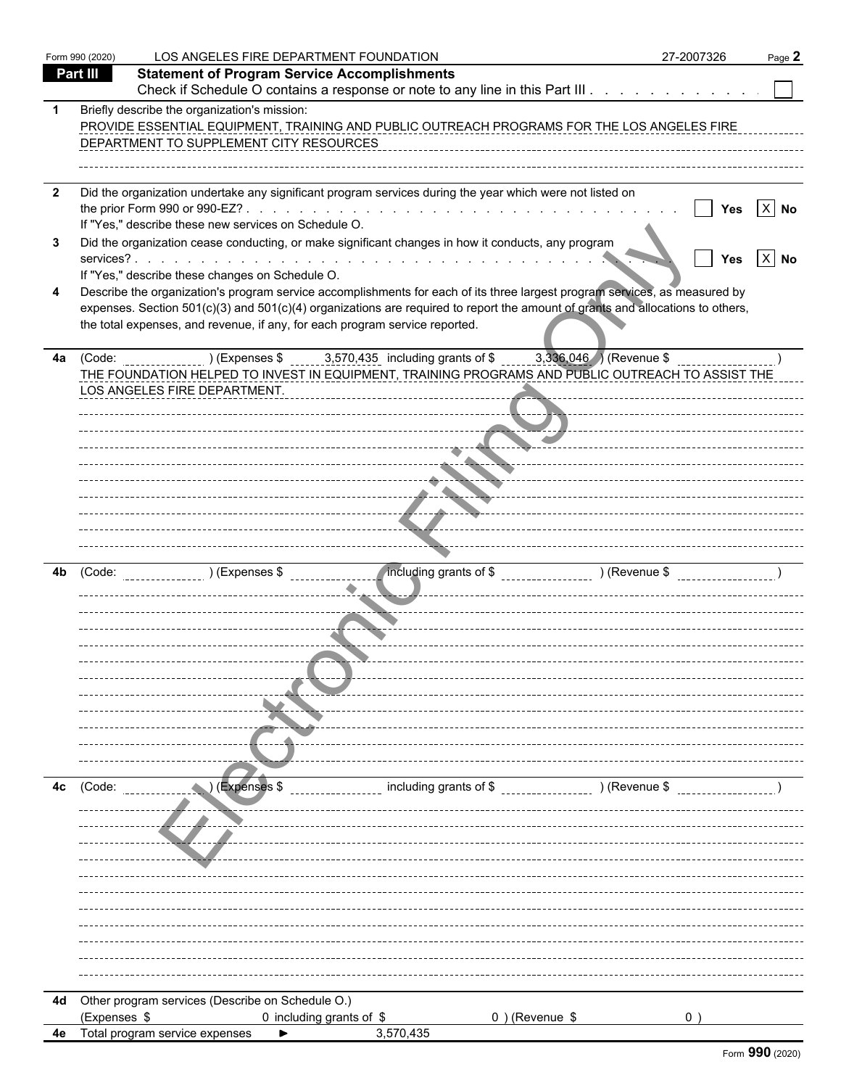|                         | Form 990 (2020) | LOS ANGELES FIRE DEPARTMENT FOUNDATION                                                                                         |                                                                                                                                                                                                                                                              | 27-2007326                                              | Page 2               |
|-------------------------|-----------------|--------------------------------------------------------------------------------------------------------------------------------|--------------------------------------------------------------------------------------------------------------------------------------------------------------------------------------------------------------------------------------------------------------|---------------------------------------------------------|----------------------|
|                         | Part III        | <b>Statement of Program Service Accomplishments</b>                                                                            |                                                                                                                                                                                                                                                              |                                                         |                      |
|                         |                 |                                                                                                                                | Check if Schedule O contains a response or note to any line in this Part III                                                                                                                                                                                 |                                                         |                      |
|                         |                 | Briefly describe the organization's mission:<br>DEPARTMENT TO SUPPLEMENT CITY RESOURCES                                        | PROVIDE ESSENTIAL EQUIPMENT, TRAINING AND PUBLIC OUTREACH PROGRAMS FOR THE LOS ANGELES FIRE                                                                                                                                                                  |                                                         |                      |
| $\overline{\mathbf{2}}$ |                 | If "Yes," describe these new services on Schedule O.                                                                           | Did the organization undertake any significant program services during the year which were not listed on                                                                                                                                                     | Yes                                                     | $X$ No               |
| 3                       |                 |                                                                                                                                | Did the organization cease conducting, or make significant changes in how it conducts, any program                                                                                                                                                           | Yes                                                     | $\vert$ X $\vert$ No |
| 4                       |                 | If "Yes," describe these changes on Schedule O.<br>the total expenses, and revenue, if any, for each program service reported. | Describe the organization's program service accomplishments for each of its three largest program services, as measured by<br>expenses. Section 501(c)(3) and 501(c)(4) organizations are required to report the amount of grants and allocations to others, |                                                         |                      |
|                         |                 | 4a (Code: ) (Expenses \$3,570,435 including grants of \$<br>LOS ANGELES FIRE DEPARTMENT.                                       | THE FOUNDATION HELPED TO INVEST IN EQUIPMENT, TRAINING PROGRAMS AND PUBLIC OUTREACH TO ASSIST THE                                                                                                                                                            | $3,336,046$ (Revenue \$<br>_ _ <del>_</del> ___________ |                      |
|                         |                 |                                                                                                                                | <b>Service</b>                                                                                                                                                                                                                                               |                                                         |                      |
|                         |                 |                                                                                                                                | --- <del>--</del> ---                                                                                                                                                                                                                                        |                                                         |                      |
| 4b                      | (Code:          | (Expenses \$                                                                                                                   | mcluding grants of \$ _________________ ) (Revenue \$ ___________                                                                                                                                                                                            |                                                         |                      |
|                         |                 |                                                                                                                                |                                                                                                                                                                                                                                                              |                                                         |                      |
|                         |                 |                                                                                                                                |                                                                                                                                                                                                                                                              |                                                         |                      |
|                         |                 |                                                                                                                                |                                                                                                                                                                                                                                                              |                                                         |                      |
| 4с                      | (Code:          | (Expenses \$                                                                                                                   | including grants of \$                                                                                                                                                                                                                                       | ) (Revenue \$                                           |                      |
|                         |                 |                                                                                                                                |                                                                                                                                                                                                                                                              |                                                         |                      |
|                         |                 |                                                                                                                                |                                                                                                                                                                                                                                                              |                                                         |                      |
|                         |                 |                                                                                                                                |                                                                                                                                                                                                                                                              |                                                         |                      |
|                         |                 |                                                                                                                                |                                                                                                                                                                                                                                                              |                                                         |                      |
|                         |                 | 4d Other program services (Describe on Schedule O.)                                                                            |                                                                                                                                                                                                                                                              |                                                         |                      |
|                         | (Expenses \$    | 0 including grants of \$                                                                                                       | $0$ ) (Revenue \$                                                                                                                                                                                                                                            | 0                                                       |                      |
| 4e                      |                 | Total program service expenses                                                                                                 | 3,570,435                                                                                                                                                                                                                                                    |                                                         |                      |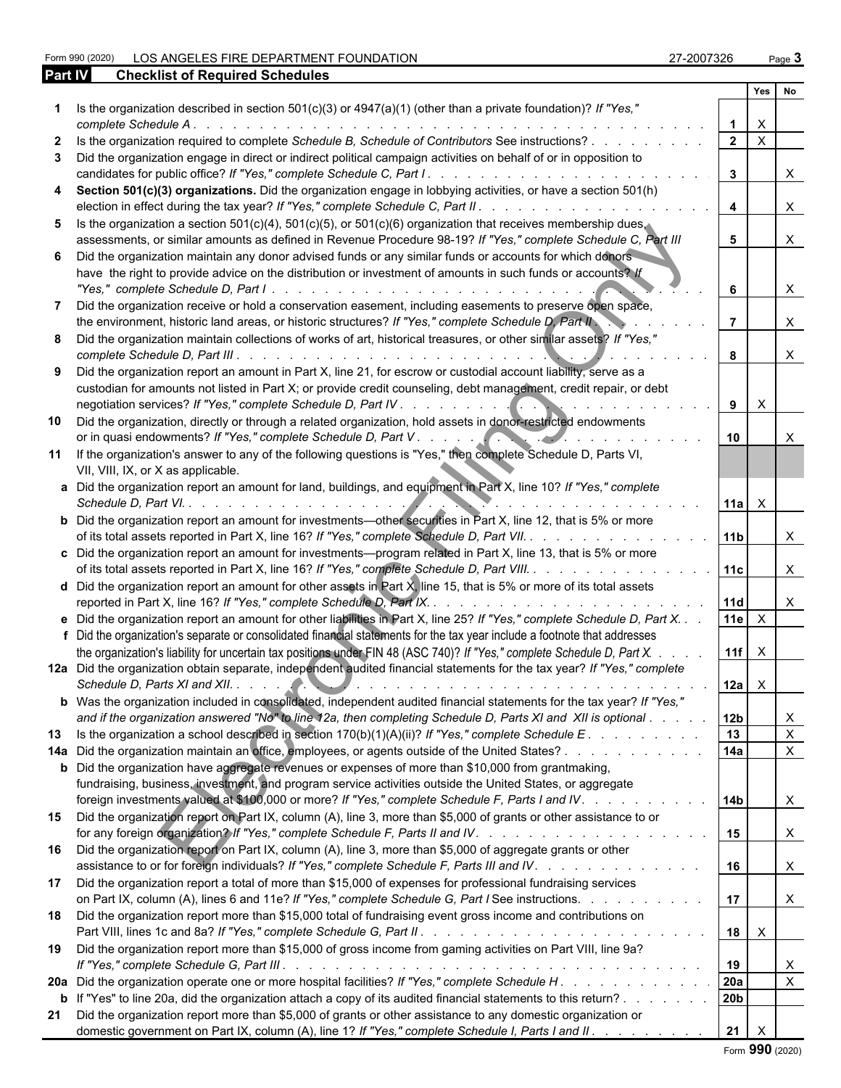Form 990 (2020) LOS ANGELES FIRE DEPARTMENT FOUNDATION 27-2007326 Page **3**

| Page . |  |
|--------|--|
|        |  |

| <b>Part IV</b> | <b>Checklist of Required Schedules</b>                                                                                                                                                                                                                                                                                                                                     |                 |                |                              |  |
|----------------|----------------------------------------------------------------------------------------------------------------------------------------------------------------------------------------------------------------------------------------------------------------------------------------------------------------------------------------------------------------------------|-----------------|----------------|------------------------------|--|
|                |                                                                                                                                                                                                                                                                                                                                                                            |                 | Yes            | No                           |  |
|                | Is the organization described in section $501(c)(3)$ or $4947(a)(1)$ (other than a private foundation)? If "Yes,"<br>complete Schedule A.<br>a construction of the construction of the construction of the construction of the construction of the construction of the construction of the construction of the construction of the construction of the construction of the |                 | X              |                              |  |
| $\mathbf{z}$   | Is the organization required to complete Schedule B, Schedule of Contributors See instructions?                                                                                                                                                                                                                                                                            | $\overline{2}$  | X              |                              |  |
| 3              | Did the organization engage in direct or indirect political campaign activities on behalf of or in opposition to<br>candidates for public office? If "Yes," complete Schedule C, Part I.<br>and a series of the contract of the contract of the                                                                                                                            | 3               |                | X                            |  |
| 4              | Section 501(c)(3) organizations. Did the organization engage in lobbying activities, or have a section 501(h)<br>election in effect during the tax year? If "Yes," complete Schedule C, Part II.                                                                                                                                                                           | $\overline{4}$  |                | X                            |  |
| 5.             | Is the organization a section $501(c)(4)$ , $501(c)(5)$ , or $501(c)(6)$ organization that receives membership dues.                                                                                                                                                                                                                                                       |                 |                |                              |  |
|                | assessments, or similar amounts as defined in Revenue Procedure 98-19? If "Yes," complete Schedule C, Part III                                                                                                                                                                                                                                                             | 5               |                | X                            |  |
| 6.             | Did the organization maintain any donor advised funds or any similar funds or accounts for which donors<br>have the right to provide advice on the distribution or investment of amounts in such funds or accounts? If                                                                                                                                                     | 6               |                | X                            |  |
|                | Did the organization receive or hold a conservation easement, including easements to preserve open space,                                                                                                                                                                                                                                                                  |                 |                |                              |  |
|                | the environment, historic land areas, or historic structures? If "Yes," complete Schedule D, Part II                                                                                                                                                                                                                                                                       |                 |                |                              |  |
| 8              | Did the organization maintain collections of works of art, historical treasures, or other similar assets? If "Yes,"                                                                                                                                                                                                                                                        | 8               |                | X                            |  |
| 9              | Did the organization report an amount in Part X, line 21, for escrow or custodial account liability, serve as a<br>custodian for amounts not listed in Part X; or provide credit counseling, debt management, credit repair, or debt                                                                                                                                       |                 |                |                              |  |
|                | 10 Did the organization, directly or through a related organization, hold assets in donor-restricted endowments                                                                                                                                                                                                                                                            | 9               | X              |                              |  |
|                |                                                                                                                                                                                                                                                                                                                                                                            | 10              |                |                              |  |
|                | 11 If the organization's answer to any of the following questions is "Yes," then complete Schedule D, Parts VI,<br>VII, VIII, IX, or X as applicable.                                                                                                                                                                                                                      |                 |                |                              |  |
|                | a Did the organization report an amount for land, buildings, and equipment in Part X, line 10? If "Yes," complete                                                                                                                                                                                                                                                          |                 |                |                              |  |
|                | Schedule D, Part VI.                                                                                                                                                                                                                                                                                                                                                       | 11a   $\times$  |                |                              |  |
|                | <b>b</b> Did the organization report an amount for investments—other securities in Part X, line 12, that is 5% or more<br>of its total assets reported in Part X, line 16? If "Yes," complete Schedule D, Part VII.                                                                                                                                                        | 11 <sub>b</sub> |                |                              |  |
|                | c Did the organization report an amount for investments—program related in Part X, line 13, that is 5% or more                                                                                                                                                                                                                                                             |                 |                |                              |  |
|                | of its total assets reported in Part X, line 16? If "Yes," complete Schedule D, Part VIII.                                                                                                                                                                                                                                                                                 | 11c             |                | X                            |  |
|                | <b>d</b> Did the organization report an amount for other assets in Part $\chi$ , line 15, that is 5% or more of its total assets<br>reported in Part X, line 16? If "Yes," complete Schedule D, Part IX<br>and a company of the company of the company                                                                                                                     | 11d             |                | X                            |  |
|                | e Did the organization report an amount for other liabilities in Part X, line 25? If "Yes," complete Schedule D, Part X.                                                                                                                                                                                                                                                   | 11e             | $\times$       |                              |  |
|                | f Did the organization's separate or consolidated financial statements for the tax year include a footnote that addresses                                                                                                                                                                                                                                                  |                 |                |                              |  |
|                | the organization's liability for uncertain tax positions under FIN 48 (ASC 740)? If "Yes," complete Schedule D, Part X.                                                                                                                                                                                                                                                    | 11f $\times$    |                |                              |  |
|                | 12a Did the organization obtain separate, independent audited financial statements for the tax year? If "Yes," complete                                                                                                                                                                                                                                                    |                 | $12a$ $\times$ |                              |  |
|                | b Was the organization included in consolidated, independent audited financial statements for the tax year? If "Yes,"                                                                                                                                                                                                                                                      |                 |                |                              |  |
|                | and if the organization answered "No" to line 12a, then completing Schedule D, Parts XI and XII is optional                                                                                                                                                                                                                                                                | 12 <sub>b</sub> |                | X                            |  |
| 13             |                                                                                                                                                                                                                                                                                                                                                                            | 13<br>14a       |                | $\mathsf{X}$<br>$\mathsf{X}$ |  |
|                | 14a Did the organization maintain an office, employees, or agents outside of the United States?<br><b>b</b> Did the organization have aggregate revenues or expenses of more than \$10,000 from grantmaking,                                                                                                                                                               |                 |                |                              |  |
|                | fundraising, business, investment, and program service activities outside the United States, or aggregate<br>foreign investments valued at \$100,000 or more? If "Yes," complete Schedule F, Parts I and IV.                                                                                                                                                               | 14 <sub>b</sub> |                | $\mathsf{X}$                 |  |
|                | 15 Did the organization report on Part IX, column (A), line 3, more than \$5,000 of grants or other assistance to or                                                                                                                                                                                                                                                       | 15              |                | $\mathsf{X}$                 |  |
|                | 16 Did the organization report on Part IX, column (A), line 3, more than \$5,000 of aggregate grants or other<br>assistance to or for foreign individuals? If "Yes," complete Schedule F, Parts III and IV.                                                                                                                                                                | 16              |                | $\mathsf{X}$                 |  |
|                | 17 Did the organization report a total of more than \$15,000 of expenses for professional fundraising services<br>on Part IX, column (A), lines 6 and 11e? If "Yes," complete Schedule G, Part I See instructions.                                                                                                                                                         | 17              |                | $\mathsf{X}$                 |  |
|                | 18 Did the organization report more than \$15,000 total of fundraising event gross income and contributions on                                                                                                                                                                                                                                                             | 18              | $\mathsf{X}$   |                              |  |
|                | 19 Did the organization report more than \$15,000 of gross income from gaming activities on Part VIII, line 9a?                                                                                                                                                                                                                                                            | 19              |                | X                            |  |
|                | 20a Did the organization operate one or more hospital facilities? If "Yes," complete Schedule H.                                                                                                                                                                                                                                                                           | 20a             |                | $\mathsf{X}$                 |  |
|                | <b>b</b> If "Yes" to line 20a, did the organization attach a copy of its audited financial statements to this return?                                                                                                                                                                                                                                                      | 20b             |                |                              |  |
| 21             | Did the organization report more than \$5,000 of grants or other assistance to any domestic organization or<br>domestic government on Part IX, column (A), line 1? If "Yes," complete Schedule I, Parts I and II.                                                                                                                                                          | 21              | $\mathsf{X}$   |                              |  |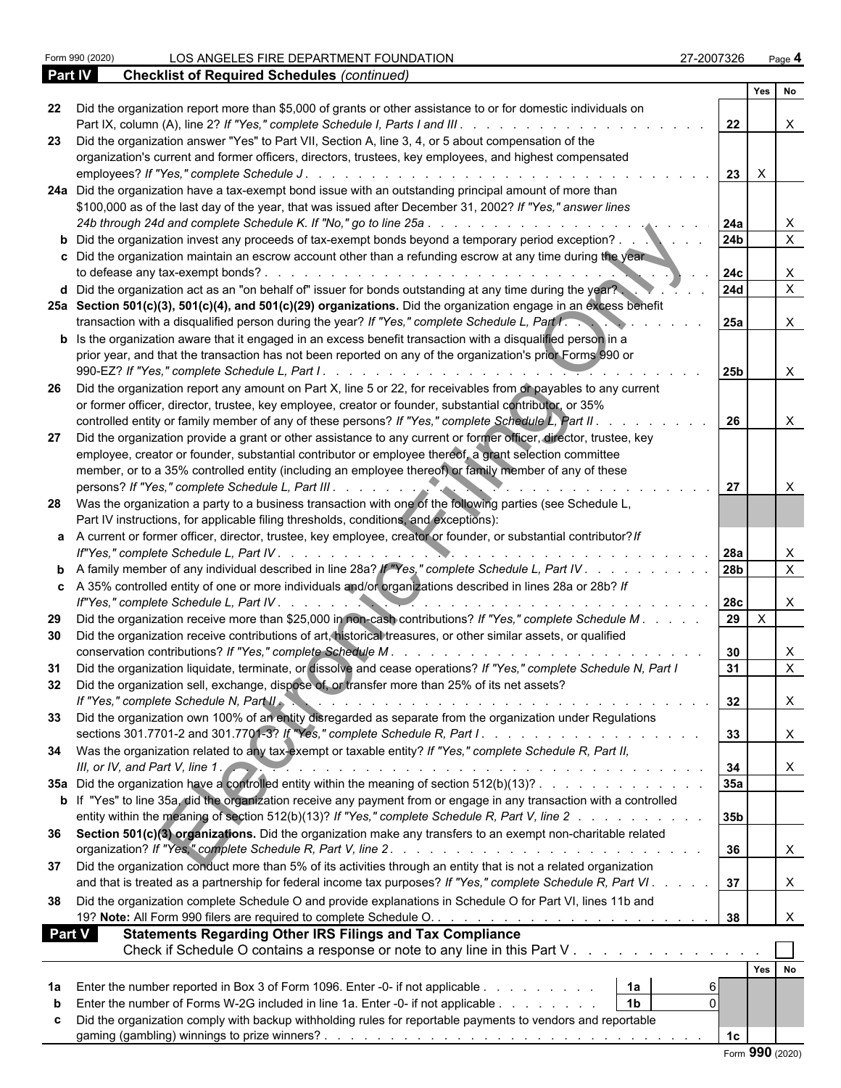|        |                                                                                                                                                                                                                                                                                                                                                                                   |                    | Yes No       |                           |
|--------|-----------------------------------------------------------------------------------------------------------------------------------------------------------------------------------------------------------------------------------------------------------------------------------------------------------------------------------------------------------------------------------|--------------------|--------------|---------------------------|
| 22     | Did the organization report more than \$5,000 of grants or other assistance to or for domestic individuals on<br>Part IX, column (A), line 2? If "Yes," complete Schedule I, Parts I and III.                                                                                                                                                                                     | 22                 |              | X                         |
| 23     | Did the organization answer "Yes" to Part VII, Section A, line 3, 4, or 5 about compensation of the                                                                                                                                                                                                                                                                               |                    |              |                           |
|        | organization's current and former officers, directors, trustees, key employees, and highest compensated<br>employees? If "Yes," complete Schedule J.                                                                                                                                                                                                                              | 23<br>$\mathsf{X}$ |              |                           |
|        | 24a Did the organization have a tax-exempt bond issue with an outstanding principal amount of more than                                                                                                                                                                                                                                                                           |                    |              |                           |
|        | \$100,000 as of the last day of the year, that was issued after December 31, 2002? If "Yes," answer lines                                                                                                                                                                                                                                                                         |                    |              |                           |
|        | 24b through 24d and complete Schedule K. If "No," go to line 25a<br>and the state of the state of the state of the state of the state of the state of the state of the state of the                                                                                                                                                                                               | 24a                |              | X                         |
|        | <b>b</b> Did the organization invest any proceeds of tax-exempt bonds beyond a temporary period exception?                                                                                                                                                                                                                                                                        | 24 <sub>b</sub>    |              | $\overline{X}$            |
|        | c Did the organization maintain an escrow account other than a refunding escrow at any time during the year<br>to defease any tax-exempt bonds?.<br>and a construction of the construction of the construction of the construction of the construction of the construction of the construction of the construction of the construction of the construction of the construction of | 24c                |              | X                         |
|        | d Did the organization act as an "on behalf of" issuer for bonds outstanding at any time during the year?                                                                                                                                                                                                                                                                         | <b>24d</b>         |              | $\mathsf{X}$              |
|        | 25a Section 501(c)(3), 501(c)(4), and 501(c)(29) organizations. Did the organization engage in an excess benefit                                                                                                                                                                                                                                                                  |                    |              |                           |
|        | transaction with a disqualified person during the year? If "Yes," complete Schedule L, Part I.                                                                                                                                                                                                                                                                                    | 25a                |              | $\boldsymbol{\mathsf{X}}$ |
|        | <b>b</b> Is the organization aware that it engaged in an excess benefit transaction with a disqualified person in a                                                                                                                                                                                                                                                               |                    |              |                           |
|        | prior year, and that the transaction has not been reported on any of the organization's prior Forms 990 or<br>990-EZ? If "Yes," complete Schedule L, Part I                                                                                                                                                                                                                       |                    |              |                           |
|        | . <del>.</del>                                                                                                                                                                                                                                                                                                                                                                    | <b>25b</b>         |              | $\mathsf{X}$              |
| -26    | Did the organization report any amount on Part X, line 5 or 22, for receivables from or payables to any current                                                                                                                                                                                                                                                                   |                    |              |                           |
|        | or former officer, director, trustee, key employee, creator or founder, substantial contributor, or 35%                                                                                                                                                                                                                                                                           |                    |              |                           |
|        | controlled entity or family member of any of these persons? If "Yes," complete Schedule L, Part II.                                                                                                                                                                                                                                                                               | 26                 |              | X                         |
| 27     | Did the organization provide a grant or other assistance to any current or former officer, director, trustee, key                                                                                                                                                                                                                                                                 |                    |              |                           |
|        | employee, creator or founder, substantial contributor or employee thereof, a grant selection committee                                                                                                                                                                                                                                                                            |                    |              |                           |
|        | member, or to a 35% controlled entity (including an employee thereof) or family member of any of these                                                                                                                                                                                                                                                                            |                    |              |                           |
|        | persons? If "Yes," complete Schedule L, Part III.                                                                                                                                                                                                                                                                                                                                 | 27                 |              | X                         |
|        | 28 Was the organization a party to a business transaction with one of the following parties (see Schedule L,                                                                                                                                                                                                                                                                      |                    |              |                           |
|        | Part IV instructions, for applicable filing thresholds, conditions, and exceptions):                                                                                                                                                                                                                                                                                              |                    |              |                           |
|        | a A current or former officer, director, trustee, key employee, creator or founder, or substantial contributor? If                                                                                                                                                                                                                                                                |                    |              |                           |
|        |                                                                                                                                                                                                                                                                                                                                                                                   | l 28a              |              | X                         |
|        | <b>b</b> A family member of any individual described in line 28a? If "Yes," complete Schedule L, Part IV                                                                                                                                                                                                                                                                          | 28b                |              | $\overline{X}$            |
|        | c A 35% controlled entity of one or more individuals and/or organizations described in lines 28a or 28b? If                                                                                                                                                                                                                                                                       | 28c                |              | X                         |
| 29     | Did the organization receive more than \$25,000 in non-cash contributions? If "Yes," complete Schedule M.                                                                                                                                                                                                                                                                         | 29                 | $\mathsf{x}$ |                           |
| 30     | Did the organization receive contributions of art, historical treasures, or other similar assets, or qualified                                                                                                                                                                                                                                                                    |                    |              |                           |
|        | conservation contributions? If "Yes," complete Schedule M.                                                                                                                                                                                                                                                                                                                        | 30                 |              | X                         |
| 31     | Did the organization liquidate, terminate, or dissolve and cease operations? If "Yes," complete Schedule N, Part I                                                                                                                                                                                                                                                                | 31                 |              | $\times$                  |
| 32     | Did the organization sell, exchange, dispose of, or transfer more than 25% of its net assets?                                                                                                                                                                                                                                                                                     |                    |              |                           |
|        | If "Yes," complete Schedule N, Part II                                                                                                                                                                                                                                                                                                                                            | 32                 |              |                           |
|        | 33 Did the organization own 100% of an entity disregarded as separate from the organization under Regulations                                                                                                                                                                                                                                                                     |                    |              |                           |
|        |                                                                                                                                                                                                                                                                                                                                                                                   | 33                 |              |                           |
|        | 34 Was the organization related to any tax-exempt or taxable entity? If "Yes," complete Schedule R, Part II,<br>III, or IV, and Part V, line 1.                                                                                                                                                                                                                                   | 34                 |              | X                         |
|        | 35a Did the organization have a controlled entity within the meaning of section 512(b)(13)?                                                                                                                                                                                                                                                                                       | 35a                |              |                           |
|        | b If "Yes" to line 35a, did the organization receive any payment from or engage in any transaction with a controlled                                                                                                                                                                                                                                                              |                    |              |                           |
|        | entity within the meaning of section 512(b)(13)? If "Yes," complete Schedule R, Part V, line 2                                                                                                                                                                                                                                                                                    | 35b                |              |                           |
|        | 36 Section 501(c)(3) organizations. Did the organization make any transfers to an exempt non-charitable related                                                                                                                                                                                                                                                                   | 36                 |              | X                         |
|        | 37 Did the organization conduct more than 5% of its activities through an entity that is not a related organization                                                                                                                                                                                                                                                               |                    |              |                           |
|        | and that is treated as a partnership for federal income tax purposes? If "Yes," complete Schedule R, Part VI.                                                                                                                                                                                                                                                                     | 37                 |              | X                         |
| 38     | Did the organization complete Schedule O and provide explanations in Schedule O for Part VI, lines 11b and                                                                                                                                                                                                                                                                        | 38                 |              | $\mathsf{X}$              |
| Part V | <b>Statements Regarding Other IRS Filings and Tax Compliance</b>                                                                                                                                                                                                                                                                                                                  |                    |              |                           |
|        | Check if Schedule O contains a response or note to any line in this Part V                                                                                                                                                                                                                                                                                                        |                    |              |                           |
|        |                                                                                                                                                                                                                                                                                                                                                                                   |                    |              |                           |
|        |                                                                                                                                                                                                                                                                                                                                                                                   |                    | Yes No       |                           |
| 1a     | Enter the number reported in Box 3 of Form 1096. Enter -0- if not applicable<br>  1a<br>6                                                                                                                                                                                                                                                                                         |                    |              |                           |
|        | Enter the number of Forms W-2G included in line 1a. Enter -0- if not applicable<br>1 <sub>b</sub><br>$\Omega$                                                                                                                                                                                                                                                                     |                    |              |                           |
|        | Did the organization comply with backup withholding rules for reportable payments to vendors and reportable                                                                                                                                                                                                                                                                       |                    |              |                           |
|        |                                                                                                                                                                                                                                                                                                                                                                                   | 1c                 |              |                           |

Form **990** (2020)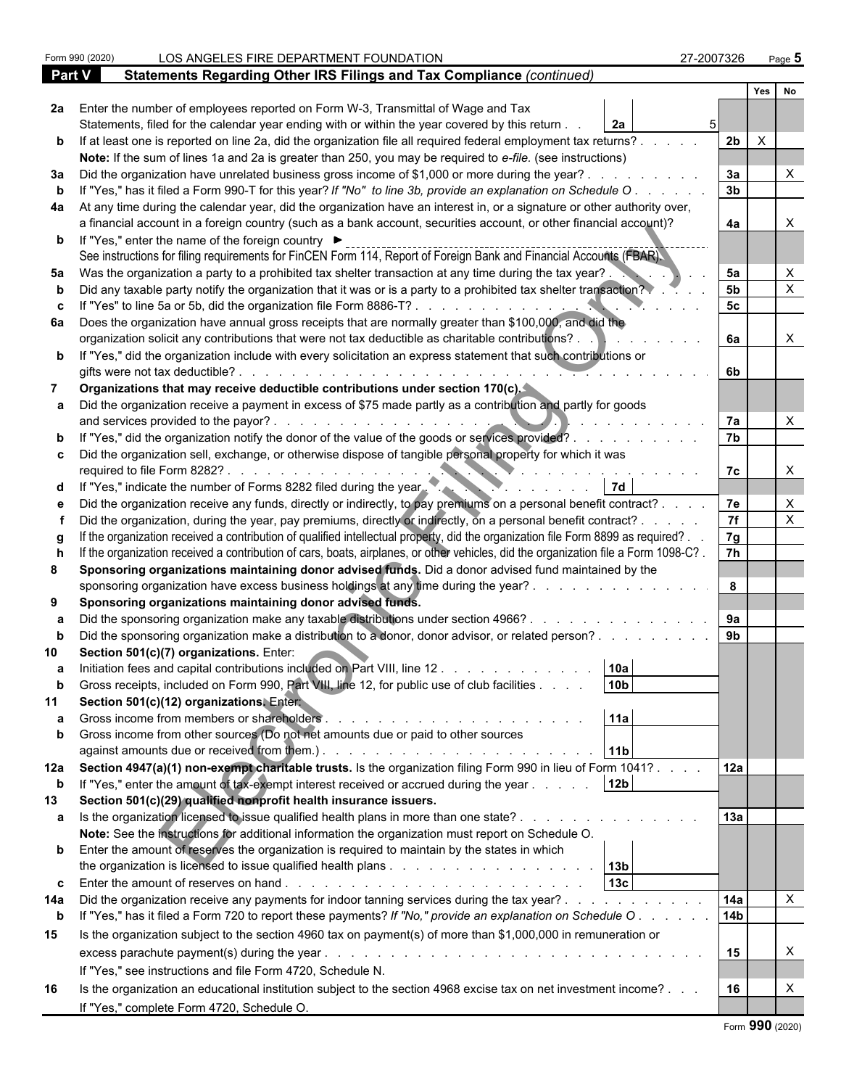|     | Form 990 (2020)                                                    | LOS ANGELES FIRE DEPARTMENT FOUNDATION                                                                                                                                                     | 27-2007326      |          | Page 5       |  |
|-----|--------------------------------------------------------------------|--------------------------------------------------------------------------------------------------------------------------------------------------------------------------------------------|-----------------|----------|--------------|--|
|     | Part V                                                             | Statements Regarding Other IRS Filings and Tax Compliance (continued)                                                                                                                      |                 |          |              |  |
|     |                                                                    |                                                                                                                                                                                            |                 | Yes      | No           |  |
|     |                                                                    | 2a Enter the number of employees reported on Form W-3, Transmittal of Wage and Tax<br>Statements, filed for the calendar year ending with or within the year covered by this return.<br>2a |                 |          |              |  |
| b   |                                                                    | If at least one is reported on line 2a, did the organization file all required federal employment tax returns?                                                                             | 2 <sub>b</sub>  | $\times$ |              |  |
|     |                                                                    | Note: If the sum of lines 1a and 2a is greater than 250, you may be required to e-file. (see instructions)                                                                                 |                 |          |              |  |
| За  |                                                                    | Did the organization have unrelated business gross income of \$1,000 or more during the year?.                                                                                             | За              |          |              |  |
| b   |                                                                    | If "Yes," has it filed a Form 990-T for this year? If "No" to line 3b, provide an explanation on Schedule O.                                                                               | 3 <sub>b</sub>  |          |              |  |
| 4a  |                                                                    | At any time during the calendar year, did the organization have an interest in, or a signature or other authority over,                                                                    |                 |          |              |  |
|     |                                                                    | a financial account in a foreign country (such as a bank account, securities account, or other financial account)?                                                                         | 4a              |          |              |  |
|     | <b>b</b> If "Yes," enter the name of the foreign country ▶         | See instructions for filing requirements for FinCEN Form 114, Report of Foreign Bank and Financial Accounts (FBAR).                                                                        |                 |          |              |  |
| 5а  |                                                                    | Was the organization a party to a prohibited tax shelter transaction at any time during the tax year?.                                                                                     | 5a              |          |              |  |
| b   |                                                                    | Did any taxable party notify the organization that it was or is a party to a prohibited tax shelter transaction?                                                                           | 5 <sub>b</sub>  |          |              |  |
| C.  |                                                                    |                                                                                                                                                                                            | 5 <sub>c</sub>  |          |              |  |
|     |                                                                    | 6a Does the organization have annual gross receipts that are normally greater than \$100,000, and did the                                                                                  |                 |          |              |  |
|     |                                                                    | organization solicit any contributions that were not tax deductible as charitable contributions?.                                                                                          | 6а              |          |              |  |
|     | gifts were not tax deductible?                                     | <b>b</b> If "Yes," did the organization include with every solicitation an express statement that such contributions or                                                                    | 6b              |          |              |  |
|     |                                                                    | Organizations that may receive deductible contributions under section 170(c).                                                                                                              |                 |          |              |  |
|     | and services provided to the payor?.                               | Did the organization receive a payment in excess of \$75 made partly as a contribution and partly for goods                                                                                | 7a              |          |              |  |
| b   |                                                                    | If "Yes," did the organization notify the donor of the value of the goods or services provided?                                                                                            | 7 <sub>b</sub>  |          |              |  |
|     | required to file Form 8282?.                                       | c Did the organization sell, exchange, or otherwise dispose of tangible personal property for which it was                                                                                 | 7с              |          |              |  |
| d   | If "Yes," indicate the number of Forms 8282 filed during the year. | 7d                                                                                                                                                                                         |                 |          |              |  |
| e   |                                                                    | Did the organization receive any funds, directly or indirectly, to pay premiums on a personal benefit contract?                                                                            | 7e              |          |              |  |
|     |                                                                    | Did the organization, during the year, pay premiums, directly or indirectly, on a personal benefit contract? .                                                                             | 7f              |          | $\times$     |  |
|     |                                                                    | If the organization received a contribution of qualified intellectual property, did the organization file Form 8899 as required?.                                                          | 7g              |          |              |  |
|     |                                                                    | If the organization received a contribution of cars, boats, airplanes, or other vehicles, did the organization file a Form 1098-C?.                                                        | 7h              |          |              |  |
|     |                                                                    | Sponsoring organizations maintaining donor advised funds. Did a donor advised fund maintained by the                                                                                       |                 |          |              |  |
|     |                                                                    | sponsoring organization have excess business holdings at any time during the year?.                                                                                                        | 8               |          |              |  |
| 9   | Sponsoring organizations maintaining donor advised funds.          |                                                                                                                                                                                            |                 |          |              |  |
|     |                                                                    | Did the sponsoring organization make any taxable distributions under section 4966?.                                                                                                        | 9а              |          |              |  |
|     |                                                                    | Did the sponsoring organization make a distribution to a donor, donor advisor, or related person?                                                                                          | 9 <sub>b</sub>  |          |              |  |
|     | Section 501(c)(7) organizations. Enter:                            |                                                                                                                                                                                            |                 |          |              |  |
|     |                                                                    | Initiation fees and capital contributions included on Part VIII, line 12<br>  10a                                                                                                          |                 |          |              |  |
|     |                                                                    | 10 <sub>b</sub><br>Gross receipts, included on Form 990, Part VIII, line 12, for public use of club facilities                                                                             |                 |          |              |  |
| 11  | Section 501(c)(12) organizations, Enter                            |                                                                                                                                                                                            |                 |          |              |  |
|     |                                                                    | 11a                                                                                                                                                                                        |                 |          |              |  |
| b   |                                                                    | Gross income from other sources (Do not net amounts due or paid to other sources                                                                                                           |                 |          |              |  |
|     |                                                                    | 11 <sub>b</sub>                                                                                                                                                                            |                 |          |              |  |
| 12a |                                                                    | Section 4947(a)(1) non-exempt charitable trusts. Is the organization filing Form 990 in lieu of Form 1041?                                                                                 | 12a             |          |              |  |
| b   |                                                                    | 12 <sub>b</sub><br>If "Yes," enter the amount of tax-exempt interest received or accrued during the year                                                                                   |                 |          |              |  |
| 13  | Section 501(c)(29) qualified nonprofit health insurance issuers.   |                                                                                                                                                                                            |                 |          |              |  |
| a   |                                                                    | Is the organization licensed to issue qualified health plans in more than one state?                                                                                                       | 13a             |          |              |  |
|     |                                                                    | Note: See the instructions for additional information the organization must report on Schedule O.                                                                                          |                 |          |              |  |
|     |                                                                    | <b>b</b> Enter the amount of reserves the organization is required to maintain by the states in which                                                                                      |                 |          |              |  |
|     |                                                                    |                                                                                                                                                                                            |                 |          |              |  |
|     |                                                                    | 13 <sub>c</sub>                                                                                                                                                                            |                 |          |              |  |
| 14a |                                                                    | Did the organization receive any payments for indoor tanning services during the tax year?                                                                                                 | 14a             |          | $\mathsf{X}$ |  |
| b   |                                                                    | If "Yes," has it filed a Form 720 to report these payments? If "No," provide an explanation on Schedule O                                                                                  | 14 <sub>b</sub> |          |              |  |
| 15  |                                                                    | Is the organization subject to the section 4960 tax on payment(s) of more than \$1,000,000 in remuneration or                                                                              |                 |          |              |  |
|     | excess parachute payment(s) during the year                        |                                                                                                                                                                                            | 15              |          | X            |  |
|     | If "Yes," see instructions and file Form 4720, Schedule N.         |                                                                                                                                                                                            |                 |          |              |  |
| 16  |                                                                    | Is the organization an educational institution subject to the section 4968 excise tax on net investment income?                                                                            | 16              |          | X            |  |
|     | If "Yes," complete Form 4720, Schedule O.                          |                                                                                                                                                                                            |                 |          |              |  |
|     |                                                                    |                                                                                                                                                                                            |                 |          |              |  |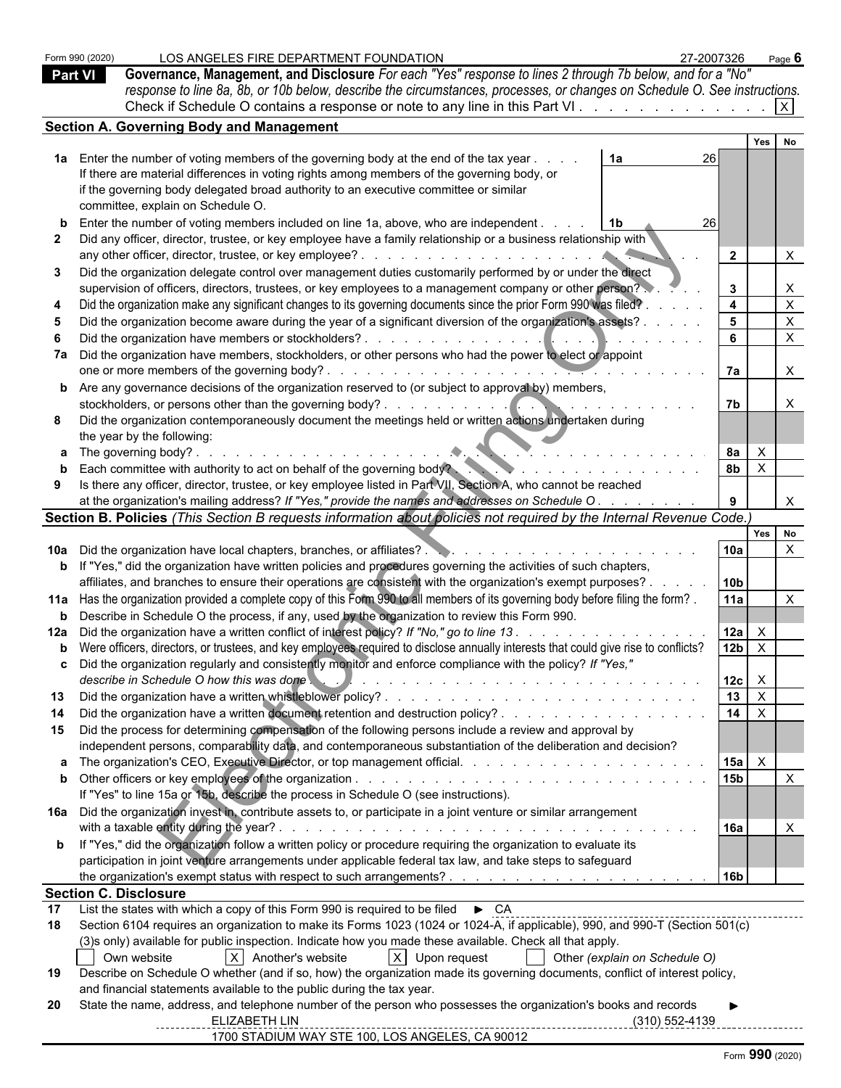| <b>Part VI</b> | LOS ANGELES FIRE DEPARTMENT FOUNDATION<br>Form 990 (2020)<br>Governance, Management, and Disclosure For each "Yes" response to lines 2 through 7b below, and for a "No"<br>response to line 8a, 8b, or 10b below, describe the circumstances, processes, or changes on Schedule O. See instructions.<br>Check if Schedule O contains a response or note to any line in this Part VI                                                                                                                                                                                                                                                                                                                                                                                                                                                                                                                                                                                                                                                                                                                                                                                                                                          | 27-2007326                                                                                  | Page 6                                                                                                               |  |
|----------------|------------------------------------------------------------------------------------------------------------------------------------------------------------------------------------------------------------------------------------------------------------------------------------------------------------------------------------------------------------------------------------------------------------------------------------------------------------------------------------------------------------------------------------------------------------------------------------------------------------------------------------------------------------------------------------------------------------------------------------------------------------------------------------------------------------------------------------------------------------------------------------------------------------------------------------------------------------------------------------------------------------------------------------------------------------------------------------------------------------------------------------------------------------------------------------------------------------------------------|---------------------------------------------------------------------------------------------|----------------------------------------------------------------------------------------------------------------------|--|
|                | <b>Section A. Governing Body and Management</b>                                                                                                                                                                                                                                                                                                                                                                                                                                                                                                                                                                                                                                                                                                                                                                                                                                                                                                                                                                                                                                                                                                                                                                              |                                                                                             |                                                                                                                      |  |
| 3              | 1a Enter the number of voting members of the governing body at the end of the tax year.<br>1a<br>If there are material differences in voting rights among members of the governing body, or<br>if the governing body delegated broad authority to an executive committee or similar<br>committee, explain on Schedule O.<br><b>b</b> Enter the number of voting members included on line 1a, above, who are independent.<br>Did any officer, director, trustee, or key employee have a family relationship or a business relationship with<br>Did the organization delegate control over management duties customarily performed by or under the direct<br>supervision of officers, directors, trustees, or key employees to a management company or other person?<br>Did the organization make any significant changes to its governing documents since the prior Form 990 was filed?<br>Did the organization become aware during the year of a significant diversion of the organization's assets? .<br>Did the organization have members or stockholders?.<br>and the company of the company of the company<br>7a Did the organization have members, stockholders, or other persons who had the power to elect or appoint | Yes<br>26<br>26 I<br>$\overline{2}$<br>$3^{\circ}$<br>$\overline{4}$<br>5 <sub>5</sub><br>6 | No<br>$\times$<br>$\boldsymbol{\mathsf{X}}$<br>$\mathsf X$<br>$\boldsymbol{\mathsf{X}}$<br>$\boldsymbol{\mathsf{X}}$ |  |
|                |                                                                                                                                                                                                                                                                                                                                                                                                                                                                                                                                                                                                                                                                                                                                                                                                                                                                                                                                                                                                                                                                                                                                                                                                                              | 7a                                                                                          | $\mathsf{X}$                                                                                                         |  |
|                | one or more members of the governing body?.<br>$\mathcal{L}$ , and a set of the set of the set of the set of $\mathcal{R}$<br><b>b</b> Are any governance decisions of the organization reserved to (or subject to approval by) members,<br>stockholders, or persons other than the governing body?.<br>. <b>.</b> .<br>Did the organization contemporaneously document the meetings held or written actions undertaken during<br>the year by the following:                                                                                                                                                                                                                                                                                                                                                                                                                                                                                                                                                                                                                                                                                                                                                                 | 7b                                                                                          |                                                                                                                      |  |
|                |                                                                                                                                                                                                                                                                                                                                                                                                                                                                                                                                                                                                                                                                                                                                                                                                                                                                                                                                                                                                                                                                                                                                                                                                                              | <b>8a</b><br>$\mathsf{X}$                                                                   |                                                                                                                      |  |
| 9              | Each committee with authority to act on behalf of the governing body?<br>Is there any officer, director, trustee, or key employee listed in Part VII, Section A, who cannot be reached<br>at the organization's mailing address? If "Yes," provide the names and addresses on Schedule O.                                                                                                                                                                                                                                                                                                                                                                                                                                                                                                                                                                                                                                                                                                                                                                                                                                                                                                                                    | 8 <sub>b</sub><br>$\mathsf{X}$<br>9                                                         | $\mathsf{X}$                                                                                                         |  |
|                | Section B. Policies (This Section B requests information about policies not required by the Internal Revenue Code.)                                                                                                                                                                                                                                                                                                                                                                                                                                                                                                                                                                                                                                                                                                                                                                                                                                                                                                                                                                                                                                                                                                          |                                                                                             |                                                                                                                      |  |
|                |                                                                                                                                                                                                                                                                                                                                                                                                                                                                                                                                                                                                                                                                                                                                                                                                                                                                                                                                                                                                                                                                                                                                                                                                                              | Yes                                                                                         | No                                                                                                                   |  |
|                |                                                                                                                                                                                                                                                                                                                                                                                                                                                                                                                                                                                                                                                                                                                                                                                                                                                                                                                                                                                                                                                                                                                                                                                                                              | 10a                                                                                         | $\times$                                                                                                             |  |
|                | <b>b</b> If "Yes," did the organization have written policies and procedures governing the activities of such chapters,                                                                                                                                                                                                                                                                                                                                                                                                                                                                                                                                                                                                                                                                                                                                                                                                                                                                                                                                                                                                                                                                                                      |                                                                                             |                                                                                                                      |  |
|                | affiliates, and branches to ensure their operations are consistent with the organization's exempt purposes? .                                                                                                                                                                                                                                                                                                                                                                                                                                                                                                                                                                                                                                                                                                                                                                                                                                                                                                                                                                                                                                                                                                                | 10 <sub>b</sub>                                                                             |                                                                                                                      |  |
|                | 11a Has the organization provided a complete copy of this Form 990 to all members of its governing body before filing the form?.                                                                                                                                                                                                                                                                                                                                                                                                                                                                                                                                                                                                                                                                                                                                                                                                                                                                                                                                                                                                                                                                                             | 11a                                                                                         |                                                                                                                      |  |
|                | <b>b</b> Describe in Schedule O the process, if any, used by the organization to review this Form 990.<br>12a Did the organization have a written conflict of interest policy? If "No," go to line 13.                                                                                                                                                                                                                                                                                                                                                                                                                                                                                                                                                                                                                                                                                                                                                                                                                                                                                                                                                                                                                       | 12a                                                                                         |                                                                                                                      |  |
|                | b Were officers, directors, or trustees, and key employees required to disclose annually interests that could give rise to conflicts?                                                                                                                                                                                                                                                                                                                                                                                                                                                                                                                                                                                                                                                                                                                                                                                                                                                                                                                                                                                                                                                                                        | 12 <sub>b</sub><br>$\mathsf{X}$                                                             |                                                                                                                      |  |
|                | c Did the organization regularly and consistently monitor and enforce compliance with the policy? If "Yes,"<br>describe in Schedule O how this was done.                                                                                                                                                                                                                                                                                                                                                                                                                                                                                                                                                                                                                                                                                                                                                                                                                                                                                                                                                                                                                                                                     | 12c<br>$\mathsf{X}$                                                                         |                                                                                                                      |  |
| 13             |                                                                                                                                                                                                                                                                                                                                                                                                                                                                                                                                                                                                                                                                                                                                                                                                                                                                                                                                                                                                                                                                                                                                                                                                                              | 13<br>$\mathsf{X}$                                                                          |                                                                                                                      |  |
|                |                                                                                                                                                                                                                                                                                                                                                                                                                                                                                                                                                                                                                                                                                                                                                                                                                                                                                                                                                                                                                                                                                                                                                                                                                              | $\overline{14}$<br>$\mathsf{X}$                                                             |                                                                                                                      |  |
| 15             | Did the process for determining compensation of the following persons include a review and approval by                                                                                                                                                                                                                                                                                                                                                                                                                                                                                                                                                                                                                                                                                                                                                                                                                                                                                                                                                                                                                                                                                                                       |                                                                                             |                                                                                                                      |  |
|                | independent persons, comparability data, and contemporaneous substantiation of the deliberation and decision?                                                                                                                                                                                                                                                                                                                                                                                                                                                                                                                                                                                                                                                                                                                                                                                                                                                                                                                                                                                                                                                                                                                |                                                                                             |                                                                                                                      |  |
|                |                                                                                                                                                                                                                                                                                                                                                                                                                                                                                                                                                                                                                                                                                                                                                                                                                                                                                                                                                                                                                                                                                                                                                                                                                              | 15a<br>$\mathsf{X}$                                                                         |                                                                                                                      |  |
|                | If "Yes" to line 15a or 15b, describe the process in Schedule O (see instructions).                                                                                                                                                                                                                                                                                                                                                                                                                                                                                                                                                                                                                                                                                                                                                                                                                                                                                                                                                                                                                                                                                                                                          | 15 <sub>b</sub>                                                                             | $\mathsf{X}$                                                                                                         |  |
|                | 16a Did the organization invest in, contribute assets to, or participate in a joint venture or similar arrangement                                                                                                                                                                                                                                                                                                                                                                                                                                                                                                                                                                                                                                                                                                                                                                                                                                                                                                                                                                                                                                                                                                           |                                                                                             |                                                                                                                      |  |
|                |                                                                                                                                                                                                                                                                                                                                                                                                                                                                                                                                                                                                                                                                                                                                                                                                                                                                                                                                                                                                                                                                                                                                                                                                                              | 16a                                                                                         |                                                                                                                      |  |
|                | <b>b</b> If "Yes," did the organization follow a written policy or procedure requiring the organization to evaluate its<br>participation in joint venture arrangements under applicable federal tax law, and take steps to safeguard                                                                                                                                                                                                                                                                                                                                                                                                                                                                                                                                                                                                                                                                                                                                                                                                                                                                                                                                                                                         |                                                                                             |                                                                                                                      |  |
|                |                                                                                                                                                                                                                                                                                                                                                                                                                                                                                                                                                                                                                                                                                                                                                                                                                                                                                                                                                                                                                                                                                                                                                                                                                              | 16 <sub>b</sub>                                                                             |                                                                                                                      |  |
|                | <b>Section C. Disclosure</b>                                                                                                                                                                                                                                                                                                                                                                                                                                                                                                                                                                                                                                                                                                                                                                                                                                                                                                                                                                                                                                                                                                                                                                                                 |                                                                                             |                                                                                                                      |  |
| 17             | List the states with which a copy of this Form 990 is required to be filed $\triangleright$ CA                                                                                                                                                                                                                                                                                                                                                                                                                                                                                                                                                                                                                                                                                                                                                                                                                                                                                                                                                                                                                                                                                                                               |                                                                                             |                                                                                                                      |  |
| 18             | Section 6104 requires an organization to make its Forms 1023 (1024 or 1024-A, if applicable), 990, and 990-T (Section 501(c)                                                                                                                                                                                                                                                                                                                                                                                                                                                                                                                                                                                                                                                                                                                                                                                                                                                                                                                                                                                                                                                                                                 |                                                                                             |                                                                                                                      |  |
|                | (3)s only) available for public inspection. Indicate how you made these available. Check all that apply.                                                                                                                                                                                                                                                                                                                                                                                                                                                                                                                                                                                                                                                                                                                                                                                                                                                                                                                                                                                                                                                                                                                     |                                                                                             |                                                                                                                      |  |
| 19             | $X$ Another's website<br>$X$ Upon request<br>Other (explain on Schedule O)<br>Own website<br>Describe on Schedule O whether (and if so, how) the organization made its governing documents, conflict of interest policy,                                                                                                                                                                                                                                                                                                                                                                                                                                                                                                                                                                                                                                                                                                                                                                                                                                                                                                                                                                                                     |                                                                                             |                                                                                                                      |  |
|                | and financial statements available to the public during the tax year.                                                                                                                                                                                                                                                                                                                                                                                                                                                                                                                                                                                                                                                                                                                                                                                                                                                                                                                                                                                                                                                                                                                                                        |                                                                                             |                                                                                                                      |  |
| 20             | State the name, address, and telephone number of the person who possesses the organization's books and records<br>ELIZABETH LIN<br>$(310) 552 - 4139$                                                                                                                                                                                                                                                                                                                                                                                                                                                                                                                                                                                                                                                                                                                                                                                                                                                                                                                                                                                                                                                                        |                                                                                             |                                                                                                                      |  |
|                | 1700 STADIUM WAY STE 100, LOS ANGELES, CA 90012                                                                                                                                                                                                                                                                                                                                                                                                                                                                                                                                                                                                                                                                                                                                                                                                                                                                                                                                                                                                                                                                                                                                                                              |                                                                                             |                                                                                                                      |  |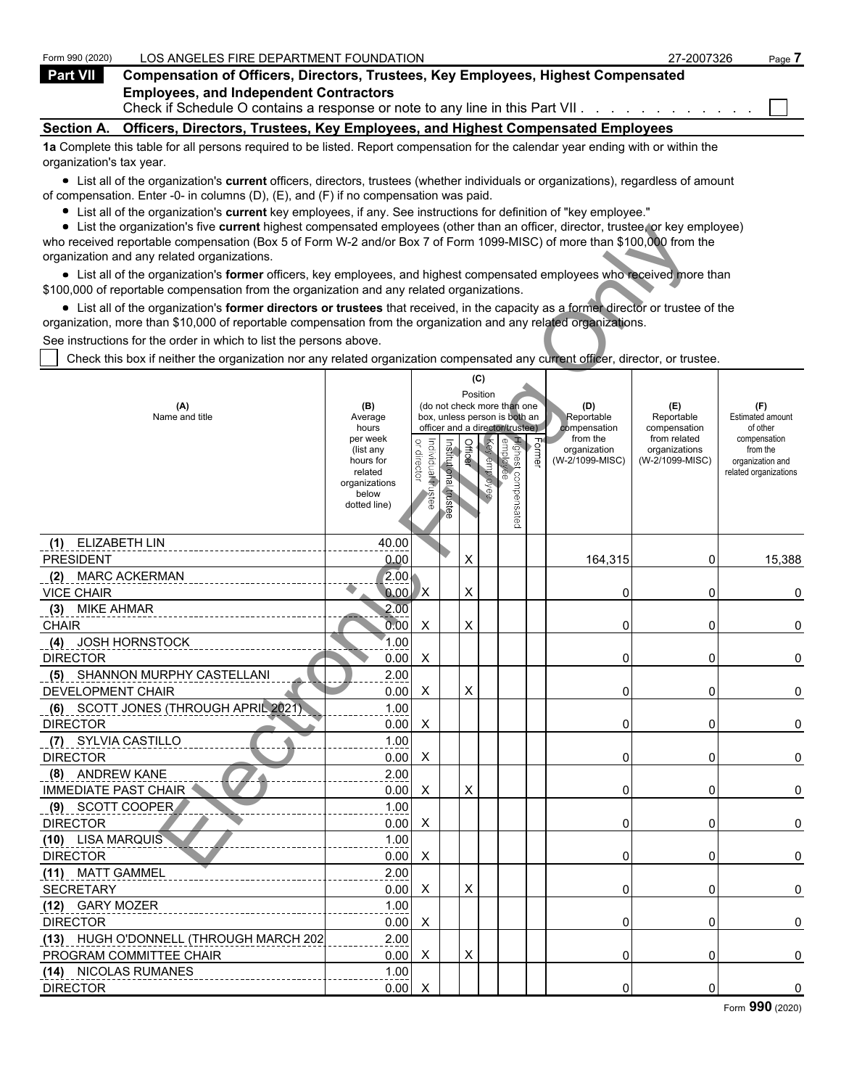| Form 990 (2020)          | LOS ANGELES FIRE DEPARTMENT FOUNDATION                                                                                            | 27-2007326 | Page 7 |
|--------------------------|-----------------------------------------------------------------------------------------------------------------------------------|------------|--------|
| Part VII                 | <b>Compensation of Officers, Directors, Trustees, Key Employees, Highest Compensated</b>                                          |            |        |
|                          | <b>Employees, and Independent Contractors</b><br>Check if Schedule O contains a response or note to any line in this Part VII.    |            |        |
| <b>Section A.</b>        | Officers, Directors, Trustees, Key Employees, and Highest Compensated Employees                                                   |            |        |
| organization's tax year. | 1a Complete this table for all persons required to be listed. Report compensation for the calendar year ending with or within the |            |        |

List all of the organization's **current** officers, directors, trustees (whether individuals or organizations), regardless of amount of compensation. Enter -0- in columns (D), (E), and (F) if no compensation was paid.

- List all of the organization's **current** key employees, if any. See instructions for definition of "key employee."
- List the organization's five **current** highest compensated employees (other than an officer, director, trustee, or key employee)

| $\bullet$ List the organization's five current highest compensated employees (other than an officer, director, trustee, or key employee)<br>who received reportable compensation (Box 5 of Form W-2 and/or Box 7 of Form 1099-MISC) of more than \$100,000 from the |                       |                                   |                       |         |              |                                 |                   |                          |                              |                                           |
|---------------------------------------------------------------------------------------------------------------------------------------------------------------------------------------------------------------------------------------------------------------------|-----------------------|-----------------------------------|-----------------------|---------|--------------|---------------------------------|-------------------|--------------------------|------------------------------|-------------------------------------------|
| organization and any related organizations.                                                                                                                                                                                                                         |                       |                                   |                       |         |              |                                 |                   |                          |                              |                                           |
| • List all of the organization's former officers, key employees, and highest compensated employees who received more than<br>\$100,000 of reportable compensation from the organization and any related organizations.                                              |                       |                                   |                       |         |              |                                 |                   |                          |                              |                                           |
| • List all of the organization's former directors or trustees that received, in the capacity as a former director or trustee of the                                                                                                                                 |                       |                                   |                       |         |              |                                 |                   |                          |                              |                                           |
| organization, more than \$10,000 of reportable compensation from the organization and any related organizations.                                                                                                                                                    |                       |                                   |                       |         |              |                                 |                   |                          |                              |                                           |
| See instructions for the order in which to list the persons above.                                                                                                                                                                                                  |                       |                                   |                       |         |              |                                 |                   |                          |                              |                                           |
| Check this box if neither the organization nor any related organization compensated any current officer, director, or trustee.                                                                                                                                      |                       |                                   |                       |         |              |                                 |                   |                          |                              |                                           |
|                                                                                                                                                                                                                                                                     |                       |                                   |                       |         |              |                                 |                   |                          |                              |                                           |
|                                                                                                                                                                                                                                                                     |                       |                                   |                       |         | (C)          |                                 |                   |                          |                              |                                           |
| (A)                                                                                                                                                                                                                                                                 | (B)                   |                                   |                       |         | Position     | (do not check more than one     |                   | (D)                      | (E)                          | (F)                                       |
| Name and title                                                                                                                                                                                                                                                      | Average               |                                   |                       |         |              | box, unless person is both an   |                   | Reportable               | Reportable                   | Estimated amount                          |
|                                                                                                                                                                                                                                                                     | hours<br>per week     |                                   |                       |         |              | officer and a director/trustee) |                   | compensation<br>from the | compensation<br>from related | of other<br>compensation                  |
|                                                                                                                                                                                                                                                                     | (list any             | or director<br>Individual trustee | Institutional trustee | Officer | Key employee |                                 | $F_{\text{oume}}$ | organization             | organizations                | from the                                  |
|                                                                                                                                                                                                                                                                     | hours for<br>related  |                                   |                       |         |              |                                 |                   | (W-2/1099-MISC)          | (W-2/1099-MISC)              | organization and<br>related organizations |
|                                                                                                                                                                                                                                                                     | organizations         |                                   |                       |         |              |                                 |                   |                          |                              |                                           |
|                                                                                                                                                                                                                                                                     | below<br>dotted line) |                                   |                       |         |              |                                 |                   |                          |                              |                                           |
|                                                                                                                                                                                                                                                                     |                       |                                   |                       |         |              | Highest compensated<br>employee |                   |                          |                              |                                           |
|                                                                                                                                                                                                                                                                     |                       |                                   |                       |         |              |                                 |                   |                          |                              |                                           |
| ELIZABETH LIN<br>(1)                                                                                                                                                                                                                                                | 40.00                 |                                   |                       |         |              |                                 |                   |                          |                              |                                           |
| <b>PRESIDENT</b>                                                                                                                                                                                                                                                    | 0.00                  |                                   |                       | X       |              |                                 |                   | 164,315                  | 0                            | 15,388                                    |
| <b>MARC ACKERMAN</b><br>(2)                                                                                                                                                                                                                                         | 2.00.                 |                                   |                       |         |              |                                 |                   |                          |                              |                                           |
| <b>VICE CHAIR</b>                                                                                                                                                                                                                                                   | 0.00                  | X)                                |                       | X       |              |                                 |                   | 0                        | 0                            | 0                                         |
| MIKE AHMAR<br>(3)                                                                                                                                                                                                                                                   | 2.00                  |                                   |                       |         |              |                                 |                   |                          |                              |                                           |
| <b>CHAIR</b>                                                                                                                                                                                                                                                        | 0.00                  | X                                 |                       | X       |              |                                 |                   | 0                        | 0                            | 0                                         |
| (4) JOSH HORNSTOCK                                                                                                                                                                                                                                                  | 1.00                  |                                   |                       |         |              |                                 |                   |                          |                              |                                           |
| <b>DIRECTOR</b>                                                                                                                                                                                                                                                     | 0.00                  | X                                 |                       |         |              |                                 |                   | 0                        | 0                            | 0                                         |
| (5) SHANNON MURPHY CASTELLANI                                                                                                                                                                                                                                       | 2.00                  |                                   |                       |         |              |                                 |                   |                          |                              |                                           |
| DEVELOPMENT CHAIR                                                                                                                                                                                                                                                   | 0.00                  | X                                 |                       | X       |              |                                 |                   | 0                        | 0                            | 0                                         |
| (6) SCOTT JONES (THROUGH APRIL 2021)                                                                                                                                                                                                                                | 1.00                  |                                   |                       |         |              |                                 |                   |                          |                              |                                           |
| <b>DIRECTOR</b>                                                                                                                                                                                                                                                     | 0.00                  | X                                 |                       |         |              |                                 |                   | 0                        | 0                            | $\pmb{0}$                                 |
| (7) SYLVIA CASTILLO                                                                                                                                                                                                                                                 | 1.00                  |                                   |                       |         |              |                                 |                   |                          |                              |                                           |
| <b>DIRECTOR</b>                                                                                                                                                                                                                                                     | 0.00                  | X                                 |                       |         |              |                                 |                   | 0                        | 0                            | 0                                         |
| (8) ANDREW KANE                                                                                                                                                                                                                                                     | 2.00                  |                                   |                       |         |              |                                 |                   |                          |                              |                                           |
| <b>IMMEDIATE PAST CHAIR</b>                                                                                                                                                                                                                                         | 0.00                  | X                                 |                       | X       |              |                                 |                   | 0                        | 0                            | 0                                         |
| (9) SCOTT COOPER                                                                                                                                                                                                                                                    | 1.00                  |                                   |                       |         |              |                                 |                   |                          |                              |                                           |
| <b>DIRECTOR</b>                                                                                                                                                                                                                                                     | 0.00                  | Χ                                 |                       |         |              |                                 |                   | 0                        | 0                            | $\pmb{0}$                                 |
| (10) LISA MARQUIS                                                                                                                                                                                                                                                   | 1.00                  |                                   |                       |         |              |                                 |                   |                          |                              |                                           |
| <b>DIRECTOR</b>                                                                                                                                                                                                                                                     | $0.00$ X              |                                   |                       |         |              |                                 |                   | 0                        | 0                            | $\pmb{0}$                                 |
| (11) MATT GAMMEL                                                                                                                                                                                                                                                    | 2.00                  |                                   |                       |         |              |                                 |                   |                          |                              |                                           |
| <b>SECRETARY</b>                                                                                                                                                                                                                                                    | 0.00                  | X                                 |                       | X       |              |                                 |                   | 0                        | 0                            | $\pmb{0}$                                 |
| (12) GARY MOZER                                                                                                                                                                                                                                                     | 1.00                  |                                   |                       |         |              |                                 |                   |                          |                              |                                           |
| <b>DIRECTOR</b>                                                                                                                                                                                                                                                     | 0.00                  | X                                 |                       |         |              |                                 |                   | 0                        | 0                            | 0                                         |
| (13) HUGH O'DONNELL (THROUGH MARCH 202                                                                                                                                                                                                                              | 2.00                  |                                   |                       |         |              |                                 |                   |                          |                              |                                           |
| PROGRAM COMMITTEE CHAIR                                                                                                                                                                                                                                             | 0.00                  | X                                 |                       | X       |              |                                 |                   | 0                        | 0                            | 0                                         |
| (14) NICOLAS RUMANES                                                                                                                                                                                                                                                | 1.00                  |                                   |                       |         |              |                                 |                   |                          |                              |                                           |
| <b>DIRECTOR</b>                                                                                                                                                                                                                                                     | 0.00                  | X                                 |                       |         |              |                                 |                   | 0                        | $\mathsf{O}\xspace$          | $\pmb{0}$                                 |

Form **990** (2020)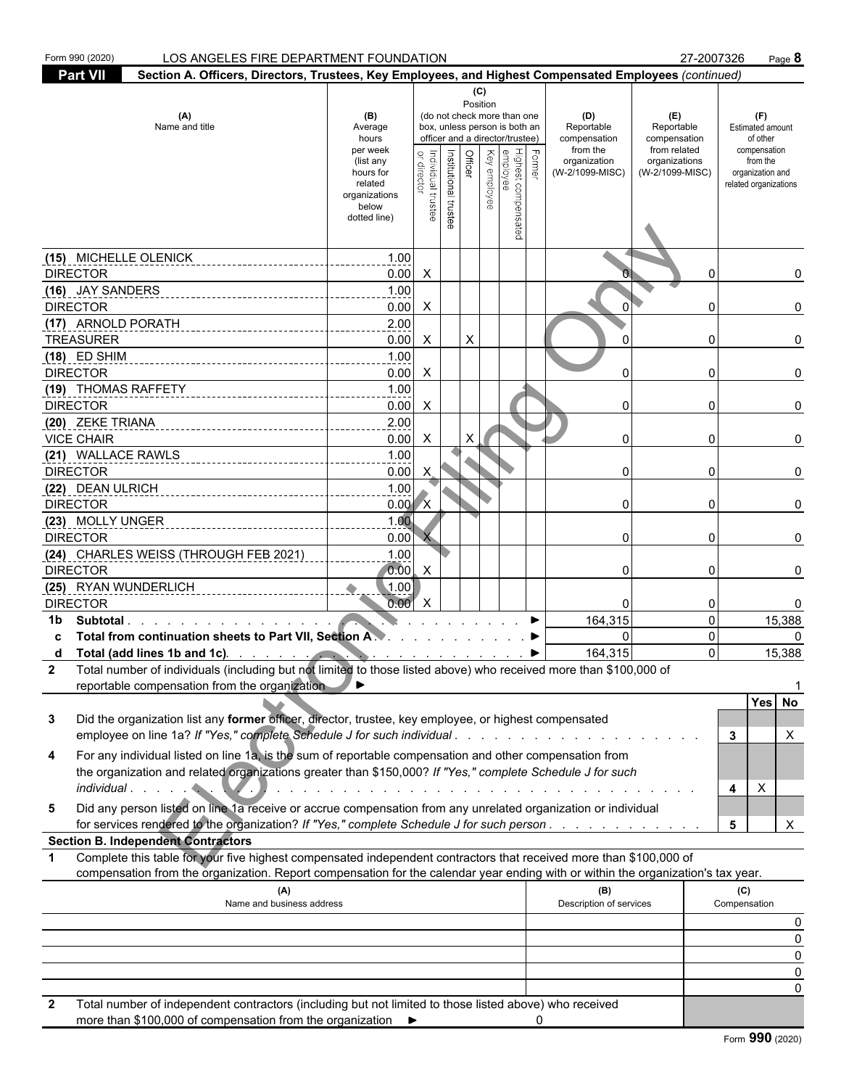| <b>Part VII</b><br>Section A. Officers, Directors, Trustees, Key Employees, and Highest Compensated Employees (continued)<br>(C)<br>Position<br>(A)<br>(do not check more than one<br>(B)<br>(D)<br>(E)<br>(F)<br>Name and title<br>box, unless person is both an<br>Reportable<br>Reportable<br>Average<br>Estimated amount<br>officer and a director/trustee)<br>compensation<br>hours<br>compensation<br>of other<br>from the<br>from related<br>per week<br>compensation<br>Highest compensated<br>employee<br>Institutional trustee<br>Former<br>Officer<br>Key employee<br>ndividual trustee<br>organization<br>organizations<br>from the<br>(list any<br>directo<br>(W-2/1099-MISC)<br>(W-2/1099-MISC)<br>hours for<br>organization and<br>related<br>related organizations<br>organizations<br>below<br>dotted line)<br>(15) MICHELLE OLENICK<br>1.00<br>0.00<br><b>DIRECTOR</b><br>$\boldsymbol{\mathsf{X}}$<br>0<br>(16) JAY SANDERS<br>1.00<br><b>DIRECTOR</b><br>0.00<br>X<br>0<br>(17) ARNOLD PORATH<br>2.00<br>X<br>0.00<br>X<br><b>TREASURER</b><br>0<br>1.00<br>$(18)$ ED SHIM<br><b>DIRECTOR</b><br>0.00<br>$\Omega$<br>X<br>0<br>1.00<br>(19) THOMAS RAFFETY<br>0.00<br><b>DIRECTOR</b><br>X<br>$\Omega$<br>0<br>(20) ZEKE TRIANA<br>2.00<br><b>VICE CHAIR</b><br>0.00<br>X<br>0<br>0<br>(21) WALLACE RAWLS<br>1.00<br><b>DIRECTOR</b><br>0.00<br>X<br>0<br>0<br>1.00<br>(22) DEAN ULRICH<br><b>DIRECTOR</b><br>0.00<br>$\Omega$<br>0<br>1.00<br>(23) MOLLY UNGER<br>0.00<br><b>DIRECTOR</b><br>0<br>0<br>(24) CHARLES WEISS (THROUGH FEB 2021)<br>1.00<br>0.00<br><b>DIRECTOR</b><br>X<br>0<br>0<br>0<br>(25) RYAN WUNDERLICH<br>(1.00)<br>0.00<br><b>DIRECTOR</b><br>Х<br>0<br>0<br>15,388<br>164,315<br>0<br>Subtotal<br>1b<br>Total from continuation sheets to Part VII, Section A.<br>$\Omega$<br>0<br>0<br>164,315<br>$\Omega$<br>15,388<br>Total (add lines 1b and 1c). And a control of the state of the state of the state of the state of the state of the state of the state of the state of the state of the state of the state of the state of the state of the sta<br>d<br><b><i>Charles Committee Committee Committee Committee Committee Committee Committee Committee Committee Committee Committee Committee Committee Committee Committee Committee Committee Committee Committee Committee Committee Co</i></b><br>Total number of individuals (including but not limited to those listed above) who received more than \$100,000 of<br>2<br>reportable compensation from the organization<br>Yes No<br>Did the organization list any former officer, director, trustee, key employee, or highest compensated<br>3<br>employee on line 1a? If "Yes," complete Schedule J for such individual<br>Χ<br>3<br>For any individual listed on line 1a, is the sum of reportable compensation and other compensation from<br>4<br>the organization and related organizations greater than \$150,000? If "Yes," complete Schedule J for such<br>X<br>4<br>Did any person listed on line 1a receive or accrue compensation from any unrelated organization or individual<br>5<br>for services rendered to the organization? If "Yes," complete Schedule J for such person<br>X<br>5<br><b>Section B. Independent Contractors</b><br>Complete this table for your five highest compensated independent contractors that received more than \$100,000 of<br>$\mathbf 1$<br>compensation from the organization. Report compensation for the calendar year ending with or within the organization's tax year.<br>(C)<br>(A)<br>(B)<br>Description of services<br>Compensation<br>Name and business address<br>0<br>$\Omega$<br>$\Omega$<br>Total number of independent contractors (including but not limited to those listed above) who received | Form 990 (2020) | LOS ANGELES FIRE DEPARTMENT FOUNDATION |  |  |  |  |  |  | 27-2007326 | Page 8 |
|----------------------------------------------------------------------------------------------------------------------------------------------------------------------------------------------------------------------------------------------------------------------------------------------------------------------------------------------------------------------------------------------------------------------------------------------------------------------------------------------------------------------------------------------------------------------------------------------------------------------------------------------------------------------------------------------------------------------------------------------------------------------------------------------------------------------------------------------------------------------------------------------------------------------------------------------------------------------------------------------------------------------------------------------------------------------------------------------------------------------------------------------------------------------------------------------------------------------------------------------------------------------------------------------------------------------------------------------------------------------------------------------------------------------------------------------------------------------------------------------------------------------------------------------------------------------------------------------------------------------------------------------------------------------------------------------------------------------------------------------------------------------------------------------------------------------------------------------------------------------------------------------------------------------------------------------------------------------------------------------------------------------------------------------------------------------------------------------------------------------------------------------------------------------------------------------------------------------------------------------------------------------------------------------------------------------------------------------------------------------------------------------------------------------------------------------------------------------------------------------------------------------------------------------------------------------------------------------------------------------------------------------------------------------------------------------------------------------------------------------------------------------------------------------------------------------------------------------------------------------------------------------------------------------------------------------------------------------------------------------------------------------------------------------------------------------------------------------------------------------------------------------------------------------------------------------------------------------------------------------------------------------------------------------------------------------------------------------------------------------------------------------------------------------------------------------------------------------------------------------------------------------------------------------------------------------------------------------------------------------------------------------------------------------------------------------------------------------------------------------------------------------------|-----------------|----------------------------------------|--|--|--|--|--|--|------------|--------|
|                                                                                                                                                                                                                                                                                                                                                                                                                                                                                                                                                                                                                                                                                                                                                                                                                                                                                                                                                                                                                                                                                                                                                                                                                                                                                                                                                                                                                                                                                                                                                                                                                                                                                                                                                                                                                                                                                                                                                                                                                                                                                                                                                                                                                                                                                                                                                                                                                                                                                                                                                                                                                                                                                                                                                                                                                                                                                                                                                                                                                                                                                                                                                                                                                                                                                                                                                                                                                                                                                                                                                                                                                                                                                                                                                                            |                 |                                        |  |  |  |  |  |  |            |        |
|                                                                                                                                                                                                                                                                                                                                                                                                                                                                                                                                                                                                                                                                                                                                                                                                                                                                                                                                                                                                                                                                                                                                                                                                                                                                                                                                                                                                                                                                                                                                                                                                                                                                                                                                                                                                                                                                                                                                                                                                                                                                                                                                                                                                                                                                                                                                                                                                                                                                                                                                                                                                                                                                                                                                                                                                                                                                                                                                                                                                                                                                                                                                                                                                                                                                                                                                                                                                                                                                                                                                                                                                                                                                                                                                                                            |                 |                                        |  |  |  |  |  |  |            |        |
|                                                                                                                                                                                                                                                                                                                                                                                                                                                                                                                                                                                                                                                                                                                                                                                                                                                                                                                                                                                                                                                                                                                                                                                                                                                                                                                                                                                                                                                                                                                                                                                                                                                                                                                                                                                                                                                                                                                                                                                                                                                                                                                                                                                                                                                                                                                                                                                                                                                                                                                                                                                                                                                                                                                                                                                                                                                                                                                                                                                                                                                                                                                                                                                                                                                                                                                                                                                                                                                                                                                                                                                                                                                                                                                                                                            |                 |                                        |  |  |  |  |  |  |            |        |
|                                                                                                                                                                                                                                                                                                                                                                                                                                                                                                                                                                                                                                                                                                                                                                                                                                                                                                                                                                                                                                                                                                                                                                                                                                                                                                                                                                                                                                                                                                                                                                                                                                                                                                                                                                                                                                                                                                                                                                                                                                                                                                                                                                                                                                                                                                                                                                                                                                                                                                                                                                                                                                                                                                                                                                                                                                                                                                                                                                                                                                                                                                                                                                                                                                                                                                                                                                                                                                                                                                                                                                                                                                                                                                                                                                            |                 |                                        |  |  |  |  |  |  |            |        |
|                                                                                                                                                                                                                                                                                                                                                                                                                                                                                                                                                                                                                                                                                                                                                                                                                                                                                                                                                                                                                                                                                                                                                                                                                                                                                                                                                                                                                                                                                                                                                                                                                                                                                                                                                                                                                                                                                                                                                                                                                                                                                                                                                                                                                                                                                                                                                                                                                                                                                                                                                                                                                                                                                                                                                                                                                                                                                                                                                                                                                                                                                                                                                                                                                                                                                                                                                                                                                                                                                                                                                                                                                                                                                                                                                                            |                 |                                        |  |  |  |  |  |  |            |        |
|                                                                                                                                                                                                                                                                                                                                                                                                                                                                                                                                                                                                                                                                                                                                                                                                                                                                                                                                                                                                                                                                                                                                                                                                                                                                                                                                                                                                                                                                                                                                                                                                                                                                                                                                                                                                                                                                                                                                                                                                                                                                                                                                                                                                                                                                                                                                                                                                                                                                                                                                                                                                                                                                                                                                                                                                                                                                                                                                                                                                                                                                                                                                                                                                                                                                                                                                                                                                                                                                                                                                                                                                                                                                                                                                                                            |                 |                                        |  |  |  |  |  |  |            |        |
|                                                                                                                                                                                                                                                                                                                                                                                                                                                                                                                                                                                                                                                                                                                                                                                                                                                                                                                                                                                                                                                                                                                                                                                                                                                                                                                                                                                                                                                                                                                                                                                                                                                                                                                                                                                                                                                                                                                                                                                                                                                                                                                                                                                                                                                                                                                                                                                                                                                                                                                                                                                                                                                                                                                                                                                                                                                                                                                                                                                                                                                                                                                                                                                                                                                                                                                                                                                                                                                                                                                                                                                                                                                                                                                                                                            |                 |                                        |  |  |  |  |  |  |            |        |
|                                                                                                                                                                                                                                                                                                                                                                                                                                                                                                                                                                                                                                                                                                                                                                                                                                                                                                                                                                                                                                                                                                                                                                                                                                                                                                                                                                                                                                                                                                                                                                                                                                                                                                                                                                                                                                                                                                                                                                                                                                                                                                                                                                                                                                                                                                                                                                                                                                                                                                                                                                                                                                                                                                                                                                                                                                                                                                                                                                                                                                                                                                                                                                                                                                                                                                                                                                                                                                                                                                                                                                                                                                                                                                                                                                            |                 |                                        |  |  |  |  |  |  |            |        |
|                                                                                                                                                                                                                                                                                                                                                                                                                                                                                                                                                                                                                                                                                                                                                                                                                                                                                                                                                                                                                                                                                                                                                                                                                                                                                                                                                                                                                                                                                                                                                                                                                                                                                                                                                                                                                                                                                                                                                                                                                                                                                                                                                                                                                                                                                                                                                                                                                                                                                                                                                                                                                                                                                                                                                                                                                                                                                                                                                                                                                                                                                                                                                                                                                                                                                                                                                                                                                                                                                                                                                                                                                                                                                                                                                                            |                 |                                        |  |  |  |  |  |  |            |        |
|                                                                                                                                                                                                                                                                                                                                                                                                                                                                                                                                                                                                                                                                                                                                                                                                                                                                                                                                                                                                                                                                                                                                                                                                                                                                                                                                                                                                                                                                                                                                                                                                                                                                                                                                                                                                                                                                                                                                                                                                                                                                                                                                                                                                                                                                                                                                                                                                                                                                                                                                                                                                                                                                                                                                                                                                                                                                                                                                                                                                                                                                                                                                                                                                                                                                                                                                                                                                                                                                                                                                                                                                                                                                                                                                                                            |                 |                                        |  |  |  |  |  |  |            |        |
|                                                                                                                                                                                                                                                                                                                                                                                                                                                                                                                                                                                                                                                                                                                                                                                                                                                                                                                                                                                                                                                                                                                                                                                                                                                                                                                                                                                                                                                                                                                                                                                                                                                                                                                                                                                                                                                                                                                                                                                                                                                                                                                                                                                                                                                                                                                                                                                                                                                                                                                                                                                                                                                                                                                                                                                                                                                                                                                                                                                                                                                                                                                                                                                                                                                                                                                                                                                                                                                                                                                                                                                                                                                                                                                                                                            |                 |                                        |  |  |  |  |  |  |            |        |
|                                                                                                                                                                                                                                                                                                                                                                                                                                                                                                                                                                                                                                                                                                                                                                                                                                                                                                                                                                                                                                                                                                                                                                                                                                                                                                                                                                                                                                                                                                                                                                                                                                                                                                                                                                                                                                                                                                                                                                                                                                                                                                                                                                                                                                                                                                                                                                                                                                                                                                                                                                                                                                                                                                                                                                                                                                                                                                                                                                                                                                                                                                                                                                                                                                                                                                                                                                                                                                                                                                                                                                                                                                                                                                                                                                            |                 |                                        |  |  |  |  |  |  |            |        |
|                                                                                                                                                                                                                                                                                                                                                                                                                                                                                                                                                                                                                                                                                                                                                                                                                                                                                                                                                                                                                                                                                                                                                                                                                                                                                                                                                                                                                                                                                                                                                                                                                                                                                                                                                                                                                                                                                                                                                                                                                                                                                                                                                                                                                                                                                                                                                                                                                                                                                                                                                                                                                                                                                                                                                                                                                                                                                                                                                                                                                                                                                                                                                                                                                                                                                                                                                                                                                                                                                                                                                                                                                                                                                                                                                                            |                 |                                        |  |  |  |  |  |  |            |        |
|                                                                                                                                                                                                                                                                                                                                                                                                                                                                                                                                                                                                                                                                                                                                                                                                                                                                                                                                                                                                                                                                                                                                                                                                                                                                                                                                                                                                                                                                                                                                                                                                                                                                                                                                                                                                                                                                                                                                                                                                                                                                                                                                                                                                                                                                                                                                                                                                                                                                                                                                                                                                                                                                                                                                                                                                                                                                                                                                                                                                                                                                                                                                                                                                                                                                                                                                                                                                                                                                                                                                                                                                                                                                                                                                                                            |                 |                                        |  |  |  |  |  |  |            |        |
|                                                                                                                                                                                                                                                                                                                                                                                                                                                                                                                                                                                                                                                                                                                                                                                                                                                                                                                                                                                                                                                                                                                                                                                                                                                                                                                                                                                                                                                                                                                                                                                                                                                                                                                                                                                                                                                                                                                                                                                                                                                                                                                                                                                                                                                                                                                                                                                                                                                                                                                                                                                                                                                                                                                                                                                                                                                                                                                                                                                                                                                                                                                                                                                                                                                                                                                                                                                                                                                                                                                                                                                                                                                                                                                                                                            |                 |                                        |  |  |  |  |  |  |            |        |
|                                                                                                                                                                                                                                                                                                                                                                                                                                                                                                                                                                                                                                                                                                                                                                                                                                                                                                                                                                                                                                                                                                                                                                                                                                                                                                                                                                                                                                                                                                                                                                                                                                                                                                                                                                                                                                                                                                                                                                                                                                                                                                                                                                                                                                                                                                                                                                                                                                                                                                                                                                                                                                                                                                                                                                                                                                                                                                                                                                                                                                                                                                                                                                                                                                                                                                                                                                                                                                                                                                                                                                                                                                                                                                                                                                            |                 |                                        |  |  |  |  |  |  |            |        |
|                                                                                                                                                                                                                                                                                                                                                                                                                                                                                                                                                                                                                                                                                                                                                                                                                                                                                                                                                                                                                                                                                                                                                                                                                                                                                                                                                                                                                                                                                                                                                                                                                                                                                                                                                                                                                                                                                                                                                                                                                                                                                                                                                                                                                                                                                                                                                                                                                                                                                                                                                                                                                                                                                                                                                                                                                                                                                                                                                                                                                                                                                                                                                                                                                                                                                                                                                                                                                                                                                                                                                                                                                                                                                                                                                                            |                 |                                        |  |  |  |  |  |  |            |        |
|                                                                                                                                                                                                                                                                                                                                                                                                                                                                                                                                                                                                                                                                                                                                                                                                                                                                                                                                                                                                                                                                                                                                                                                                                                                                                                                                                                                                                                                                                                                                                                                                                                                                                                                                                                                                                                                                                                                                                                                                                                                                                                                                                                                                                                                                                                                                                                                                                                                                                                                                                                                                                                                                                                                                                                                                                                                                                                                                                                                                                                                                                                                                                                                                                                                                                                                                                                                                                                                                                                                                                                                                                                                                                                                                                                            |                 |                                        |  |  |  |  |  |  |            |        |
|                                                                                                                                                                                                                                                                                                                                                                                                                                                                                                                                                                                                                                                                                                                                                                                                                                                                                                                                                                                                                                                                                                                                                                                                                                                                                                                                                                                                                                                                                                                                                                                                                                                                                                                                                                                                                                                                                                                                                                                                                                                                                                                                                                                                                                                                                                                                                                                                                                                                                                                                                                                                                                                                                                                                                                                                                                                                                                                                                                                                                                                                                                                                                                                                                                                                                                                                                                                                                                                                                                                                                                                                                                                                                                                                                                            |                 |                                        |  |  |  |  |  |  |            |        |
|                                                                                                                                                                                                                                                                                                                                                                                                                                                                                                                                                                                                                                                                                                                                                                                                                                                                                                                                                                                                                                                                                                                                                                                                                                                                                                                                                                                                                                                                                                                                                                                                                                                                                                                                                                                                                                                                                                                                                                                                                                                                                                                                                                                                                                                                                                                                                                                                                                                                                                                                                                                                                                                                                                                                                                                                                                                                                                                                                                                                                                                                                                                                                                                                                                                                                                                                                                                                                                                                                                                                                                                                                                                                                                                                                                            |                 |                                        |  |  |  |  |  |  |            |        |
|                                                                                                                                                                                                                                                                                                                                                                                                                                                                                                                                                                                                                                                                                                                                                                                                                                                                                                                                                                                                                                                                                                                                                                                                                                                                                                                                                                                                                                                                                                                                                                                                                                                                                                                                                                                                                                                                                                                                                                                                                                                                                                                                                                                                                                                                                                                                                                                                                                                                                                                                                                                                                                                                                                                                                                                                                                                                                                                                                                                                                                                                                                                                                                                                                                                                                                                                                                                                                                                                                                                                                                                                                                                                                                                                                                            |                 |                                        |  |  |  |  |  |  |            |        |
|                                                                                                                                                                                                                                                                                                                                                                                                                                                                                                                                                                                                                                                                                                                                                                                                                                                                                                                                                                                                                                                                                                                                                                                                                                                                                                                                                                                                                                                                                                                                                                                                                                                                                                                                                                                                                                                                                                                                                                                                                                                                                                                                                                                                                                                                                                                                                                                                                                                                                                                                                                                                                                                                                                                                                                                                                                                                                                                                                                                                                                                                                                                                                                                                                                                                                                                                                                                                                                                                                                                                                                                                                                                                                                                                                                            |                 |                                        |  |  |  |  |  |  |            |        |
|                                                                                                                                                                                                                                                                                                                                                                                                                                                                                                                                                                                                                                                                                                                                                                                                                                                                                                                                                                                                                                                                                                                                                                                                                                                                                                                                                                                                                                                                                                                                                                                                                                                                                                                                                                                                                                                                                                                                                                                                                                                                                                                                                                                                                                                                                                                                                                                                                                                                                                                                                                                                                                                                                                                                                                                                                                                                                                                                                                                                                                                                                                                                                                                                                                                                                                                                                                                                                                                                                                                                                                                                                                                                                                                                                                            |                 |                                        |  |  |  |  |  |  |            |        |
|                                                                                                                                                                                                                                                                                                                                                                                                                                                                                                                                                                                                                                                                                                                                                                                                                                                                                                                                                                                                                                                                                                                                                                                                                                                                                                                                                                                                                                                                                                                                                                                                                                                                                                                                                                                                                                                                                                                                                                                                                                                                                                                                                                                                                                                                                                                                                                                                                                                                                                                                                                                                                                                                                                                                                                                                                                                                                                                                                                                                                                                                                                                                                                                                                                                                                                                                                                                                                                                                                                                                                                                                                                                                                                                                                                            |                 |                                        |  |  |  |  |  |  |            |        |
|                                                                                                                                                                                                                                                                                                                                                                                                                                                                                                                                                                                                                                                                                                                                                                                                                                                                                                                                                                                                                                                                                                                                                                                                                                                                                                                                                                                                                                                                                                                                                                                                                                                                                                                                                                                                                                                                                                                                                                                                                                                                                                                                                                                                                                                                                                                                                                                                                                                                                                                                                                                                                                                                                                                                                                                                                                                                                                                                                                                                                                                                                                                                                                                                                                                                                                                                                                                                                                                                                                                                                                                                                                                                                                                                                                            |                 |                                        |  |  |  |  |  |  |            |        |
|                                                                                                                                                                                                                                                                                                                                                                                                                                                                                                                                                                                                                                                                                                                                                                                                                                                                                                                                                                                                                                                                                                                                                                                                                                                                                                                                                                                                                                                                                                                                                                                                                                                                                                                                                                                                                                                                                                                                                                                                                                                                                                                                                                                                                                                                                                                                                                                                                                                                                                                                                                                                                                                                                                                                                                                                                                                                                                                                                                                                                                                                                                                                                                                                                                                                                                                                                                                                                                                                                                                                                                                                                                                                                                                                                                            |                 |                                        |  |  |  |  |  |  |            |        |
|                                                                                                                                                                                                                                                                                                                                                                                                                                                                                                                                                                                                                                                                                                                                                                                                                                                                                                                                                                                                                                                                                                                                                                                                                                                                                                                                                                                                                                                                                                                                                                                                                                                                                                                                                                                                                                                                                                                                                                                                                                                                                                                                                                                                                                                                                                                                                                                                                                                                                                                                                                                                                                                                                                                                                                                                                                                                                                                                                                                                                                                                                                                                                                                                                                                                                                                                                                                                                                                                                                                                                                                                                                                                                                                                                                            |                 |                                        |  |  |  |  |  |  |            |        |
|                                                                                                                                                                                                                                                                                                                                                                                                                                                                                                                                                                                                                                                                                                                                                                                                                                                                                                                                                                                                                                                                                                                                                                                                                                                                                                                                                                                                                                                                                                                                                                                                                                                                                                                                                                                                                                                                                                                                                                                                                                                                                                                                                                                                                                                                                                                                                                                                                                                                                                                                                                                                                                                                                                                                                                                                                                                                                                                                                                                                                                                                                                                                                                                                                                                                                                                                                                                                                                                                                                                                                                                                                                                                                                                                                                            |                 |                                        |  |  |  |  |  |  |            |        |
|                                                                                                                                                                                                                                                                                                                                                                                                                                                                                                                                                                                                                                                                                                                                                                                                                                                                                                                                                                                                                                                                                                                                                                                                                                                                                                                                                                                                                                                                                                                                                                                                                                                                                                                                                                                                                                                                                                                                                                                                                                                                                                                                                                                                                                                                                                                                                                                                                                                                                                                                                                                                                                                                                                                                                                                                                                                                                                                                                                                                                                                                                                                                                                                                                                                                                                                                                                                                                                                                                                                                                                                                                                                                                                                                                                            |                 |                                        |  |  |  |  |  |  |            |        |
|                                                                                                                                                                                                                                                                                                                                                                                                                                                                                                                                                                                                                                                                                                                                                                                                                                                                                                                                                                                                                                                                                                                                                                                                                                                                                                                                                                                                                                                                                                                                                                                                                                                                                                                                                                                                                                                                                                                                                                                                                                                                                                                                                                                                                                                                                                                                                                                                                                                                                                                                                                                                                                                                                                                                                                                                                                                                                                                                                                                                                                                                                                                                                                                                                                                                                                                                                                                                                                                                                                                                                                                                                                                                                                                                                                            |                 |                                        |  |  |  |  |  |  |            |        |
|                                                                                                                                                                                                                                                                                                                                                                                                                                                                                                                                                                                                                                                                                                                                                                                                                                                                                                                                                                                                                                                                                                                                                                                                                                                                                                                                                                                                                                                                                                                                                                                                                                                                                                                                                                                                                                                                                                                                                                                                                                                                                                                                                                                                                                                                                                                                                                                                                                                                                                                                                                                                                                                                                                                                                                                                                                                                                                                                                                                                                                                                                                                                                                                                                                                                                                                                                                                                                                                                                                                                                                                                                                                                                                                                                                            |                 |                                        |  |  |  |  |  |  |            |        |
|                                                                                                                                                                                                                                                                                                                                                                                                                                                                                                                                                                                                                                                                                                                                                                                                                                                                                                                                                                                                                                                                                                                                                                                                                                                                                                                                                                                                                                                                                                                                                                                                                                                                                                                                                                                                                                                                                                                                                                                                                                                                                                                                                                                                                                                                                                                                                                                                                                                                                                                                                                                                                                                                                                                                                                                                                                                                                                                                                                                                                                                                                                                                                                                                                                                                                                                                                                                                                                                                                                                                                                                                                                                                                                                                                                            |                 |                                        |  |  |  |  |  |  |            |        |
|                                                                                                                                                                                                                                                                                                                                                                                                                                                                                                                                                                                                                                                                                                                                                                                                                                                                                                                                                                                                                                                                                                                                                                                                                                                                                                                                                                                                                                                                                                                                                                                                                                                                                                                                                                                                                                                                                                                                                                                                                                                                                                                                                                                                                                                                                                                                                                                                                                                                                                                                                                                                                                                                                                                                                                                                                                                                                                                                                                                                                                                                                                                                                                                                                                                                                                                                                                                                                                                                                                                                                                                                                                                                                                                                                                            |                 |                                        |  |  |  |  |  |  |            |        |
|                                                                                                                                                                                                                                                                                                                                                                                                                                                                                                                                                                                                                                                                                                                                                                                                                                                                                                                                                                                                                                                                                                                                                                                                                                                                                                                                                                                                                                                                                                                                                                                                                                                                                                                                                                                                                                                                                                                                                                                                                                                                                                                                                                                                                                                                                                                                                                                                                                                                                                                                                                                                                                                                                                                                                                                                                                                                                                                                                                                                                                                                                                                                                                                                                                                                                                                                                                                                                                                                                                                                                                                                                                                                                                                                                                            |                 |                                        |  |  |  |  |  |  |            |        |
|                                                                                                                                                                                                                                                                                                                                                                                                                                                                                                                                                                                                                                                                                                                                                                                                                                                                                                                                                                                                                                                                                                                                                                                                                                                                                                                                                                                                                                                                                                                                                                                                                                                                                                                                                                                                                                                                                                                                                                                                                                                                                                                                                                                                                                                                                                                                                                                                                                                                                                                                                                                                                                                                                                                                                                                                                                                                                                                                                                                                                                                                                                                                                                                                                                                                                                                                                                                                                                                                                                                                                                                                                                                                                                                                                                            |                 |                                        |  |  |  |  |  |  |            |        |
|                                                                                                                                                                                                                                                                                                                                                                                                                                                                                                                                                                                                                                                                                                                                                                                                                                                                                                                                                                                                                                                                                                                                                                                                                                                                                                                                                                                                                                                                                                                                                                                                                                                                                                                                                                                                                                                                                                                                                                                                                                                                                                                                                                                                                                                                                                                                                                                                                                                                                                                                                                                                                                                                                                                                                                                                                                                                                                                                                                                                                                                                                                                                                                                                                                                                                                                                                                                                                                                                                                                                                                                                                                                                                                                                                                            |                 |                                        |  |  |  |  |  |  |            |        |
|                                                                                                                                                                                                                                                                                                                                                                                                                                                                                                                                                                                                                                                                                                                                                                                                                                                                                                                                                                                                                                                                                                                                                                                                                                                                                                                                                                                                                                                                                                                                                                                                                                                                                                                                                                                                                                                                                                                                                                                                                                                                                                                                                                                                                                                                                                                                                                                                                                                                                                                                                                                                                                                                                                                                                                                                                                                                                                                                                                                                                                                                                                                                                                                                                                                                                                                                                                                                                                                                                                                                                                                                                                                                                                                                                                            |                 |                                        |  |  |  |  |  |  |            |        |
|                                                                                                                                                                                                                                                                                                                                                                                                                                                                                                                                                                                                                                                                                                                                                                                                                                                                                                                                                                                                                                                                                                                                                                                                                                                                                                                                                                                                                                                                                                                                                                                                                                                                                                                                                                                                                                                                                                                                                                                                                                                                                                                                                                                                                                                                                                                                                                                                                                                                                                                                                                                                                                                                                                                                                                                                                                                                                                                                                                                                                                                                                                                                                                                                                                                                                                                                                                                                                                                                                                                                                                                                                                                                                                                                                                            |                 |                                        |  |  |  |  |  |  |            |        |
|                                                                                                                                                                                                                                                                                                                                                                                                                                                                                                                                                                                                                                                                                                                                                                                                                                                                                                                                                                                                                                                                                                                                                                                                                                                                                                                                                                                                                                                                                                                                                                                                                                                                                                                                                                                                                                                                                                                                                                                                                                                                                                                                                                                                                                                                                                                                                                                                                                                                                                                                                                                                                                                                                                                                                                                                                                                                                                                                                                                                                                                                                                                                                                                                                                                                                                                                                                                                                                                                                                                                                                                                                                                                                                                                                                            |                 |                                        |  |  |  |  |  |  |            |        |
|                                                                                                                                                                                                                                                                                                                                                                                                                                                                                                                                                                                                                                                                                                                                                                                                                                                                                                                                                                                                                                                                                                                                                                                                                                                                                                                                                                                                                                                                                                                                                                                                                                                                                                                                                                                                                                                                                                                                                                                                                                                                                                                                                                                                                                                                                                                                                                                                                                                                                                                                                                                                                                                                                                                                                                                                                                                                                                                                                                                                                                                                                                                                                                                                                                                                                                                                                                                                                                                                                                                                                                                                                                                                                                                                                                            |                 |                                        |  |  |  |  |  |  |            |        |

more than \$100,000 of compensation from the organization 0

| Form 990 (2020) |  |  |
|-----------------|--|--|
|-----------------|--|--|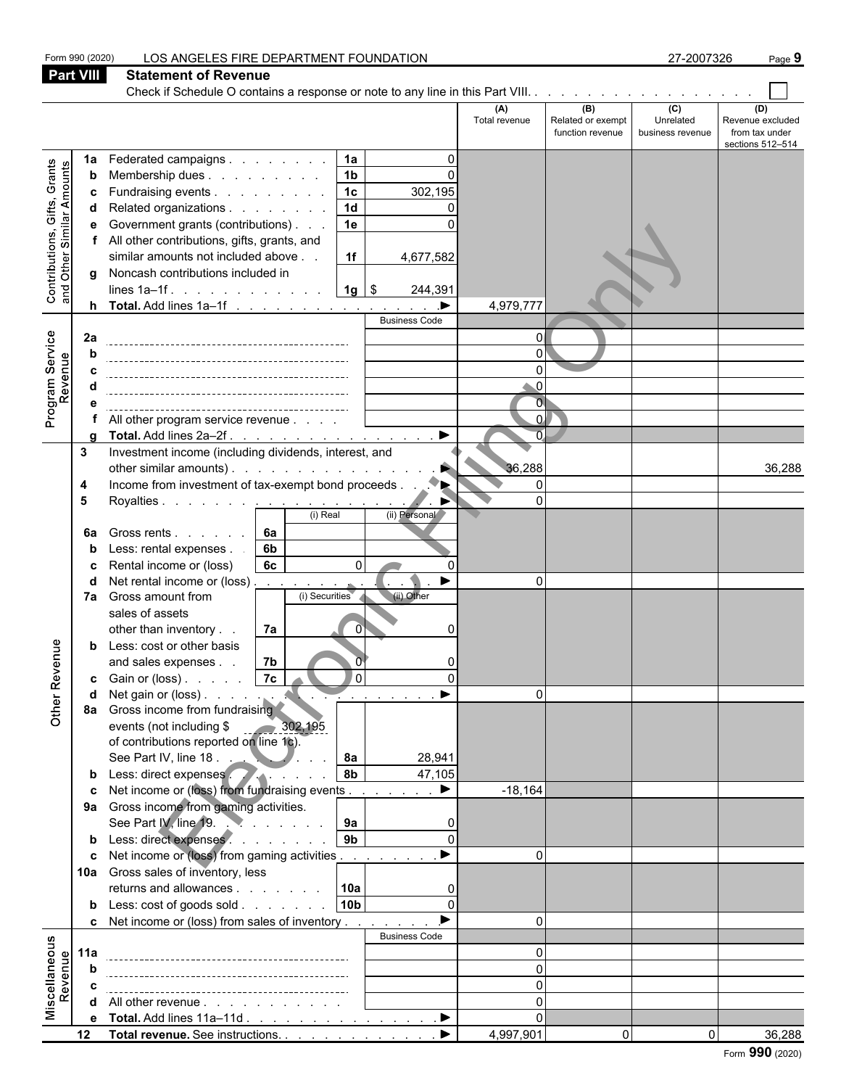Form 990 (2020) LOS ANGELES FIRE DEPARTMENT FOUNDATION 27-2007326 Page **9 Part VIII Statement of Revenue** Check if Schedule O contains a response or note to any line in this Part VIII. . . . . . . . . **(A) (B) (C) (D)** Total revenue Related or exempt Unrelated Revenue excluded function revenue business revenue from tax under sections 512–514 **1a** Federated campaigns . . . . . . . . **| 1a |** . . . . . 0 Contributions, Gifts, Grants and Other Similar Amounts **b** Membership dues . . . . . . . . . 1b **c** Fundraising events . . . . . . . . . 1c 302,195 **d** Related organizations . . . . . . . 1**d** | 0 **e** Government grants (contributions)  $\ldots$  . **1e**  $\vert$ ent prants (controlled above)<br>
The contributions included in the controlled above in the controlled above in the controlled above of the controlled above of the controlled above of the controlled above of the controlled ab **f** All other contributions, gifts, grants, and similar amounts not included above . .  $\vert$  **1f**  $\vert$  4,677,582 **g** Noncash contributions included in lines 1a–1f . . . . . . . . . . . . . . . . . . . . . . . . . . . . . . . . . . . . . . . . . . . . . . . . . . . . . . . . . . . **1g** \$ 244,391 **h Total.** Add lines 1a–1f . . . . . . . . . . . . . . . . . ▶ │ 4,979,777 Business Code Program Service **2a** 0 **b** 0 Revenue **c** 0 **d** 0 **e** 0 **f** All other program service revenue . . . . . . . . . . . . . . . . . . . . . . . . . . . . . . . . . . . . . . . . . . . . . . . . . . . . . 0 **g Total.** Add lines 2a–2f . . . . . . . . . . . . . . . . . . . . . . . . . . . . . . . . . . . . . . . . . . . . . . . . . . . . . . . . . . . . 0 **3** Investment income (including dividends, interest, and other similar amounts) . . . . . . . . . . . . . . . . . . . . . . . . . . . . . . . . . . . . . . . . . . . . . . . . . . . . . . . . 36,288 36,288 **4** Income from investment of tax-exempt bond proceeds . . . . . . . . . . . . . . . . . . . . . . . . . . . . . . . . . . . . . . . . . . . . . . . . . 0 **5** Royalties . . . . . . . . . . . . . . . . . . . . . . . . . . . . . . . . . . . . . . . . . . . . . . . . . . . . . . . . . . . 0 (i) Real (ii) Personal **6a** Gross rents . . . . . . **6a b** Less: rental expenses . . . . **6b c** Rental income or (loss) **6c** 0 0 0 0 0 **d** Net rental income or (loss) . . . . . . . . . . . . . . . . . . . . . . . . . . . . . . . . . . . . . . . . . . . . . . . . . . . . . . . 0 **7a** Gross amount from (i) Securities (ii) Other sales of assets other than inventory . .  $\begin{bmatrix} 7a \end{bmatrix}$  . . . . . . 0 Other Revenue **b** Less: cost or other basis and sales expenses . .  $\begin{bmatrix} 7b & 0 \end{bmatrix}$  0 **c** Gain or (loss) . . . . . **7c** 0 0 0 0 0 **d** Net gain or (loss) . . . . . . . . . . . . . . . . . . . . . . . . . . . . . . . . . . . . . . . . . . . . . . . . . . . . . . . . . 0 **8a** Gross income from fundraising events (not including \$ 302,195 of contributions reported on line 1c). See Part IV, line 18 . . . **. . . . . . . . . . . . . . 8a** 28,941 **b** Less: direct expenses **. .** . . . . . . . . . . . . . 47,105 **c** Net income or (loss) from fundraising events . . . . . . . . . . . . . . . . . . . . . . . . . . . . . . . . . . . . . . . . . . . . . . . . . . -18,164 **9a** Gross income from gaming activities. See Part IV, line 19. . . . . . . . . . . . . . . . . . . . . . . . . . . . . . . . . . . . . . . . . . . . . . . . . . . . . . . . . . **9a** 0 **b** Less: direct expenses . . . . . . . . . 9b **c** Net income or (loss) from gaming activities  $\ldots$  . . . . . . .  $\blacktriangleright$   $\vert$ **10a** Gross sales of inventory, less returns and allowances . . . . . . . **10a** 0 **b** Less: cost of goods sold . . . . . . . . 10b | 0 **c** Net income or (loss) from sales of inventory . . . . . . . .  $\blacktriangleright$  | 0 Business Code Miscellaneous **11a** 0 Revenue **b** 0 **c** 0 **d** All other revenue . . . . . . . . . . . . . . . . . . . . . . . . . . . . . . . . . . . . . . . . . . . . . . . . . . . . . . . . . 0 **e** Total. Add lines 11a–11d . . . . . . . . . . . . . . . . ▶ │ 0 **12 Total revenue.** See instructions. . . . . . . . . . . . ▶ │ 4,997,901│ 0│ 0│ 36,288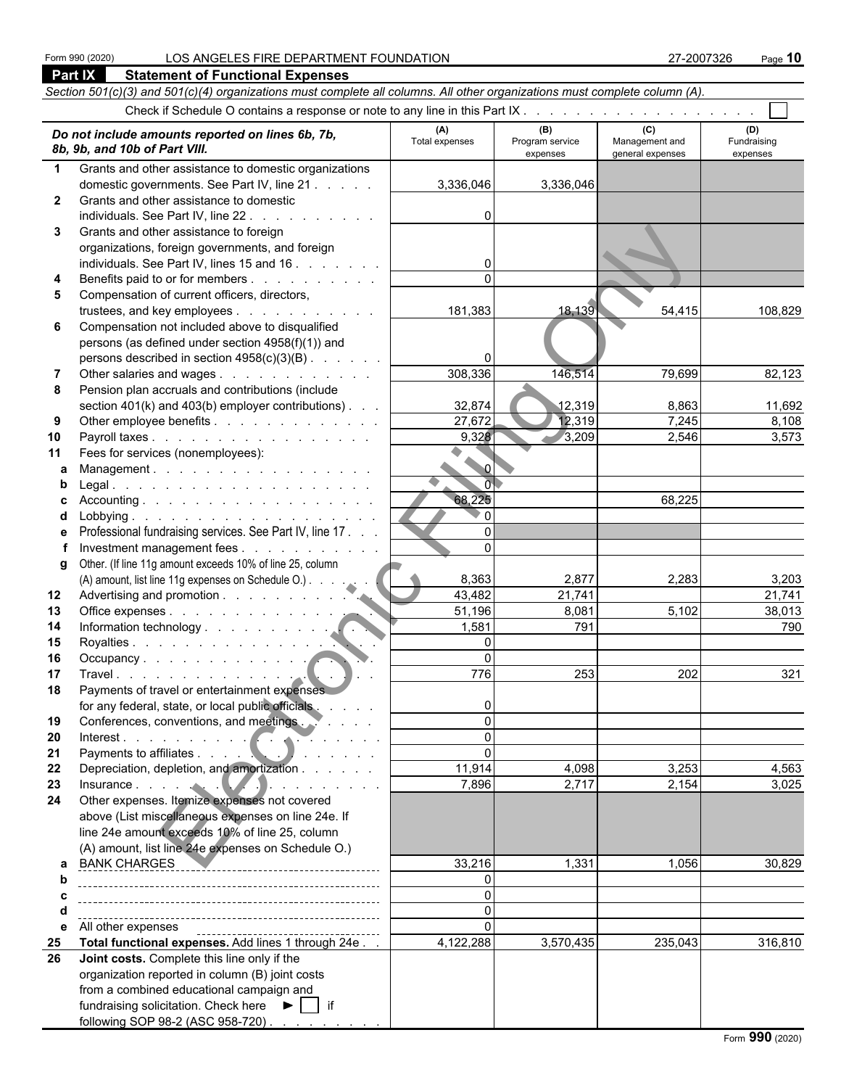**Part IX Statement of Functional Expenses**

|              | Section 501(c)(3) and 501(c)(4) organizations must complete all columns. All other organizations must complete column (A). |                       |                                    |                                           |                                |
|--------------|----------------------------------------------------------------------------------------------------------------------------|-----------------------|------------------------------------|-------------------------------------------|--------------------------------|
|              |                                                                                                                            |                       |                                    |                                           |                                |
|              | Do not include amounts reported on lines 6b, 7b,<br>8b, 9b, and 10b of Part VIII.                                          | (A)<br>Total expenses | (B)<br>Program service<br>expenses | (C)<br>Management and<br>general expenses | (D)<br>Fundraising<br>expenses |
| $\mathbf 1$  | Grants and other assistance to domestic organizations                                                                      |                       |                                    |                                           |                                |
|              | domestic governments. See Part IV, line 21                                                                                 | 3,336,046             | 3,336,046                          |                                           |                                |
| $\mathbf{2}$ | Grants and other assistance to domestic                                                                                    |                       |                                    |                                           |                                |
|              | individuals. See Part IV, line 22                                                                                          |                       |                                    |                                           |                                |
| 3            | Grants and other assistance to foreign                                                                                     |                       |                                    |                                           |                                |
|              | organizations, foreign governments, and foreign                                                                            |                       |                                    |                                           |                                |
|              | individuals. See Part IV, lines 15 and 16.                                                                                 |                       |                                    |                                           |                                |
| 4            | Benefits paid to or for members                                                                                            | $\Omega$              |                                    |                                           |                                |
| 5            | Compensation of current officers, directors,                                                                               |                       |                                    |                                           |                                |
|              | trustees, and key employees                                                                                                | 181,383               | 18,139                             | 54,415                                    | 108,829                        |
| 6            | Compensation not included above to disqualified                                                                            |                       |                                    |                                           |                                |
|              | persons (as defined under section 4958(f)(1)) and                                                                          |                       |                                    |                                           |                                |
|              | persons described in section 4958(c)(3)(B)<br>Other salaries and wages                                                     | 308,336               | 146,514                            | 79,699                                    | 82,123                         |
| 7<br>8       | Pension plan accruals and contributions (include                                                                           |                       |                                    |                                           |                                |
|              | section $401(k)$ and $403(b)$ employer contributions) $\ldots$                                                             | 32,874                | 12,319                             | 8,863                                     | 11,692                         |
| 9            | Other employee benefits                                                                                                    | 27,672                | 12,319                             | 7,245                                     | 8,108                          |
| 10           | Payroll taxes                                                                                                              | 9,328                 | 3,209                              | 2,546                                     | 3,573                          |
| 11           | Fees for services (nonemployees):                                                                                          |                       |                                    |                                           |                                |
| a            | Management.                                                                                                                | $\mathbf{0}$          |                                    |                                           |                                |
| b            |                                                                                                                            | $\overline{0}$        |                                    |                                           |                                |
| c            |                                                                                                                            | 68,225                |                                    | 68,225                                    |                                |
| d            |                                                                                                                            | $^{\circ}$ 0          |                                    |                                           |                                |
| е            | Professional fundraising services. See Part IV, line 17.                                                                   | $\Omega$              |                                    |                                           |                                |
|              | Investment management fees                                                                                                 | $\Omega$              |                                    |                                           |                                |
| q            | Other. (If line 11g amount exceeds 10% of line 25, column                                                                  |                       |                                    |                                           |                                |
|              | (A) amount, list line 11g expenses on Schedule O.)                                                                         | 8,363                 | 2,877                              | 2,283                                     | 3,203                          |
| 12           |                                                                                                                            | 43,482                | 21,741                             |                                           | 21,741                         |
| 13           | Office expenses                                                                                                            | 51,196                | 8,081                              | 5,102                                     | 38,013                         |
| 14           |                                                                                                                            | 1,581<br>0            | 791                                |                                           | 790                            |
| 15<br>16     | Occupancy                                                                                                                  | $\Omega$              |                                    |                                           |                                |
| 17           |                                                                                                                            | 776                   | 253                                | 202                                       | 321                            |
| 18           | Payments of travel or entertainment expenses                                                                               |                       |                                    |                                           |                                |
|              | for any federal, state, or local public officials                                                                          | 0                     |                                    |                                           |                                |
| 19           | Conferences, conventions, and meetings.                                                                                    | $\Omega$              |                                    |                                           |                                |
| 20           | Interest.                                                                                                                  | $\Omega$              |                                    |                                           |                                |
| 21           |                                                                                                                            | $\Omega$              |                                    |                                           |                                |
| 22           | Depreciation, depletion, and amortization                                                                                  | 11,914                | 4,098                              | 3,253                                     | 4,563                          |
| 23           |                                                                                                                            | 7,896                 | 2,717                              | 2,154                                     | 3,025                          |
| 24           | Other expenses. Itemize expenses not covered                                                                               |                       |                                    |                                           |                                |
|              | above (List miscellaneous expenses on line 24e. If                                                                         |                       |                                    |                                           |                                |
|              | line 24e amount exceeds 10% of line 25, column                                                                             |                       |                                    |                                           |                                |
|              | (A) amount, list line 24e expenses on Schedule O.)                                                                         |                       |                                    |                                           |                                |
| b            |                                                                                                                            | 33,216<br>0           | 1,331                              | 1,056                                     | 30,829                         |
| c            |                                                                                                                            | $\Omega$              |                                    |                                           |                                |
| d            |                                                                                                                            | $\mathbf 0$           |                                    |                                           |                                |
| е            | All other expenses                                                                                                         | $\Omega$              |                                    |                                           |                                |
| 25           | Total functional expenses. Add lines 1 through 24e                                                                         | 4,122,288             | 3,570,435                          | 235,043                                   | 316,810                        |
| 26           | Joint costs. Complete this line only if the                                                                                |                       |                                    |                                           |                                |
|              | organization reported in column (B) joint costs                                                                            |                       |                                    |                                           |                                |
|              | from a combined educational campaign and                                                                                   |                       |                                    |                                           |                                |
|              | fundraising solicitation. Check here $\blacktriangleright \Box$ if                                                         |                       |                                    |                                           |                                |
|              | following SOP 98-2 (ASC 958-720)                                                                                           |                       |                                    |                                           |                                |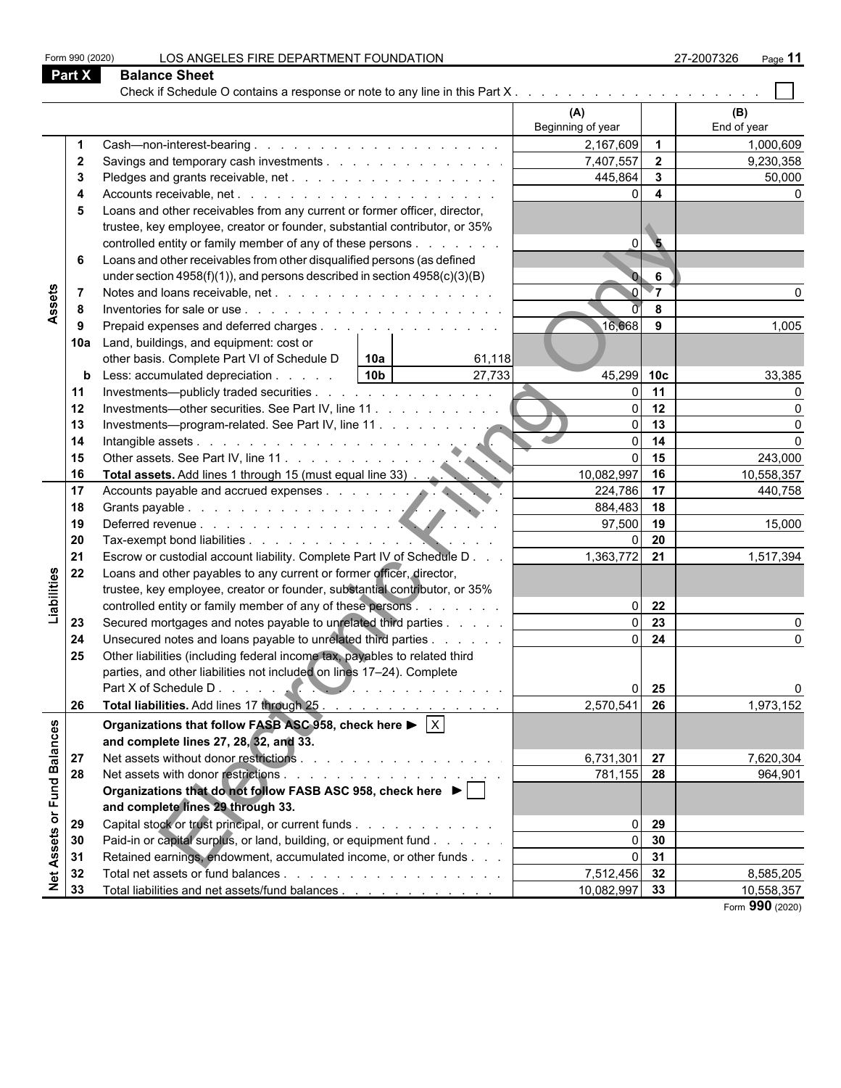| Form 990 (2020)               |                | LOS ANGELES FIRE DEPARTMENT FOUNDATION                                                                                                             |                               |                         | 27-2007326<br>Page 11   |
|-------------------------------|----------------|----------------------------------------------------------------------------------------------------------------------------------------------------|-------------------------------|-------------------------|-------------------------|
| Part X                        |                | <b>Balance Sheet</b>                                                                                                                               |                               |                         |                         |
|                               |                | Check if Schedule O contains a response or note to any line in this Part X                                                                         |                               |                         |                         |
|                               |                |                                                                                                                                                    | (A)<br>Beginning of year      |                         | (B)<br>End of year      |
|                               |                |                                                                                                                                                    | 2,167,609 1                   |                         | 1,000,609               |
|                               | $\mathbf{2}$   | Savings and temporary cash investments                                                                                                             | 7,407,557                     | $\overline{\mathbf{2}}$ | 9,230,358               |
|                               | -3             |                                                                                                                                                    | 445,864                       | $\mathbf{3}$            | 50,000                  |
|                               | 4              |                                                                                                                                                    |                               | $\overline{\mathbf{4}}$ |                         |
|                               | 5              | Loans and other receivables from any current or former officer, director,                                                                          |                               |                         |                         |
|                               |                | trustee, key employee, creator or founder, substantial contributor, or 35%                                                                         |                               |                         |                         |
|                               |                | controlled entity or family member of any of these persons                                                                                         | $\Omega$                      | $\overline{\mathbf{5}}$ |                         |
|                               | 6              | Loans and other receivables from other disqualified persons (as defined                                                                            |                               |                         |                         |
|                               |                | under section $4958(f)(1)$ , and persons described in section $4958(c)(3)(B)$                                                                      |                               | 6                       |                         |
|                               | $\overline{7}$ |                                                                                                                                                    |                               | 7⊤                      |                         |
| Assets                        | 8              |                                                                                                                                                    |                               | 8                       |                         |
|                               | 9              | Prepaid expenses and deferred charges                                                                                                              | 16,668                        | 9                       | 1,005                   |
|                               | 10a            | Land, buildings, and equipment: cost or                                                                                                            |                               |                         |                         |
|                               |                | other basis. Complete Part VI of Schedule D<br>10a<br>61,118                                                                                       |                               |                         |                         |
|                               | b              | 10b <br>27,733<br>Less: accumulated depreciation                                                                                                   | 45,299 10c                    |                         | 33,385                  |
| 11                            |                | Investments—publicly traded securities                                                                                                             |                               | 11                      |                         |
| 12                            |                | Investments—other securities. See Part IV, line 11                                                                                                 |                               | 12                      |                         |
| 13                            |                | Investments—program-related. See Part IV, line 11                                                                                                  |                               | 13                      |                         |
| 14                            |                |                                                                                                                                                    |                               | 14                      |                         |
| 15                            |                | Intangible assets<br>Other assets. See Part IV, line 11.                                                                                           |                               | 15                      | 243,000                 |
| 16                            |                | Accounts payable and accrued expenses.                                                                                                             | 10,082,997                    | 16                      | 10,558,357              |
| 17                            |                |                                                                                                                                                    | 224,786 17                    |                         | 440,758                 |
| 18                            |                |                                                                                                                                                    | 884,483                       | 18                      |                         |
| 19                            |                |                                                                                                                                                    | 97,500                        | 19                      | 15,000                  |
| 20                            |                |                                                                                                                                                    | 1,363,772                     | 20                      |                         |
| 21<br>22                      |                | Escrow or custodial account liability. Complete Part IV of Schedule D                                                                              |                               | 21                      | 1,517,394               |
| Liabilities                   |                | Loans and other payables to any current or former officer, director,<br>trustee, key employee, creator or founder, substantial contributor, or 35% |                               |                         |                         |
|                               |                | controlled entity or family member of any of these persons                                                                                         |                               | 22                      |                         |
| 23                            |                | Secured mortgages and notes payable to unrelated third parties                                                                                     |                               | 23                      |                         |
| 24                            |                | Unsecured notes and loans payable to unrelated third parties                                                                                       |                               | 24                      |                         |
| 25                            |                | Other liabilities (including federal income tax, payables to related third                                                                         |                               |                         |                         |
|                               |                | parties, and other liabilities not included on lines 17–24). Complete                                                                              |                               |                         |                         |
|                               |                |                                                                                                                                                    |                               | 25                      |                         |
| 26                            |                | Total liabilities. Add lines 17 through 25                                                                                                         | 2,570,541                     | 26                      | 1,973,152               |
|                               |                | Organizations that follow FASB ASC 958, check here $\blacktriangleright \lceil \times \rceil$                                                      |                               |                         |                         |
|                               |                |                                                                                                                                                    |                               |                         |                         |
|                               |                | and complete lines 27, 28, 32, and 33.                                                                                                             | 6,731,301 27                  |                         | 7,620,304               |
| or Fund Balances<br>27<br>28  |                |                                                                                                                                                    | 781,155 28                    |                         | 964,901                 |
|                               |                | Organizations that do not follow FASB ASC 958, check here ▶                                                                                        |                               |                         |                         |
|                               |                | and complete lines 29 through 33.                                                                                                                  |                               |                         |                         |
| 29                            |                | Capital stock or trust principal, or current funds                                                                                                 | $\Omega$                      | 29                      |                         |
|                               |                |                                                                                                                                                    |                               | 30                      |                         |
|                               |                |                                                                                                                                                    |                               |                         |                         |
|                               | 30             | Paid-in or capital surplus, or land, building, or equipment fund                                                                                   | $\Omega$                      |                         |                         |
| 31                            |                | Retained earnings, endowment, accumulated income, or other funds                                                                                   | $\Omega$                      | 31                      |                         |
| <b>Net Assets</b><br>32<br>33 |                | Total liabilities and net assets/fund balances                                                                                                     | 7,512,456 32<br>10,082,997 33 |                         | 8,585,205<br>10,558,357 |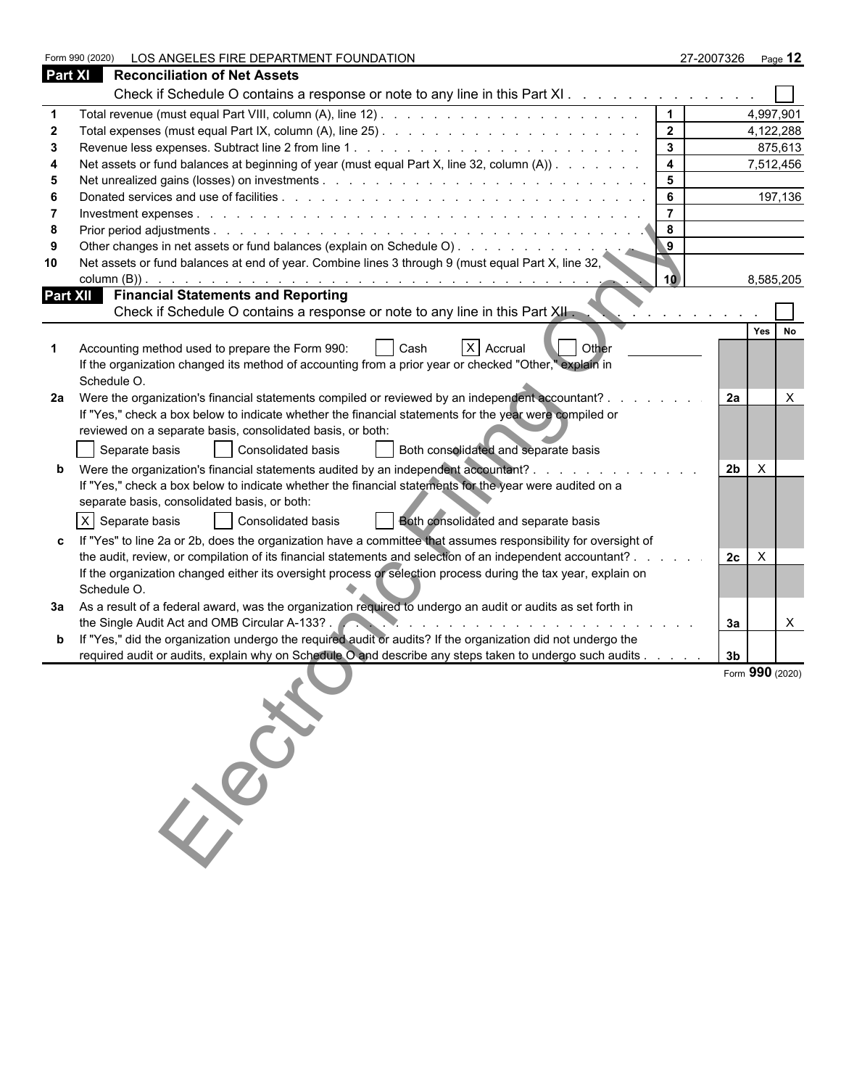|                | LOS ANGELES FIRE DEPARTMENT FOUNDATION<br>Form 990 (2020)                                                                                                                                                                                                                      |                |                | 27-2007326 Page 12 |
|----------------|--------------------------------------------------------------------------------------------------------------------------------------------------------------------------------------------------------------------------------------------------------------------------------|----------------|----------------|--------------------|
| <b>Part XI</b> | <b>Reconciliation of Net Assets</b>                                                                                                                                                                                                                                            |                |                |                    |
|                | Check if Schedule O contains a response or note to any line in this Part XI                                                                                                                                                                                                    |                |                |                    |
|                |                                                                                                                                                                                                                                                                                | $\mathbf 1$    |                | 4,997,901          |
| 2              |                                                                                                                                                                                                                                                                                | $\mathbf{2}$   |                | 4,122,288          |
| 3              |                                                                                                                                                                                                                                                                                | $\mathbf{3}$   |                | 875,613            |
|                | Net assets or fund balances at beginning of year (must equal Part X, line 32, column (A))                                                                                                                                                                                      | 4              |                | 7,512,456          |
| 5              |                                                                                                                                                                                                                                                                                | 5              |                |                    |
|                |                                                                                                                                                                                                                                                                                | 6              |                | 197,136            |
|                |                                                                                                                                                                                                                                                                                | $\overline{7}$ |                |                    |
| 8              |                                                                                                                                                                                                                                                                                | 8              |                |                    |
| 9              |                                                                                                                                                                                                                                                                                | 9              |                |                    |
| 10             | Net assets or fund balances at end of year. Combine lines 3 through 9 (must equal Part X, line 32,<br>column $(B)$ ).                                                                                                                                                          | 10             |                | 8,585,205          |
|                | <b>Part XII</b> Financial Statements and Reporting                                                                                                                                                                                                                             |                |                |                    |
|                | Check if Schedule O contains a response or note to any line in this Part XII.                                                                                                                                                                                                  |                |                |                    |
|                |                                                                                                                                                                                                                                                                                |                |                | Yes No             |
|                | X Accrual<br>Accounting method used to prepare the Form 990:<br>Cash<br>Other                                                                                                                                                                                                  |                |                |                    |
|                | If the organization changed its method of accounting from a prior year or checked "Other," explain in                                                                                                                                                                          |                |                |                    |
|                | Schedule O.                                                                                                                                                                                                                                                                    |                |                |                    |
| 2a             | Were the organization's financial statements compiled or reviewed by an independent accountant? .                                                                                                                                                                              |                | 2a             | $\times$           |
|                | If "Yes," check a box below to indicate whether the financial statements for the year were compiled or                                                                                                                                                                         |                |                |                    |
|                | reviewed on a separate basis, consolidated basis, or both:                                                                                                                                                                                                                     |                |                |                    |
|                | Consolidated basis<br>Both consolidated and separate basis<br>Separate basis                                                                                                                                                                                                   |                |                |                    |
|                | Were the organization's financial statements audited by an independent accountant?.                                                                                                                                                                                            |                | 2 <sub>b</sub> | $\times$           |
|                | If "Yes," check a box below to indicate whether the financial statements for the year were audited on a                                                                                                                                                                        |                |                |                    |
|                | separate basis, consolidated basis, or both:                                                                                                                                                                                                                                   |                |                |                    |
|                | $X$ Separate basis<br>Consolidated basis<br>Both consolidated and separate basis                                                                                                                                                                                               |                |                |                    |
|                | If "Yes" to line 2a or 2b, does the organization have a committee that assumes responsibility for oversight of                                                                                                                                                                 |                |                |                    |
|                | the audit, review, or compilation of its financial statements and selection of an independent accountant?                                                                                                                                                                      |                | 2c             | $\mathsf{X}$       |
|                | If the organization changed either its oversight process or selection process during the tax year, explain on                                                                                                                                                                  |                |                |                    |
|                | Schedule O.                                                                                                                                                                                                                                                                    |                |                |                    |
|                | 3a As a result of a federal award, was the organization required to undergo an audit or audits as set forth in                                                                                                                                                                 |                |                |                    |
|                | the Single Audit Act and OMB Circular A-133?<br>the contract of the contract of the contract of the contract of the contract of the contract of the contract of the contract of the contract of the contract of the contract of the contract of the contract of the contract o |                | За             | $\mathsf{X}$       |
|                | If "Yes," did the organization undergo the required audit or audits? If the organization did not undergo the                                                                                                                                                                   |                |                |                    |
|                | required audit or audits, explain why on Schedule O and describe any steps taken to undergo such audits                                                                                                                                                                        |                | 3 <sub>b</sub> |                    |
|                |                                                                                                                                                                                                                                                                                |                |                | Form 990 (2020)    |
|                |                                                                                                                                                                                                                                                                                |                |                |                    |
|                |                                                                                                                                                                                                                                                                                |                |                |                    |
|                |                                                                                                                                                                                                                                                                                |                |                |                    |
|                |                                                                                                                                                                                                                                                                                |                |                |                    |
|                |                                                                                                                                                                                                                                                                                |                |                |                    |
|                | 150.00                                                                                                                                                                                                                                                                         |                |                |                    |
|                |                                                                                                                                                                                                                                                                                |                |                |                    |
|                |                                                                                                                                                                                                                                                                                |                |                |                    |
|                |                                                                                                                                                                                                                                                                                |                |                |                    |
|                |                                                                                                                                                                                                                                                                                |                |                |                    |
|                |                                                                                                                                                                                                                                                                                |                |                |                    |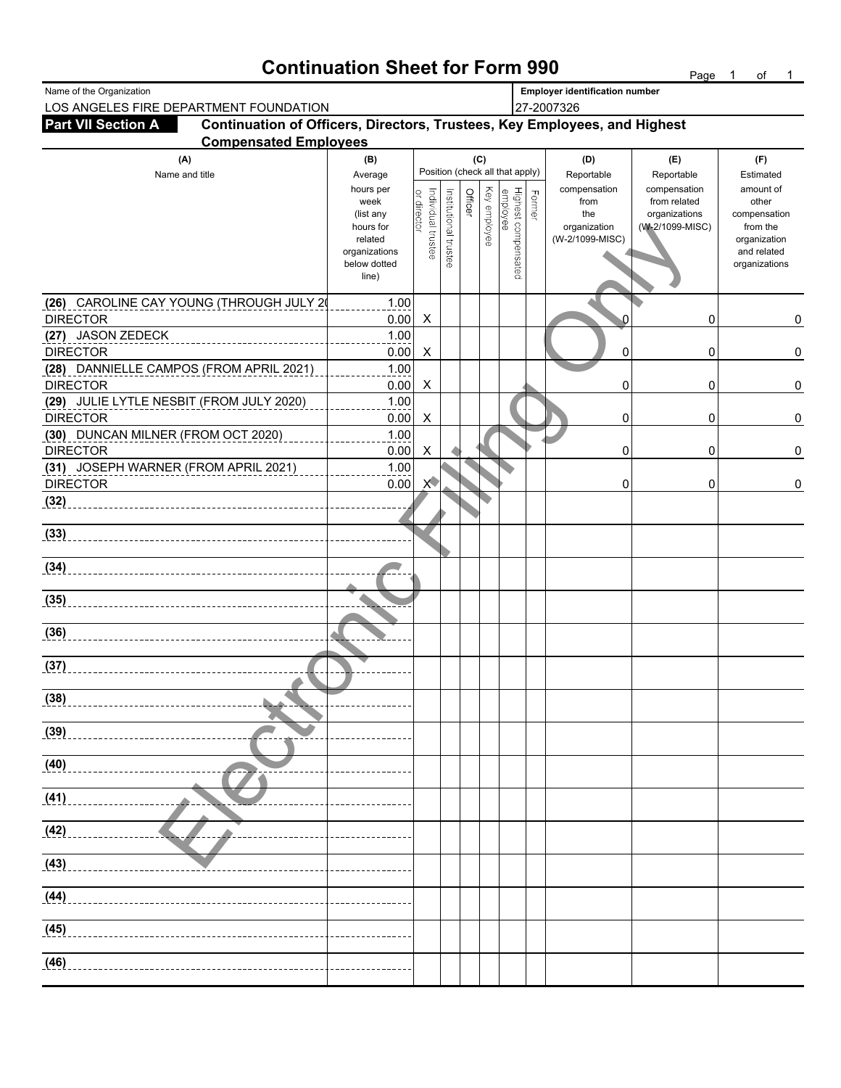## **Continuation Sheet for Form 990** Page 1 of 1

| Name of the Organization                                                                               |                       |                                   |                       |         |              |                                 |        | <b>Employer identification number</b> |                            |                          |
|--------------------------------------------------------------------------------------------------------|-----------------------|-----------------------------------|-----------------------|---------|--------------|---------------------------------|--------|---------------------------------------|----------------------------|--------------------------|
| LOS ANGELES FIRE DEPARTMENT FOUNDATION                                                                 |                       |                                   |                       |         |              |                                 |        | 27-2007326                            |                            |                          |
| Continuation of Officers, Directors, Trustees, Key Employees, and Highest<br><b>Part VII Section A</b> |                       |                                   |                       |         |              |                                 |        |                                       |                            |                          |
| <b>Compensated Employees</b>                                                                           |                       |                                   |                       |         |              |                                 |        |                                       |                            |                          |
| (A)                                                                                                    | (B)                   |                                   |                       |         | (C)          | Position (check all that apply) |        | (D)                                   | (E)                        | (F)                      |
| Name and title                                                                                         | Average<br>hours per  |                                   |                       |         |              |                                 |        | Reportable<br>compensation            | Reportable<br>compensation | Estimated<br>amount of   |
|                                                                                                        | week                  |                                   |                       | Officer |              |                                 | Former | from                                  | from related               | other                    |
|                                                                                                        | (list any             |                                   |                       |         |              |                                 |        | the                                   | organizations              | compensation             |
|                                                                                                        | hours for<br>related  |                                   |                       |         | Key employee |                                 |        | organization<br>(W-2/1099-MISC)       | (W-2/1099-MISC)            | from the<br>organization |
|                                                                                                        | organizations         | Individual trustee<br>or director | Institutional trustee |         |              |                                 |        |                                       |                            | and related              |
|                                                                                                        | below dotted<br>line) |                                   |                       |         |              | Highest compensated<br>employee |        |                                       |                            | organizations            |
|                                                                                                        |                       |                                   |                       |         |              |                                 |        |                                       |                            |                          |
| (26) CAROLINE CAY YOUNG (THROUGH JULY 20                                                               | 1.00                  |                                   |                       |         |              |                                 |        |                                       |                            |                          |
| <b>DIRECTOR</b>                                                                                        | 0.00                  | $\boldsymbol{\mathsf{X}}$         |                       |         |              |                                 |        |                                       | 0                          | 0                        |
| (27) JASON ZEDECK                                                                                      | 1.00                  |                                   |                       |         |              |                                 |        |                                       |                            |                          |
| <b>DIRECTOR</b>                                                                                        | 0.00                  | X                                 |                       |         |              |                                 |        | 0                                     | 0                          | $\pmb{0}$                |
| (28) DANNIELLE CAMPOS (FROM APRIL 2021)                                                                | 1.00                  |                                   |                       |         |              |                                 |        |                                       |                            |                          |
| <b>DIRECTOR</b>                                                                                        | 0.00                  | X                                 |                       |         |              |                                 |        | 0                                     | 0                          | $\pmb{0}$                |
| (29) JULIE LYTLE NESBIT (FROM JULY 2020)<br><b>DIRECTOR</b>                                            | 1.00                  |                                   |                       |         |              |                                 |        |                                       |                            |                          |
| (30) DUNCAN MILNER (FROM OCT 2020)                                                                     | 0.00<br>1.00          | X                                 |                       |         |              |                                 |        | 0                                     | 0                          | $\pmb{0}$                |
| <b>DIRECTOR</b>                                                                                        | 0.00                  | X                                 |                       |         |              |                                 |        | 0                                     | 0                          | $\pmb{0}$                |
| (31) JOSEPH WARNER (FROM APRIL 2021)                                                                   | 1.00                  |                                   |                       |         |              |                                 |        |                                       |                            |                          |
| <b>DIRECTOR</b>                                                                                        | 0.00                  | $\times$                          |                       |         |              |                                 |        | 0                                     | 0                          | 0                        |
| (32)                                                                                                   |                       |                                   |                       |         |              |                                 |        |                                       |                            |                          |
|                                                                                                        |                       |                                   |                       |         |              |                                 |        |                                       |                            |                          |
| (33)                                                                                                   |                       |                                   |                       |         |              |                                 |        |                                       |                            |                          |
|                                                                                                        |                       |                                   |                       |         |              |                                 |        |                                       |                            |                          |
| (34)                                                                                                   |                       |                                   |                       |         |              |                                 |        |                                       |                            |                          |
| (35)                                                                                                   |                       |                                   |                       |         |              |                                 |        |                                       |                            |                          |
|                                                                                                        |                       |                                   |                       |         |              |                                 |        |                                       |                            |                          |
| (36)                                                                                                   |                       |                                   |                       |         |              |                                 |        |                                       |                            |                          |
| (37)                                                                                                   |                       |                                   |                       |         |              |                                 |        |                                       |                            |                          |
|                                                                                                        |                       |                                   |                       |         |              |                                 |        |                                       |                            |                          |
| (38)<br>A.                                                                                             |                       |                                   |                       |         |              |                                 |        |                                       |                            |                          |
|                                                                                                        |                       |                                   |                       |         |              |                                 |        |                                       |                            |                          |
| (39)                                                                                                   |                       |                                   |                       |         |              |                                 |        |                                       |                            |                          |
| (40)                                                                                                   |                       |                                   |                       |         |              |                                 |        |                                       |                            |                          |
| (41)                                                                                                   |                       |                                   |                       |         |              |                                 |        |                                       |                            |                          |
|                                                                                                        |                       |                                   |                       |         |              |                                 |        |                                       |                            |                          |
| (42)                                                                                                   |                       |                                   |                       |         |              |                                 |        |                                       |                            |                          |
| (43)                                                                                                   |                       |                                   |                       |         |              |                                 |        |                                       |                            |                          |
| (44)                                                                                                   |                       |                                   |                       |         |              |                                 |        |                                       |                            |                          |
|                                                                                                        |                       |                                   |                       |         |              |                                 |        |                                       |                            |                          |
| (45)                                                                                                   |                       |                                   |                       |         |              |                                 |        |                                       |                            |                          |
| (46)                                                                                                   |                       |                                   |                       |         |              |                                 |        |                                       |                            |                          |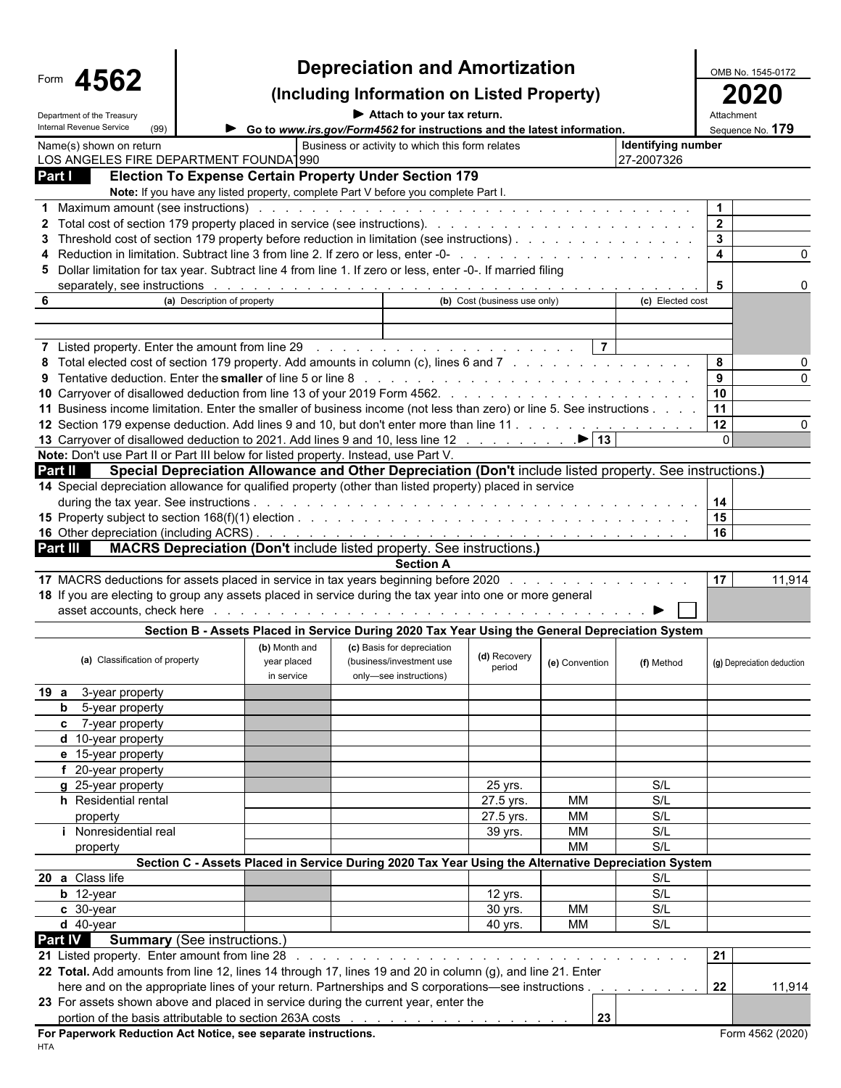| 562<br>$\boldsymbol{\Lambda}$<br>Form<br><b>. .</b> |  |
|-----------------------------------------------------|--|
|-----------------------------------------------------|--|

## **Depreciation and Amortization**<br> **Example 1545-0172** Cluding Information on Listed Property) 2020

#### **(Including Information on Listed Property) 2020**

**Department of the Treasury Contact Attach to your tax return.** Attachment of the Treasury Contact Attachment of the Treasury

| Denginieni of the Tiegsur<br>Internal Revenue Service<br>(99) |                                                                                                                                                                                                                                | Go to www.irs.gov/Form4562 for instructions and the latest information. |                              |                |                          |                         | Sequence No. 179           |
|---------------------------------------------------------------|--------------------------------------------------------------------------------------------------------------------------------------------------------------------------------------------------------------------------------|-------------------------------------------------------------------------|------------------------------|----------------|--------------------------|-------------------------|----------------------------|
| Name(s) shown on return                                       |                                                                                                                                                                                                                                | Business or activity to which this form relates                         |                              |                | Identifying number       |                         |                            |
| LOS ANGELES FIRE DEPARTMENT FOUNDA 990                        |                                                                                                                                                                                                                                |                                                                         |                              |                | 27-2007326               |                         |                            |
| Part I                                                        | Election To Expense Certain Property Under Section 179                                                                                                                                                                         |                                                                         |                              |                |                          |                         |                            |
|                                                               | Note: If you have any listed property, complete Part V before you complete Part I.                                                                                                                                             |                                                                         |                              |                |                          |                         |                            |
|                                                               | 1 Maximum amount (see instructions) enter the contract of the contract of the contract of the contract of the contract of the contract of the contract of the contract of the contract of the contract of the contract of the  |                                                                         |                              |                |                          | $\mathbf{1}$            |                            |
|                                                               |                                                                                                                                                                                                                                |                                                                         |                              |                |                          | $\overline{\mathbf{2}}$ |                            |
|                                                               | 3 Threshold cost of section 179 property before reduction in limitation (see instructions).                                                                                                                                    |                                                                         |                              |                |                          | $\mathbf{3}$            |                            |
|                                                               |                                                                                                                                                                                                                                |                                                                         |                              |                |                          | $\overline{4}$          |                            |
|                                                               | 5 Dollar limitation for tax year. Subtract line 4 from line 1. If zero or less, enter -0-. If married filing                                                                                                                   |                                                                         |                              |                |                          |                         |                            |
|                                                               | separately, see instructions enterprise to the set of the set of the set of the set of the set of the set of the set of the set of the set of the set of the set of the set of the set of the set of the set of the set of the |                                                                         |                              |                |                          | - 5                     |                            |
| 6                                                             | (a) Description of property                                                                                                                                                                                                    |                                                                         | (b) Cost (business use only) |                | (c) Elected cost         |                         |                            |
|                                                               |                                                                                                                                                                                                                                |                                                                         |                              |                |                          |                         |                            |
|                                                               |                                                                                                                                                                                                                                |                                                                         |                              |                |                          |                         |                            |
|                                                               | 7 Listed property. Enter the amount from line 29 (a) and a series and a series and a series of the 29 (a) and a series are all the series and the series of the series of the 20 (a) and a series of the series of the series  |                                                                         |                              | $\vert$ 7      |                          |                         |                            |
|                                                               | 8 Total elected cost of section 179 property. Add amounts in column (c), lines 6 and 7                                                                                                                                         |                                                                         |                              |                |                          | 8                       |                            |
|                                                               |                                                                                                                                                                                                                                |                                                                         |                              |                |                          | 9                       |                            |
|                                                               |                                                                                                                                                                                                                                |                                                                         |                              |                |                          | 10                      |                            |
|                                                               | 11 Business income limitation. Enter the smaller of business income (not less than zero) or line 5. See instructions                                                                                                           |                                                                         |                              |                |                          | 11                      |                            |
|                                                               | 12 Section 179 expense deduction. Add lines 9 and 10, but don't enter more than line 11                                                                                                                                        |                                                                         |                              |                |                          | $12 \,$                 |                            |
|                                                               | 13 Carryover of disallowed deduction to 2021. Add lines 9 and 10, less line 12 ▶ 13                                                                                                                                            |                                                                         |                              |                |                          |                         |                            |
|                                                               | Note: Don't use Part II or Part III below for listed property. Instead, use Part V.                                                                                                                                            |                                                                         |                              |                |                          |                         |                            |
| <b>Part II</b>                                                | Special Depreciation Allowance and Other Depreciation (Don't include listed property. See instructions.)                                                                                                                       |                                                                         |                              |                |                          |                         |                            |
|                                                               | 14 Special depreciation allowance for qualified property (other than listed property) placed in service                                                                                                                        |                                                                         |                              |                |                          |                         |                            |
|                                                               |                                                                                                                                                                                                                                |                                                                         |                              |                |                          |                         |                            |
|                                                               |                                                                                                                                                                                                                                |                                                                         |                              |                |                          | 15<br>16                |                            |
|                                                               |                                                                                                                                                                                                                                |                                                                         |                              |                |                          |                         |                            |
| Part III I                                                    | <b>MACRS Depreciation (Don't include listed property. See instructions.)</b>                                                                                                                                                   | <b>Section A</b>                                                        |                              |                |                          |                         |                            |
|                                                               | 17 MACRS deductions for assets placed in service in tax years beginning before 2020                                                                                                                                            |                                                                         |                              |                |                          | 17                      | 11,914                     |
|                                                               | 18 If you are electing to group any assets placed in service during the tax year into one or more general                                                                                                                      |                                                                         |                              |                |                          |                         |                            |
|                                                               |                                                                                                                                                                                                                                |                                                                         |                              |                |                          |                         |                            |
|                                                               |                                                                                                                                                                                                                                |                                                                         |                              |                |                          |                         |                            |
|                                                               | Section B - Assets Placed in Service During 2020 Tax Year Using the General Depreciation System                                                                                                                                |                                                                         |                              |                |                          |                         |                            |
| (a) Classification of property                                | (b) Month and                                                                                                                                                                                                                  | (c) Basis for depreciation                                              | (d) Recovery                 |                |                          |                         |                            |
|                                                               | year placed<br>in service                                                                                                                                                                                                      | (business/investment use<br>only-see instructions)                      | period                       | (e) Convention | (f) Method               |                         | (g) Depreciation deduction |
|                                                               |                                                                                                                                                                                                                                |                                                                         |                              |                |                          |                         |                            |
| 19 a 3-year property                                          |                                                                                                                                                                                                                                |                                                                         |                              |                |                          |                         |                            |
| <b>b</b> 5-year property                                      |                                                                                                                                                                                                                                |                                                                         |                              |                |                          |                         |                            |
| c 7-year property                                             |                                                                                                                                                                                                                                |                                                                         |                              |                |                          |                         |                            |
| d 10-year property<br>e 15-year property                      |                                                                                                                                                                                                                                |                                                                         |                              |                |                          |                         |                            |
|                                                               |                                                                                                                                                                                                                                |                                                                         |                              |                |                          |                         |                            |
| f 20-year property                                            |                                                                                                                                                                                                                                |                                                                         |                              |                | S/L                      |                         |                            |
| g 25-year property<br>h Residential rental                    |                                                                                                                                                                                                                                |                                                                         | 25 yrs.                      | МM             | S/L                      |                         |                            |
|                                                               |                                                                                                                                                                                                                                |                                                                         | 27.5 yrs.                    | MM             | S/L                      |                         |                            |
| property<br><i>i</i> Nonresidential real                      |                                                                                                                                                                                                                                |                                                                         | 27.5 yrs.                    | MM             | S/L                      |                         |                            |
|                                                               |                                                                                                                                                                                                                                |                                                                         | 39 yrs.                      | <b>MM</b>      | S/L                      |                         |                            |
| property                                                      | Section C - Assets Placed in Service During 2020 Tax Year Using the Alternative Depreciation System                                                                                                                            |                                                                         |                              |                |                          |                         |                            |
| 20 a Class life                                               |                                                                                                                                                                                                                                |                                                                         |                              |                | S/L                      |                         |                            |
|                                                               |                                                                                                                                                                                                                                |                                                                         |                              |                | S/L                      |                         |                            |
| $b$ 12-year                                                   |                                                                                                                                                                                                                                |                                                                         | 12 yrs.                      | <b>MM</b>      | S/L                      |                         |                            |
| c 30-year                                                     |                                                                                                                                                                                                                                |                                                                         | 30 yrs.                      |                |                          |                         |                            |
| $d$ 40-year                                                   |                                                                                                                                                                                                                                |                                                                         | 40 yrs.                      | МM             | S/L                      |                         |                            |
| <b>Part IV</b>                                                | <b>Summary</b> (See instructions.)                                                                                                                                                                                             |                                                                         |                              |                |                          |                         |                            |
| 21 Listed property. Enter amount from line 28                 |                                                                                                                                                                                                                                |                                                                         |                              |                |                          | 21                      |                            |
|                                                               | 22 Total. Add amounts from line 12, lines 14 through 17, lines 19 and 20 in column (g), and line 21. Enter                                                                                                                     |                                                                         |                              |                |                          |                         |                            |
|                                                               | here and on the appropriate lines of your return. Partnerships and S corporations-see instructions.                                                                                                                            |                                                                         |                              |                | and a state of the state | 22                      | 11,914                     |
|                                                               | 23 For assets shown above and placed in service during the current year, enter the                                                                                                                                             |                                                                         |                              |                |                          |                         |                            |
|                                                               |                                                                                                                                                                                                                                |                                                                         |                              | 23             |                          |                         |                            |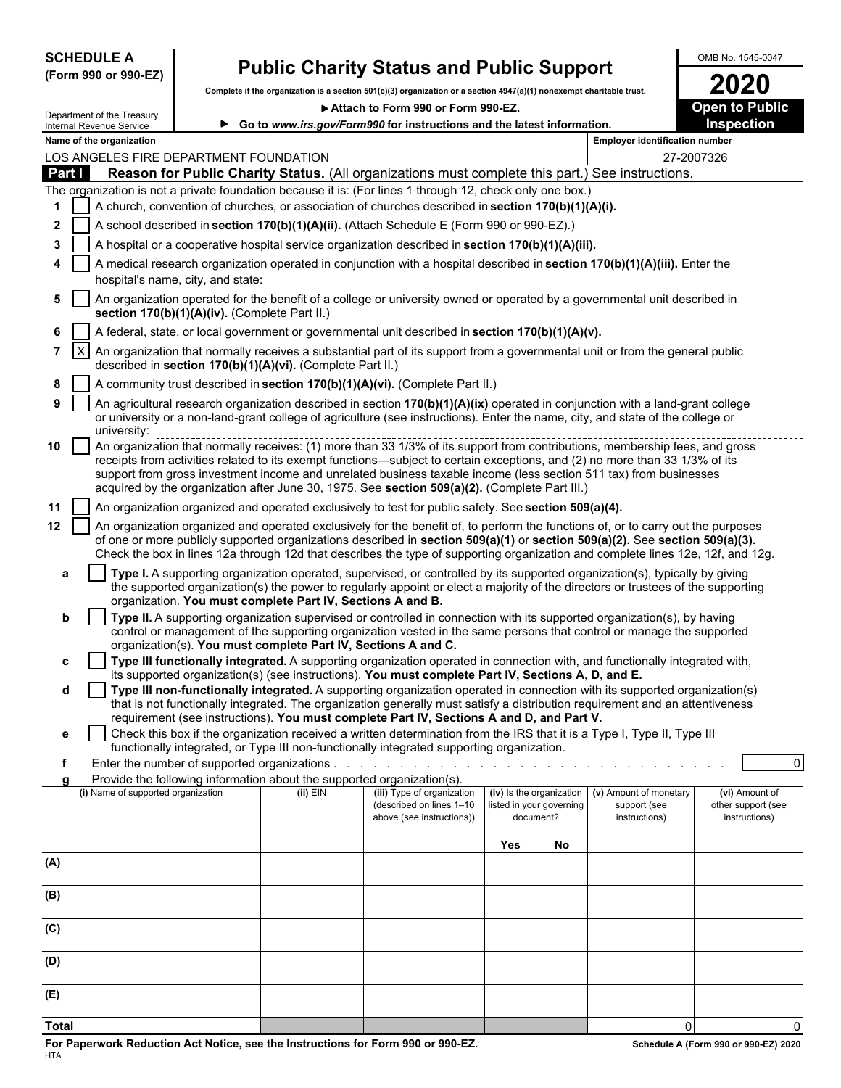| <b>SCHEDULE A</b> |  |                      |
|-------------------|--|----------------------|
|                   |  | (Form 990 or 990-EZ) |

## **SCHEDULE A Public Charity Status and Public Support** MAD NO. 1545-0047

|              | (Form 990 or 990-EZ)                   |                                               |                                                                        | r aplic Olidrity Oldtus and r aplic Oupport                                                                                                                                                                                                                     |                          |                                       |                                       |                                     |
|--------------|----------------------------------------|-----------------------------------------------|------------------------------------------------------------------------|-----------------------------------------------------------------------------------------------------------------------------------------------------------------------------------------------------------------------------------------------------------------|--------------------------|---------------------------------------|---------------------------------------|-------------------------------------|
|              |                                        |                                               |                                                                        | Complete if the organization is a section 501(c)(3) organization or a section 4947(a)(1) nonexempt charitable trust.                                                                                                                                            |                          |                                       |                                       | <b>2020</b>                         |
|              | Department of the Treasury             |                                               |                                                                        | Attach to Form 990 or Form 990-EZ.                                                                                                                                                                                                                              |                          |                                       |                                       | <b>Open to Public</b>               |
|              | Internal Revenue Service               |                                               |                                                                        | ► Go to www.irs.gov/Form990 for instructions and the latest information.                                                                                                                                                                                        |                          |                                       |                                       | Inspection                          |
|              | Name of the organization               |                                               |                                                                        |                                                                                                                                                                                                                                                                 |                          |                                       | <b>Employer identification number</b> |                                     |
| Part I       | LOS ANGELES FIRE DEPARTMENT FOUNDATION |                                               |                                                                        | Reason for Public Charity Status. (All organizations must complete this part.) See instructions.                                                                                                                                                                |                          |                                       |                                       | 27-2007326                          |
|              |                                        |                                               |                                                                        | The organization is not a private foundation because it is: (For lines 1 through 12, check only one box.)                                                                                                                                                       |                          |                                       |                                       |                                     |
| 1            |                                        |                                               |                                                                        | A church, convention of churches, or association of churches described in section 170(b)(1)(A)(i).                                                                                                                                                              |                          |                                       |                                       |                                     |
| $\mathbf{2}$ |                                        |                                               |                                                                        | A school described in section 170(b)(1)(A)(ii). (Attach Schedule E (Form 990 or 990-EZ).)                                                                                                                                                                       |                          |                                       |                                       |                                     |
| 3            |                                        |                                               |                                                                        | A hospital or a cooperative hospital service organization described in section 170(b)(1)(A)(iii).                                                                                                                                                               |                          |                                       |                                       |                                     |
| 4            |                                        |                                               |                                                                        | A medical research organization operated in conjunction with a hospital described in section 170(b)(1)(A)(iii). Enter the                                                                                                                                       |                          |                                       |                                       |                                     |
|              |                                        | hospital's name, city, and state:             |                                                                        |                                                                                                                                                                                                                                                                 |                          |                                       |                                       |                                     |
| 5            |                                        |                                               |                                                                        | An organization operated for the benefit of a college or university owned or operated by a governmental unit described in                                                                                                                                       |                          |                                       |                                       |                                     |
|              |                                        | section 170(b)(1)(A)(iv). (Complete Part II.) |                                                                        |                                                                                                                                                                                                                                                                 |                          |                                       |                                       |                                     |
| 6            |                                        |                                               |                                                                        | A federal, state, or local government or governmental unit described in section 170(b)(1)(A)(v).                                                                                                                                                                |                          |                                       |                                       |                                     |
| $7^{\circ}$  | $\mathsf{I}$                           |                                               |                                                                        | An organization that normally receives a substantial part of its support from a governmental unit or from the general public                                                                                                                                    |                          |                                       |                                       |                                     |
|              |                                        |                                               | described in section 170(b)(1)(A)(vi). (Complete Part II.)             |                                                                                                                                                                                                                                                                 |                          |                                       |                                       |                                     |
| 8            |                                        |                                               |                                                                        | A community trust described in section 170(b)(1)(A)(vi). (Complete Part II.)                                                                                                                                                                                    |                          |                                       |                                       |                                     |
| 9            |                                        |                                               |                                                                        | An agricultural research organization described in section 170(b)(1)(A)(ix) operated in conjunction with a land-grant college                                                                                                                                   |                          |                                       |                                       |                                     |
|              | university:                            |                                               |                                                                        | or university or a non-land-grant college of agriculture (see instructions). Enter the name, city, and state of the college or                                                                                                                                  |                          |                                       |                                       |                                     |
| 10           |                                        |                                               |                                                                        |                                                                                                                                                                                                                                                                 |                          |                                       |                                       |                                     |
|              |                                        |                                               |                                                                        | receipts from activities related to its exempt functions—subject to certain exceptions, and (2) no more than 33 1/3% of its                                                                                                                                     |                          |                                       |                                       |                                     |
|              |                                        |                                               |                                                                        | support from gross investment income and unrelated business taxable income (less section 511 tax) from businesses<br>acquired by the organization after June 30, 1975. See section 509(a)(2). (Complete Part III.)                                              |                          |                                       |                                       |                                     |
|              |                                        |                                               |                                                                        |                                                                                                                                                                                                                                                                 |                          |                                       |                                       |                                     |
| 11           |                                        |                                               |                                                                        | An organization organized and operated exclusively to test for public safety. See section 509(a)(4).                                                                                                                                                            |                          |                                       |                                       |                                     |
| $12 \,$      |                                        |                                               |                                                                        | An organization organized and operated exclusively for the benefit of, to perform the functions of, or to carry out the purposes<br>of one or more publicly supported organizations described in section 509(a)(1) or section 509(a)(2). See section 509(a)(3). |                          |                                       |                                       |                                     |
|              |                                        |                                               |                                                                        | Check the box in lines 12a through 12d that describes the type of supporting organization and complete lines 12e, 12f, and 12g.                                                                                                                                 |                          |                                       |                                       |                                     |
| a            |                                        |                                               |                                                                        | Type I. A supporting organization operated, supervised, or controlled by its supported organization(s), typically by giving                                                                                                                                     |                          |                                       |                                       |                                     |
|              |                                        |                                               |                                                                        | the supported organization(s) the power to regularly appoint or elect a majority of the directors or trustees of the supporting                                                                                                                                 |                          |                                       |                                       |                                     |
|              |                                        |                                               | organization. You must complete Part IV, Sections A and B.             | Type II. A supporting organization supervised or controlled in connection with its supported organization(s), by having                                                                                                                                         |                          |                                       |                                       |                                     |
| b            |                                        |                                               |                                                                        | control or management of the supporting organization vested in the same persons that control or manage the supported                                                                                                                                            |                          |                                       |                                       |                                     |
|              |                                        |                                               | organization(s). You must complete Part IV, Sections A and C.          |                                                                                                                                                                                                                                                                 |                          |                                       |                                       |                                     |
| c            |                                        |                                               |                                                                        | Type III functionally integrated. A supporting organization operated in connection with, and functionally integrated with,                                                                                                                                      |                          |                                       |                                       |                                     |
|              |                                        |                                               |                                                                        | its supported organization(s) (see instructions). You must complete Part IV, Sections A, D, and E.<br>Type III non-functionally integrated. A supporting organization operated in connection with its supported organization(s)                                 |                          |                                       |                                       |                                     |
| d            |                                        |                                               |                                                                        | that is not functionally integrated. The organization generally must satisfy a distribution requirement and an attentiveness                                                                                                                                    |                          |                                       |                                       |                                     |
|              |                                        |                                               |                                                                        | requirement (see instructions). You must complete Part IV, Sections A and D, and Part V.                                                                                                                                                                        |                          |                                       |                                       |                                     |
| е            |                                        |                                               |                                                                        | Check this box if the organization received a written determination from the IRS that it is a Type I, Type II, Type III                                                                                                                                         |                          |                                       |                                       |                                     |
| f            |                                        |                                               |                                                                        | functionally integrated, or Type III non-functionally integrated supporting organization.                                                                                                                                                                       |                          |                                       |                                       | $\overline{0}$                      |
|              |                                        |                                               | Provide the following information about the supported organization(s). |                                                                                                                                                                                                                                                                 |                          |                                       |                                       |                                     |
|              | (i) Name of supported organization     |                                               | $(ii)$ EIN                                                             | (iii) Type of organization                                                                                                                                                                                                                                      | (iv) Is the organization |                                       | (v) Amount of monetary                | (vi) Amount of                      |
|              |                                        |                                               |                                                                        | (described on lines 1-10<br>above (see instructions))                                                                                                                                                                                                           |                          | listed in your governing<br>document? | support (see<br>instructions)         | other support (see<br>instructions) |
|              |                                        |                                               |                                                                        |                                                                                                                                                                                                                                                                 |                          |                                       |                                       |                                     |
|              |                                        |                                               |                                                                        |                                                                                                                                                                                                                                                                 | <b>Yes</b>               | No                                    |                                       |                                     |
| (A)          |                                        |                                               |                                                                        |                                                                                                                                                                                                                                                                 |                          |                                       |                                       |                                     |
|              |                                        |                                               |                                                                        |                                                                                                                                                                                                                                                                 |                          |                                       |                                       |                                     |
| (B)          |                                        |                                               |                                                                        |                                                                                                                                                                                                                                                                 |                          |                                       |                                       |                                     |
| (C)          |                                        |                                               |                                                                        |                                                                                                                                                                                                                                                                 |                          |                                       |                                       |                                     |
|              |                                        |                                               |                                                                        |                                                                                                                                                                                                                                                                 |                          |                                       |                                       |                                     |
| (D)          |                                        |                                               |                                                                        |                                                                                                                                                                                                                                                                 |                          |                                       |                                       |                                     |
|              |                                        |                                               |                                                                        |                                                                                                                                                                                                                                                                 |                          |                                       |                                       |                                     |
| (E)          |                                        |                                               |                                                                        |                                                                                                                                                                                                                                                                 |                          |                                       |                                       |                                     |
|              |                                        |                                               |                                                                        |                                                                                                                                                                                                                                                                 |                          |                                       |                                       |                                     |

**Total** 0 0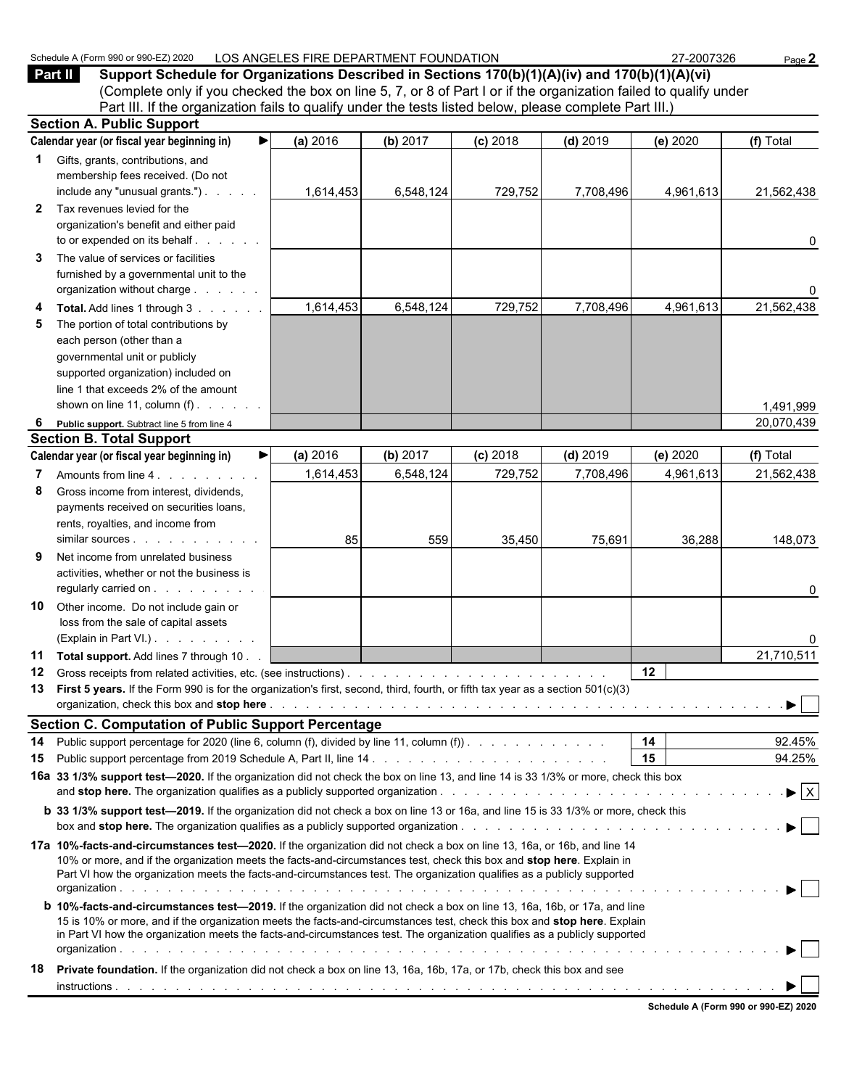#### Schedule A (Form 990 or 990-EZ) 2020 LOS ANGELES FIRE DEPARTMENT FOUNDATION 27-2007326 Page 2

**Part II Support Schedule for Organizations Described in Sections 170(b)(1)(A)(iv) and 170(b)(1)(A)(vi)** (Complete only if you checked the box on line 5, 7, or 8 of Part I or if the organization failed to qualify under Part III. If the organization fails to qualify under the tests listed below, please complete Part III.) **Section A. Public Support**

|              | Section A. Public Support                                                                                                                                                                                                                              |           |           |            |            |           |                                |
|--------------|--------------------------------------------------------------------------------------------------------------------------------------------------------------------------------------------------------------------------------------------------------|-----------|-----------|------------|------------|-----------|--------------------------------|
|              | Calendar year (or fiscal year beginning in)<br>▶                                                                                                                                                                                                       | (a) 2016  | (b) 2017  | $(c)$ 2018 | $(d)$ 2019 | (e) 2020  | (f) Total                      |
|              | 1 Gifts, grants, contributions, and                                                                                                                                                                                                                    |           |           |            |            |           |                                |
|              | membership fees received. (Do not                                                                                                                                                                                                                      |           |           |            |            |           |                                |
|              | include any "unusual grants.")                                                                                                                                                                                                                         | 1,614,453 | 6,548,124 | 729,752    | 7,708,496  | 4,961,613 | 21,562,438                     |
| $\mathbf{2}$ | Tax revenues levied for the                                                                                                                                                                                                                            |           |           |            |            |           |                                |
|              | organization's benefit and either paid                                                                                                                                                                                                                 |           |           |            |            |           |                                |
|              | to or expended on its behalf                                                                                                                                                                                                                           |           |           |            |            |           | 0                              |
| 3            | The value of services or facilities                                                                                                                                                                                                                    |           |           |            |            |           |                                |
|              | furnished by a governmental unit to the                                                                                                                                                                                                                |           |           |            |            |           |                                |
|              | organization without charge                                                                                                                                                                                                                            |           |           |            |            |           | 0                              |
| 4            | Total. Add lines 1 through 3                                                                                                                                                                                                                           | 1,614,453 | 6,548,124 | 729,752    | 7,708,496  | 4,961,613 | 21,562,438                     |
| 5            | The portion of total contributions by                                                                                                                                                                                                                  |           |           |            |            |           |                                |
|              | each person (other than a                                                                                                                                                                                                                              |           |           |            |            |           |                                |
|              | governmental unit or publicly                                                                                                                                                                                                                          |           |           |            |            |           |                                |
|              | supported organization) included on                                                                                                                                                                                                                    |           |           |            |            |           |                                |
|              | line 1 that exceeds 2% of the amount                                                                                                                                                                                                                   |           |           |            |            |           |                                |
|              | shown on line 11, column $(f)$ .                                                                                                                                                                                                                       |           |           |            |            |           |                                |
|              |                                                                                                                                                                                                                                                        |           |           |            |            |           | 1,491,999                      |
| 6            | Public support. Subtract line 5 from line 4                                                                                                                                                                                                            |           |           |            |            |           | 20,070,439                     |
|              | <b>Section B. Total Support</b>                                                                                                                                                                                                                        |           |           |            |            |           |                                |
|              | Calendar year (or fiscal year beginning in)                                                                                                                                                                                                            | (a) 2016  | (b) 2017  | (c) 2018   | $(d)$ 2019 | (e) 2020  | (f) Total                      |
| $\mathbf{7}$ | Amounts from line 4.                                                                                                                                                                                                                                   | 1,614,453 | 6,548,124 | 729.752    | 7.708.496  | 4,961,613 | 21,562,438                     |
| 8            | Gross income from interest, dividends,                                                                                                                                                                                                                 |           |           |            |            |           |                                |
|              | payments received on securities loans,                                                                                                                                                                                                                 |           |           |            |            |           |                                |
|              | rents, royalties, and income from                                                                                                                                                                                                                      |           |           |            |            |           |                                |
|              |                                                                                                                                                                                                                                                        | 85        | 559       | 35,450     | 75,691     | 36,288    | 148,073                        |
| 9            | Net income from unrelated business                                                                                                                                                                                                                     |           |           |            |            |           |                                |
|              | activities, whether or not the business is                                                                                                                                                                                                             |           |           |            |            |           |                                |
|              | regularly carried on                                                                                                                                                                                                                                   |           |           |            |            |           | 0                              |
| 10           | Other income. Do not include gain or                                                                                                                                                                                                                   |           |           |            |            |           |                                |
|              | loss from the sale of capital assets                                                                                                                                                                                                                   |           |           |            |            |           |                                |
|              | (Explain in Part VI.)                                                                                                                                                                                                                                  |           |           |            |            |           | 0                              |
|              | 11 Total support. Add lines 7 through 10                                                                                                                                                                                                               |           |           |            |            |           | 21,710,511                     |
| 12           |                                                                                                                                                                                                                                                        |           |           |            |            | 12        |                                |
|              | 13 First 5 years. If the Form 990 is for the organization's first, second, third, fourth, or fifth tax year as a section 501(c)(3)                                                                                                                     |           |           |            |            |           |                                |
|              |                                                                                                                                                                                                                                                        |           |           |            |            |           |                                |
|              | <b>Section C. Computation of Public Support Percentage</b>                                                                                                                                                                                             |           |           |            |            |           |                                |
|              | 14 Public support percentage for 2020 (line 6, column (f), divided by line 11, column (f)).                                                                                                                                                            |           |           |            |            | 14        | 92.45%                         |
| 15           | Public support percentage from 2019 Schedule A, Part II, line 14.                                                                                                                                                                                      |           |           |            |            | 15        | 94.25%                         |
|              | 16a 33 1/3% support test-2020. If the organization did not check the box on line 13, and line 14 is 33 1/3% or more, check this box                                                                                                                    |           |           |            |            |           |                                |
|              |                                                                                                                                                                                                                                                        |           |           |            |            |           | $\blacktriangleright$ $\mid$ X |
|              |                                                                                                                                                                                                                                                        |           |           |            |            |           |                                |
|              | <b>b</b> 33 1/3% support test—2019. If the organization did not check a box on line 13 or 16a, and line 15 is 33 1/3% or more, check this                                                                                                              |           |           |            |            |           |                                |
|              |                                                                                                                                                                                                                                                        |           |           |            |            |           |                                |
|              | 17a 10%-facts-and-circumstances test-2020. If the organization did not check a box on line 13, 16a, or 16b, and line 14                                                                                                                                |           |           |            |            |           |                                |
|              | 10% or more, and if the organization meets the facts-and-circumstances test, check this box and stop here. Explain in                                                                                                                                  |           |           |            |            |           |                                |
|              | Part VI how the organization meets the facts-and-circumstances test. The organization qualifies as a publicly supported                                                                                                                                |           |           |            |            |           |                                |
|              |                                                                                                                                                                                                                                                        |           |           |            |            |           |                                |
|              | <b>b</b> 10%-facts-and-circumstances test-2019. If the organization did not check a box on line 13, 16a, 16b, or 17a, and line                                                                                                                         |           |           |            |            |           |                                |
|              | 15 is 10% or more, and if the organization meets the facts-and-circumstances test, check this box and stop here. Explain<br>in Part VI how the organization meets the facts-and-circumstances test. The organization qualifies as a publicly supported |           |           |            |            |           |                                |
|              |                                                                                                                                                                                                                                                        |           |           |            |            |           |                                |
|              |                                                                                                                                                                                                                                                        |           |           |            |            |           |                                |
| 18           | Private foundation. If the organization did not check a box on line 13, 16a, 16b, 17a, or 17b, check this box and see                                                                                                                                  |           |           |            |            |           |                                |
|              |                                                                                                                                                                                                                                                        |           |           |            |            |           |                                |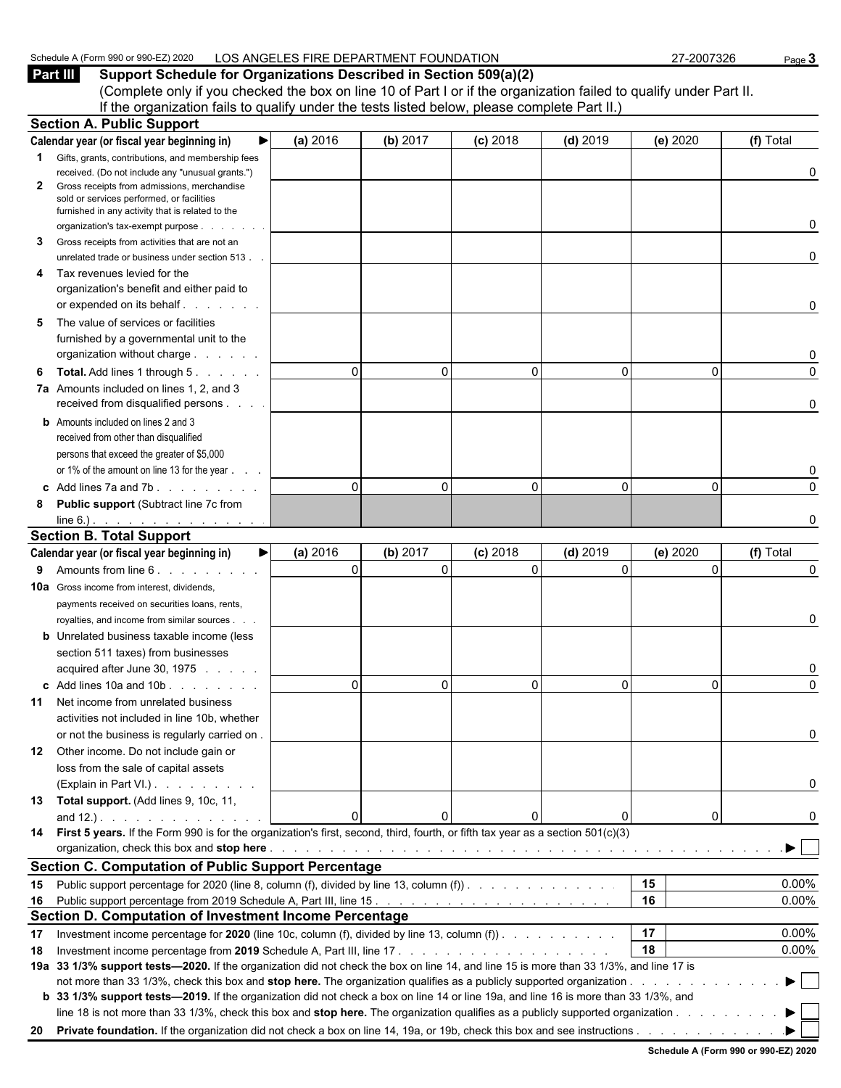| J 2020<br>Schedule<br>$.380$ or $900$<br>$\sqrt{\text{Form }99^\circ}$<br>$\cdots$ | FIRE DEPARTMENT FOUNDAT<br>$\cap$ c<br>NOIT^<br>, ANGF'<br>-0<br>י ⊂ب<br>-v., | -2007326 | oade √ |
|------------------------------------------------------------------------------------|-------------------------------------------------------------------------------|----------|--------|
|                                                                                    |                                                                               |          |        |

**Part III Support Schedule for Organizations Described in Section 509(a)(2)** (Complete only if you checked the box on line 10 of Part I or if the organization failed to qualify under Part II. If the organization fails to qualify under the tests listed below, please complete Part II.) **Section A. Public Support**

|    | OCUNUITA. FUNIIU JUPPUIT                                                                                                               |          |             |             |                |          |           |
|----|----------------------------------------------------------------------------------------------------------------------------------------|----------|-------------|-------------|----------------|----------|-----------|
|    | Calendar year (or fiscal year beginning in)<br>▶                                                                                       | (a) 2016 | (b) 2017    | $(c)$ 2018  | $(d)$ 2019     | (e) 2020 | (f) Total |
|    | Gifts, grants, contributions, and membership fees                                                                                      |          |             |             |                |          |           |
|    | received. (Do not include any "unusual grants.")                                                                                       |          |             |             |                |          | 0         |
| 2  | Gross receipts from admissions, merchandise                                                                                            |          |             |             |                |          |           |
|    | sold or services performed, or facilities<br>furnished in any activity that is related to the                                          |          |             |             |                |          |           |
|    | organization's tax-exempt purpose.<br>and a state                                                                                      |          |             |             |                |          | 0         |
| 3  | Gross receipts from activities that are not an                                                                                         |          |             |             |                |          |           |
|    | unrelated trade or business under section 513.                                                                                         |          |             |             |                |          | 0         |
| 4  | Tax revenues levied for the                                                                                                            |          |             |             |                |          |           |
|    | organization's benefit and either paid to                                                                                              |          |             |             |                |          |           |
|    | or expended on its behalf                                                                                                              |          |             |             |                |          | 0         |
| 5  | The value of services or facilities                                                                                                    |          |             |             |                |          |           |
|    | furnished by a governmental unit to the                                                                                                |          |             |             |                |          |           |
|    | organization without charge                                                                                                            |          |             |             |                |          |           |
| 6  | <b>Total.</b> Add lines 1 through 5.                                                                                                   | $\Omega$ | 0           | $\Omega$    | $\Omega$       | 0        | $\Omega$  |
|    | 7a Amounts included on lines 1, 2, and 3                                                                                               |          |             |             |                |          |           |
|    | received from disqualified persons                                                                                                     |          |             |             |                |          | 0         |
|    | <b>b</b> Amounts included on lines 2 and 3                                                                                             |          |             |             |                |          |           |
|    | received from other than disqualified                                                                                                  |          |             |             |                |          |           |
|    | persons that exceed the greater of \$5,000                                                                                             |          |             |             |                |          |           |
|    | or 1% of the amount on line 13 for the year                                                                                            |          |             |             |                |          |           |
|    | c Add lines 7a and 7b.                                                                                                                 | $\Omega$ | $\Omega$    | $\Omega$    | $\mathbf{0}$   | $\Omega$ | 0         |
| 8  | Public support (Subtract line 7c from                                                                                                  |          |             |             |                |          |           |
|    | line 6.). $\cdots$ $\cdots$ $\cdots$                                                                                                   |          |             |             |                |          | O         |
|    | <b>Section B. Total Support</b>                                                                                                        |          |             |             |                |          |           |
|    | ▶<br>Calendar year (or fiscal year beginning in)                                                                                       | (a) 2016 | (b) 2017    | $(c)$ 2018  | $(d)$ 2019     | (e) 2020 | (f) Total |
| 9  | Amounts from line 6. Amounts                                                                                                           | $\Omega$ | $\mathbf 0$ | $\mathbf 0$ | $\overline{0}$ | 0        | 0         |
|    | <b>10a</b> Gross income from interest, dividends,                                                                                      |          |             |             |                |          |           |
|    | payments received on securities loans, rents,                                                                                          |          |             |             |                |          |           |
|    | royalties, and income from similar sources.                                                                                            |          |             |             |                |          | 0         |
|    | <b>b</b> Unrelated business taxable income (less                                                                                       |          |             |             |                |          |           |
|    | section 511 taxes) from businesses                                                                                                     |          |             |             |                |          |           |
|    | acquired after June 30, 1975                                                                                                           |          |             |             |                |          |           |
|    | c Add lines 10a and 10b                                                                                                                | $\Omega$ | 0           | $\Omega$    | $\mathbf{0}$   | $\Omega$ | $\Omega$  |
| 11 | Net income from unrelated business                                                                                                     |          |             |             |                |          |           |
|    | activities not included in line 10b, whether                                                                                           |          |             |             |                |          |           |
|    | or not the business is regularly carried on.                                                                                           |          |             |             |                |          | 0         |
|    | 12 Other income. Do not include gain or                                                                                                |          |             |             |                |          |           |
|    | loss from the sale of capital assets                                                                                                   |          |             |             |                |          |           |
|    | (Explain in Part VI.)                                                                                                                  |          |             |             |                |          | 0         |
|    | 13 Total support. (Add lines 9, 10c, 11,                                                                                               |          |             |             |                |          |           |
|    | and $12.$ ). $\ldots$ $\ldots$ $\ldots$ $\ldots$ $\ldots$                                                                              | $\Omega$ | 0           |             | 0              | 0        | 0         |
|    | 14 First 5 years. If the Form 990 is for the organization's first, second, third, fourth, or fifth tax year as a section 501(c)(3)     |          |             |             |                |          |           |
|    |                                                                                                                                        |          |             |             |                |          |           |
|    | <b>Section C. Computation of Public Support Percentage</b>                                                                             |          |             |             |                |          |           |
|    |                                                                                                                                        |          |             |             |                | 15       | 0.00%     |
|    |                                                                                                                                        |          |             |             |                |          | 0.00%     |
| 15 | Public support percentage for 2020 (line 8, column (f), divided by line 13, column (f)).                                               |          |             |             |                | 16       |           |
| 16 |                                                                                                                                        |          |             |             |                |          |           |
|    | Section D. Computation of Investment Income Percentage                                                                                 |          |             |             |                | 17       |           |
| 17 | Investment income percentage for 2020 (line 10c, column (f), divided by line 13, column (f)). $\ldots$                                 |          |             |             |                | 18       | 0.00%     |
| 18 |                                                                                                                                        |          |             |             |                |          | 0.00%     |
|    | 19a 33 1/3% support tests—2020. If the organization did not check the box on line 14, and line 15 is more than 33 1/3%, and line 17 is |          |             |             |                |          |           |
|    | b 33 1/3% support tests-2019. If the organization did not check a box on line 14 or line 19a, and line 16 is more than 33 1/3%, and    |          |             |             |                |          |           |
|    | line 18 is not more than 33 1/3%, check this box and stop here. The organization qualifies as a publicly supported organization        |          |             |             |                |          |           |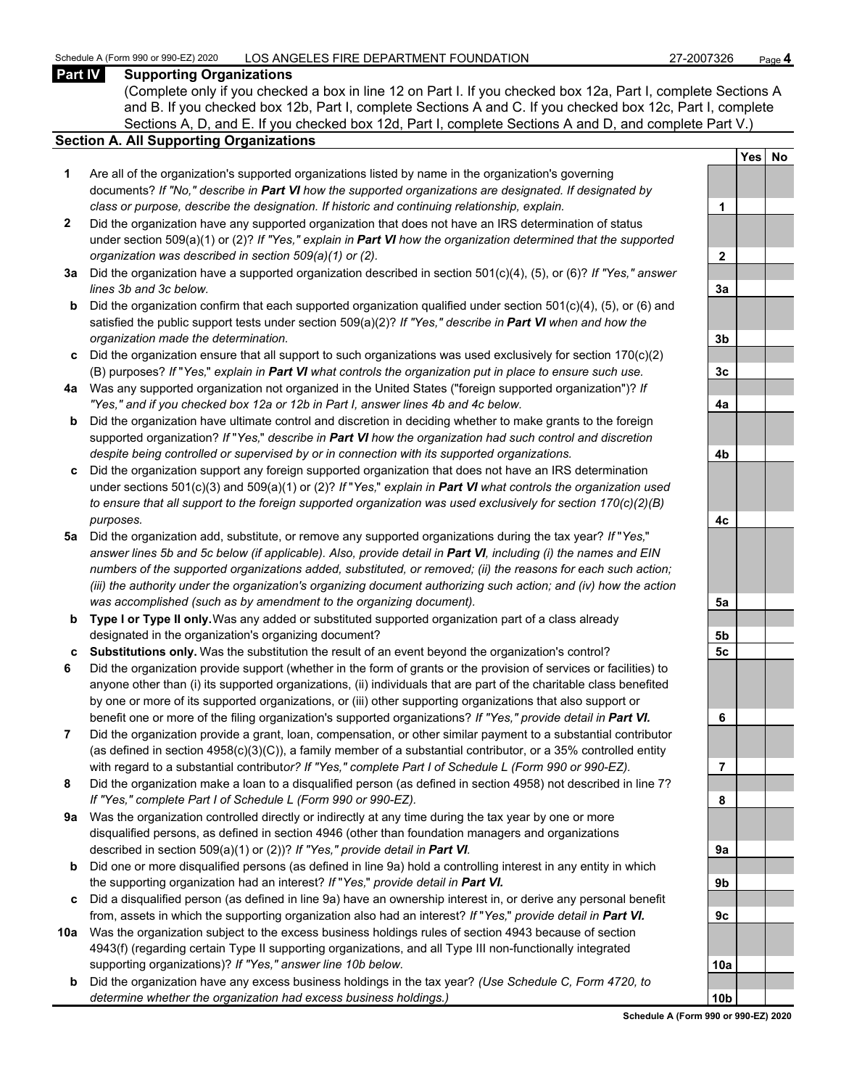#### **Part IV Supporting Organizations**

(Complete only if you checked a box in line 12 on Part I. If you checked box 12a, Part I, complete Sections A and B. If you checked box 12b, Part I, complete Sections A and C. If you checked box 12c, Part I, complete Sections A, D, and E. If you checked box 12d, Part I, complete Sections A and D, and complete Part V.)

#### **Section A. All Supporting Organizations**

- **1** Are all of the organization's supported organizations listed by name in the organization's governing documents? *If "No," describe in Part VI how the supported organizations are designated. If designated by class or purpose, describe the designation. If historic and continuing relationship, explain.* **1**
- **2** Did the organization have any supported organization that does not have an IRS determination of status under section 509(a)(1) or (2)? *If "Yes," explain in Part VI how the organization determined that the supported organization was described in section 509(a)(1) or (2).*
- **3a** Did the organization have a supported organization described in section 501(c)(4), (5), or (6)? *If "Yes," answer*  $lines$  3b and 3c below.
- **b** Did the organization confirm that each supported organization qualified under section 501(c)(4), (5), or (6) and satisfied the public support tests under section 509(a)(2)? *If "Yes," describe in Part VI when and how the organization made the determination.* **3b**
- **c** Did the organization ensure that all support to such organizations was used exclusively for section 170(c)(2) (B) purposes? *If* "*Yes,*" *explain in Part VI what controls the organization put in place to ensure such use.* **3c**
- **4a** Was any supported organization not organized in the United States ("foreign supported organization")? *If "Yes," and if you checked box 12a or 12b in Part I, answer lines 4b and 4c below.* **4a**
- **b** Did the organization have ultimate control and discretion in deciding whether to make grants to the foreign supported organization? *If* "*Yes,*" *describe in Part VI how the organization had such control and discretion despite being controlled or supervised by or in connection with its supported organizations.* **4b**
- **c** Did the organization support any foreign supported organization that does not have an IRS determination under sections 501(c)(3) and 509(a)(1) or (2)? *If* "*Yes,*" *explain in Part VI what controls the organization used to ensure that all support to the foreign supported organization was used exclusively for section 170(c)(2)(B) purposes.* **4c**
- **5a** Did the organization add, substitute, or remove any supported organizations during the tax year? *If* "*Yes,*" *answer lines 5b and 5c below (if applicable). Also, provide detail in Part VI, including (i) the names and EIN numbers of the supported organizations added, substituted, or removed; (ii) the reasons for each such action; (iii) the authority under the organization's organizing document authorizing such action; and (iv) how the action was accomplished (such as by amendment to the organizing document).* **5a**
- **b Type I or Type II only.** Was any added or substituted supported organization part of a class already designated in the organization's organizing document? **5b**
- **c Substitutions only.** Was the substitution the result of an event beyond the organization's control? **5c**
- **6** Did the organization provide support (whether in the form of grants or the provision of services or facilities) to anyone other than (i) its supported organizations, (ii) individuals that are part of the charitable class benefited by one or more of its supported organizations, or (iii) other supporting organizations that also support or benefit one or more of the filing organization's supported organizations? *If "Yes," provide detail in Part VI.* **6**
- **7** Did the organization provide a grant, loan, compensation, or other similar payment to a substantial contributor (as defined in section 4958(c)(3)(C)), a family member of a substantial contributor, or a 35% controlled entity with regard to a substantial contribut*or? If "Yes," complete Part I of Schedule L (Form 990 or 990-EZ).* **7**
- **8** Did the organization make a loan to a disqualified person (as defined in section 4958) not described in line 7? *If "Yes," complete Part I of Schedule L (Form 990 or 990-EZ).* **8**
- **9a** Was the organization controlled directly or indirectly at any time during the tax year by one or more disqualified persons, as defined in section 4946 (other than foundation managers and organizations described in section 509(a)(1) or (2))? If "Yes," provide detail in Part VI.
- **b** Did one or more disqualified persons (as defined in line 9a) hold a controlling interest in any entity in which the supporting organization had an interest? *If* "*Yes,*" *provide detail in Part VI.* **9b**
- **c** Did a disqualified person (as defined in line 9a) have an ownership interest in, or derive any personal benefit from, assets in which the supporting organization also had an interest? *If* "*Yes,*" *provide detail in Part VI.* **9c**
- **10a** Was the organization subject to the excess business holdings rules of section 4943 because of section 4943(f) (regarding certain Type II supporting organizations, and all Type III non-functionally integrated supporting organizations)? If "Yes," answer line 10b below.
	- **b** Did the organization have any excess business holdings in the tax year? *(Use Schedule C, Form 4720, to determine whether the organization had excess business holdings.)*

|                 | Yes | <u>No</u> |
|-----------------|-----|-----------|
|                 |     |           |
| 1               |     |           |
|                 |     |           |
| $\overline{2}$  |     |           |
|                 |     |           |
| <u>3a</u>       |     |           |
|                 |     |           |
| <u>3b</u>       |     |           |
| <u>3c</u>       |     |           |
|                 |     |           |
| <u>4a</u>       |     |           |
|                 |     |           |
| <u>4b</u>       |     |           |
|                 |     |           |
|                 |     |           |
| <u>4c</u>       |     |           |
|                 |     |           |
| <u>5a</u>       |     |           |
|                 |     |           |
| $\frac{5b}{5}$  |     |           |
| <u>5c</u>       |     |           |
|                 |     |           |
| 6               |     |           |
|                 |     |           |
| ľ<br>l          |     |           |
|                 |     |           |
| 8               |     |           |
|                 |     |           |
| 9а              |     |           |
| 9b              |     |           |
|                 |     |           |
| 9c              |     |           |
|                 |     |           |
|                 |     |           |
| 10a             |     |           |
|                 |     |           |
| 10 <sub>b</sub> |     |           |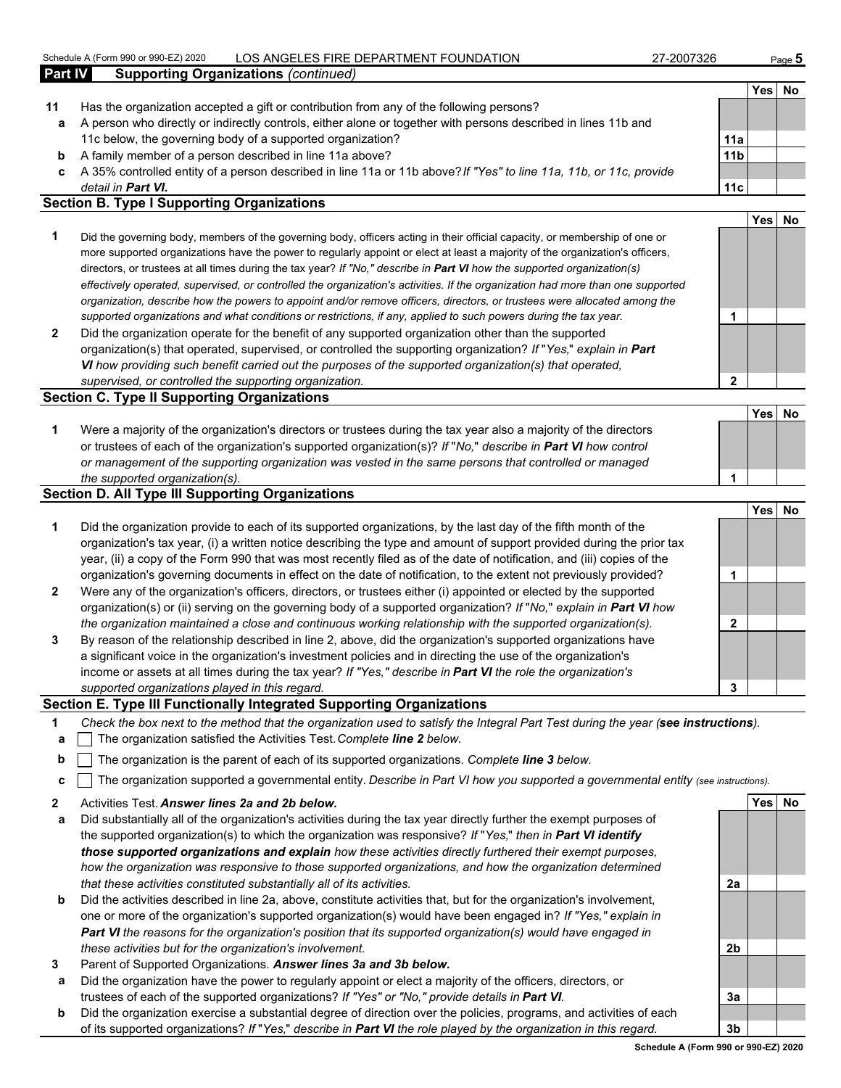#### Schedule A (Form 990 or 990-EZ) 2020 LOS ANGELES FIRE DEPARTMENT FOUNDATION 27-2007326 Page **5**

|                | <u> Odhoudio / 1111 ohni ooo of ooo EETE of</u><br>LOU ANULLLU I INL DLI ANTIVILIVI I UUNDATION                    | 21-2001 JZU     |      | raye <b>J</b> |
|----------------|--------------------------------------------------------------------------------------------------------------------|-----------------|------|---------------|
| <b>Part IV</b> | <b>Supporting Organizations (continued)</b>                                                                        |                 |      |               |
|                |                                                                                                                    |                 | Yesl | No            |
| 11             | Has the organization accepted a gift or contribution from any of the following persons?                            |                 |      |               |
| а              | A person who directly or indirectly controls, either alone or together with persons described in lines 11b and     |                 |      |               |
|                | 11c below, the governing body of a supported organization?                                                         | 11a             |      |               |
| b              | A family member of a person described in line 11a above?                                                           | 11 <sub>b</sub> |      |               |
| c              | A 35% controlled entity of a person described in line 11a or 11b above? If "Yes" to line 11a, 11b, or 11c, provide |                 |      |               |
|                | detail in <b>Part VI.</b>                                                                                          | 11c             |      |               |
|                | <b>Section B. Type I Supporting Organizations</b>                                                                  |                 |      |               |
|                |                                                                                                                    |                 | Yes. |               |
|                |                                                                                                                    |                 |      |               |

- **1** Did the governing body, members of the governing body, officers acting in their official capacity, or membership of one or more supported organizations have the power to regularly appoint or elect at least a majority of the organization's officers, directors, or trustees at all times during the tax year? *If "No," describe in Part VI how the supported organization(s) effectively operated, supervised, or controlled the organization's activities. If the organization had more than one supported organization, describe how the powers to appoint and/or remove officers, directors, or trustees were allocated among the supported organizations and what conditions or restrictions, if any, applied to such powers during the tax year.* **1**
- **2** Did the organization operate for the benefit of any supported organization other than the supported organization(s) that operated, supervised, or controlled the supporting organization? *If* "*Yes,*" *explain in Part VI how providing such benefit carried out the purposes of the supported organization(s) that operated, supervised, or controlled the supporting organization.* **2**

#### **Section C. Type II Supporting Organizations**

| Were a majority of the organization's directors or trustees during the tax year also a majority of the directors |  |
|------------------------------------------------------------------------------------------------------------------|--|
| or trustees of each of the organization's supported organization(s)? If "No," describe in Part VI how control    |  |
| or management of the supporting organization was vested in the same persons that controlled or managed           |  |
| the supported organization(s).                                                                                   |  |

#### **Section D. All Type III Supporting Organizations**

|                |                                                                                                                        |   | <b>Yes</b> | No |
|----------------|------------------------------------------------------------------------------------------------------------------------|---|------------|----|
| $\mathbf 1$    | Did the organization provide to each of its supported organizations, by the last day of the fifth month of the         |   |            |    |
|                | organization's tax year, (i) a written notice describing the type and amount of support provided during the prior tax  |   |            |    |
|                | year, (ii) a copy of the Form 990 that was most recently filed as of the date of notification, and (iii) copies of the |   |            |    |
|                | organization's governing documents in effect on the date of notification, to the extent not previously provided?       |   |            |    |
| $\overline{2}$ | Were any of the organization's officers, directors, or trustees either (i) appointed or elected by the supported       |   |            |    |
|                | organization(s) or (ii) serving on the governing body of a supported organization? If "No," explain in Part VI how     |   |            |    |
|                | the organization maintained a close and continuous working relationship with the supported organization(s).            |   |            |    |
| 3              | By reason of the relationship described in line 2, above, did the organization's supported organizations have          |   |            |    |
|                | a significant voice in the organization's investment policies and in directing the use of the organization's           |   |            |    |
|                | income or assets at all times during the tax year? If "Yes," describe in Part VI the role the organization's           |   |            |    |
|                | supported organizations played in this regard.                                                                         | 3 |            |    |

#### **Section E. Type III Functionally Integrated Supporting Organizations**

- **1** *Check the box next to the method that the organization used to satisfy the Integral Part Test during the year (see instructions).*
- **a** The organization satisfied the Activities Test. *Complete line 2 below.*
- **b** The organization is the parent of each of its supported organizations. *Complete line 3 below.*
- **c** The organization supported a governmental entity. *Describe in Part VI how you supported a governmental entity (see instructions).*
- **2** Activities Test. *Answer lines 2a and 2b below.* **Yes No**
- **a** Did substantially all of the organization's activities during the tax year directly further the exempt purposes of the supported organization(s) to which the organization was responsive? *If* "*Yes,*" *then in Part VI identify those supported organizations and explain how these activities directly furthered their exempt purposes, how the organization was responsive to those supported organizations, and how the organization determined that these activities constituted substantially all of its activities.* **2a**
- **b** Did the activities described in line 2a, above, constitute activities that, but for the organization's involvement, one or more of the organization's supported organization(s) would have been engaged in? *If "Yes," explain in Part VI the reasons for the organization's position that its supported organization(s) would have engaged in these activities but for the organization's involvement.* **2b**
- **3** Parent of Supported Organizations. *Answer lines 3a and 3b below.*
- **a** Did the organization have the power to regularly appoint or elect a majority of the officers, directors, or trustees of each of the supported organizations? *If "Yes" or "No," provide details in Part VI.* **3a**
- **b** Did the organization exercise a substantial degree of direction over the policies, programs, and activities of each of its supported organizations? *If* "*Yes,*" *describe in Part VI the role played by the organization in this regard.* **3b**

**Yes No**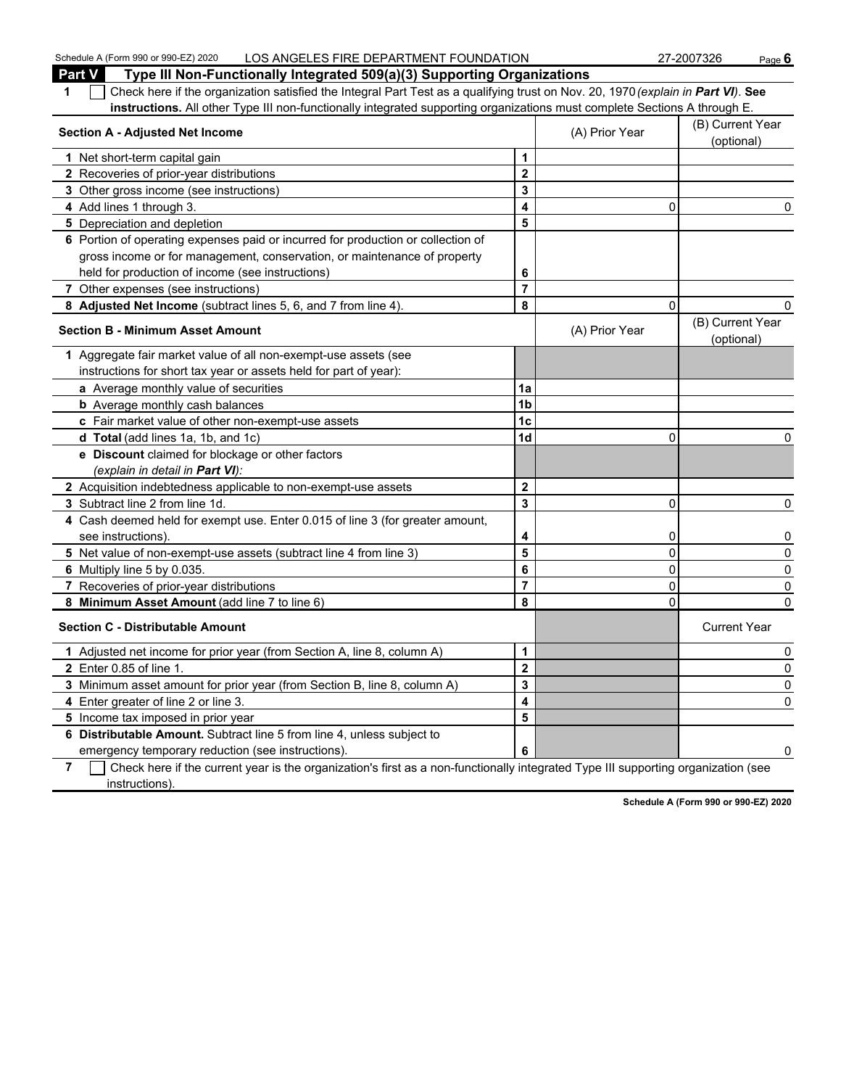**Part V Type III Non-Functionally Integrated 509(a)(3) Supporting Organizations 1** Check here if the organization satisfied the Integral Part Test as a qualifying trust on Nov. 20, 1970 *(explain in Part VI)*. **See instructions.** All other Type III non-functionally integrated supporting organizations must complete Sections A through E. **Section A - Adjusted Net Income** (B) Current Year (B) Current Year (B) Current Year (B) Current Year (B) Current Year (B) Current Year (B) Current Year (B) Current Year (B) Current Year (B) Current Year (B) Current Year ( (optional) **1** Net short-term capital gain **1 1 2** Recoveries of prior-year distributions **2 3** Other gross income (see instructions) **3 4** Add lines 1 through 3. **4** 0 0 **5** Depreciation and depletion **5 5 6** Portion of operating expenses paid or incurred for production or collection of gross income or for management, conservation, or maintenance of property held for production of income (see instructions) **6 7** Other expenses (see instructions) **7 8 Adjusted Net Income** (subtract lines 5, 6, and 7 from line 4). **8** 0 0 **Section B - Minimum Asset Amount Contract Amount** (A) Prior Year (B) Current Year (B) Current Year (B) Current Year (B) Current Year (B) Current Year (B) Current Year (B) Current Year (B) Current Year (B) Current Year ( (optional) **1** Aggregate fair market value of all non-exempt-use assets (see instructions for short tax year or assets held for part of year): **a** Average monthly value of securities **1a b** Average monthly cash balances **1b** Average monthly cash balances **c** Fair market value of other non-exempt-use assets **1c d Total** (add lines 1a, 1b, and 1c) **1d** 0 0 **e Discount** claimed for blockage or other factors *(explain in detail in Part VI):* **2** Acquisition indebtedness applicable to non-exempt-use assets **2 3** Subtract line 2 from line 1d. **3** 0 0 **4** Cash deemed held for exempt use. Enter 0.015 of line 3 (for greater amount, see instructions).  $\begin{vmatrix} 4 & 0 \\ 0 & 0 \end{vmatrix}$  0 0 **5** Net value of non-exempt-use assets (subtract line 4 from line 3) **5** 0 0 **6** Multiply line 5 by 0.035. **6** 0 0 **7** Recoveries of prior-year distributions **7** 0 0 **8 Minimum Asset Amount** (add line 7 to line 6) **8** 0 0 **Section C - Distributable Amount** Current Year Current Year Current Year Current Year Current Year **1** Adjusted net income for prior year (from Section A, line 8, column A) **1** 0 **2** Enter 0.85 of line 1. **2** 0 **3** Minimum asset amount for prior year (from Section B, line 8, column A) **3** 0 **4** Enter greater of line 2 or line 3. **4** 0 **5** Income tax imposed in prior year **5 6 Distributable Amount.** Subtract line 5 from line 4, unless subject to emergency temporary reduction (see instructions). **6** 0

Schedule A (Form 990 or 990-EZ) 2020 LOS ANGELES FIRE DEPARTMENT FOUNDATION 27-2007326 Page 6

**7** Check here if the current year is the organization's first as a non-functionally integrated Type III supporting organization (see instructions).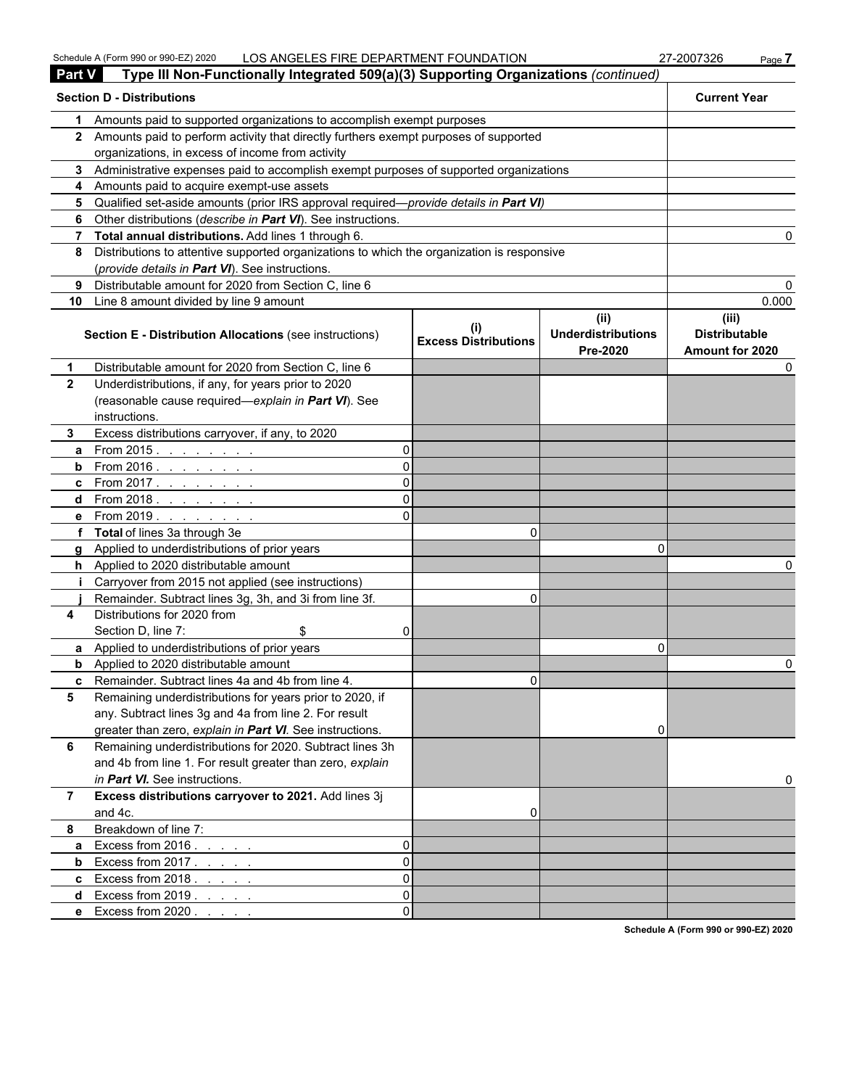| <b>Part V</b>  | Type III Non-Functionally Integrated 509(a)(3) Supporting Organizations (continued)          |    |                                             |                                               |                                                  |
|----------------|----------------------------------------------------------------------------------------------|----|---------------------------------------------|-----------------------------------------------|--------------------------------------------------|
|                | <b>Section D - Distributions</b>                                                             |    |                                             |                                               | <b>Current Year</b>                              |
| 1              | Amounts paid to supported organizations to accomplish exempt purposes                        |    |                                             |                                               |                                                  |
|                | 2 Amounts paid to perform activity that directly furthers exempt purposes of supported       |    |                                             |                                               |                                                  |
|                | organizations, in excess of income from activity                                             |    |                                             |                                               |                                                  |
|                | 3 Administrative expenses paid to accomplish exempt purposes of supported organizations      |    |                                             |                                               |                                                  |
|                | 4 Amounts paid to acquire exempt-use assets                                                  |    |                                             |                                               |                                                  |
|                | 5 Qualified set-aside amounts (prior IRS approval required—provide details in Part VI)       |    |                                             |                                               |                                                  |
| 6              | Other distributions (describe in Part VI). See instructions.                                 |    |                                             |                                               |                                                  |
|                | 7 Total annual distributions. Add lines 1 through 6.                                         |    |                                             |                                               |                                                  |
|                | 8 Distributions to attentive supported organizations to which the organization is responsive |    |                                             |                                               |                                                  |
|                | (provide details in Part VI). See instructions.                                              |    |                                             |                                               |                                                  |
| 9              | Distributable amount for 2020 from Section C, line 6                                         |    |                                             |                                               |                                                  |
| 10             | Line 8 amount divided by line 9 amount                                                       |    |                                             |                                               | 0.000                                            |
|                | <b>Section E - Distribution Allocations (see instructions)</b>                               |    | $\sf ^{(l)}$<br><b>Excess Distributions</b> | (ii)<br><b>Underdistributions</b><br>Pre-2020 | (iii)<br><b>Distributable</b><br>Amount for 2020 |
| $\mathbf 1$    | Distributable amount for 2020 from Section C, line 6                                         |    |                                             |                                               |                                                  |
| $\overline{2}$ | Underdistributions, if any, for years prior to 2020                                          |    |                                             |                                               |                                                  |
|                | (reasonable cause required-explain in Part VI). See                                          |    |                                             |                                               |                                                  |
|                | instructions.                                                                                |    |                                             |                                               |                                                  |
| 3.             | Excess distributions carryover, if any, to 2020                                              |    |                                             |                                               |                                                  |
| a              | From 2015. $\ldots$                                                                          | 0  |                                             |                                               |                                                  |
|                | <b>b</b> From 2016. $\frac{1}{1}$                                                            | 0  |                                             |                                               |                                                  |
|                | <b>c</b> From 2017.                                                                          | 0  |                                             |                                               |                                                  |
|                | d From 2018.                                                                                 | 0  |                                             |                                               |                                                  |
|                | <b>e</b> From 2019.                                                                          | ΩI |                                             |                                               |                                                  |
|                | f Total of lines 3a through 3e                                                               |    | 0                                           |                                               |                                                  |
|                | g Applied to underdistributions of prior years                                               |    |                                             | n                                             |                                                  |
|                | h Applied to 2020 distributable amount                                                       |    |                                             |                                               |                                                  |
| Ť.             | Carryover from 2015 not applied (see instructions)                                           |    |                                             |                                               |                                                  |
|                | Remainder. Subtract lines 3g, 3h, and 3i from line 3f.                                       |    | $\Omega$                                    |                                               |                                                  |
| 4              | Distributions for 2020 from                                                                  |    |                                             |                                               |                                                  |
|                | Section D, line 7:<br>\$                                                                     | 0  |                                             |                                               |                                                  |
|                | a Applied to underdistributions of prior years                                               |    |                                             | 0                                             |                                                  |
|                | <b>b</b> Applied to 2020 distributable amount                                                |    |                                             |                                               |                                                  |
|                | <b>c</b> Remainder. Subtract lines 4a and 4b from line 4.                                    |    | U.                                          |                                               |                                                  |
| 5              | Remaining underdistributions for years prior to 2020, if                                     |    |                                             |                                               |                                                  |
|                | any. Subtract lines 3g and 4a from line 2. For result                                        |    |                                             |                                               |                                                  |
|                | greater than zero, explain in Part VI. See instructions.                                     |    |                                             | 0                                             |                                                  |
| 6              | Remaining underdistributions for 2020. Subtract lines 3h                                     |    |                                             |                                               |                                                  |
|                | and 4b from line 1. For result greater than zero, explain                                    |    |                                             |                                               |                                                  |
|                | in Part VI. See instructions.                                                                |    |                                             |                                               |                                                  |
| $\overline{7}$ | Excess distributions carryover to 2021. Add lines 3j                                         |    |                                             |                                               |                                                  |
|                | and 4c.                                                                                      |    | 0                                           |                                               |                                                  |
| 8              | Breakdown of line 7:                                                                         |    |                                             |                                               |                                                  |
| a              | Excess from $2016. \ldots$ .                                                                 | 0  |                                             |                                               |                                                  |
| b              | Excess from $2017$ .                                                                         | 0  |                                             |                                               |                                                  |
|                | <b>c</b> Excess from $2018$ .                                                                | 0  |                                             |                                               |                                                  |
| d              | Excess from 2019.                                                                            | 0  |                                             |                                               |                                                  |
|                | e Excess from 2020                                                                           | 0  |                                             |                                               |                                                  |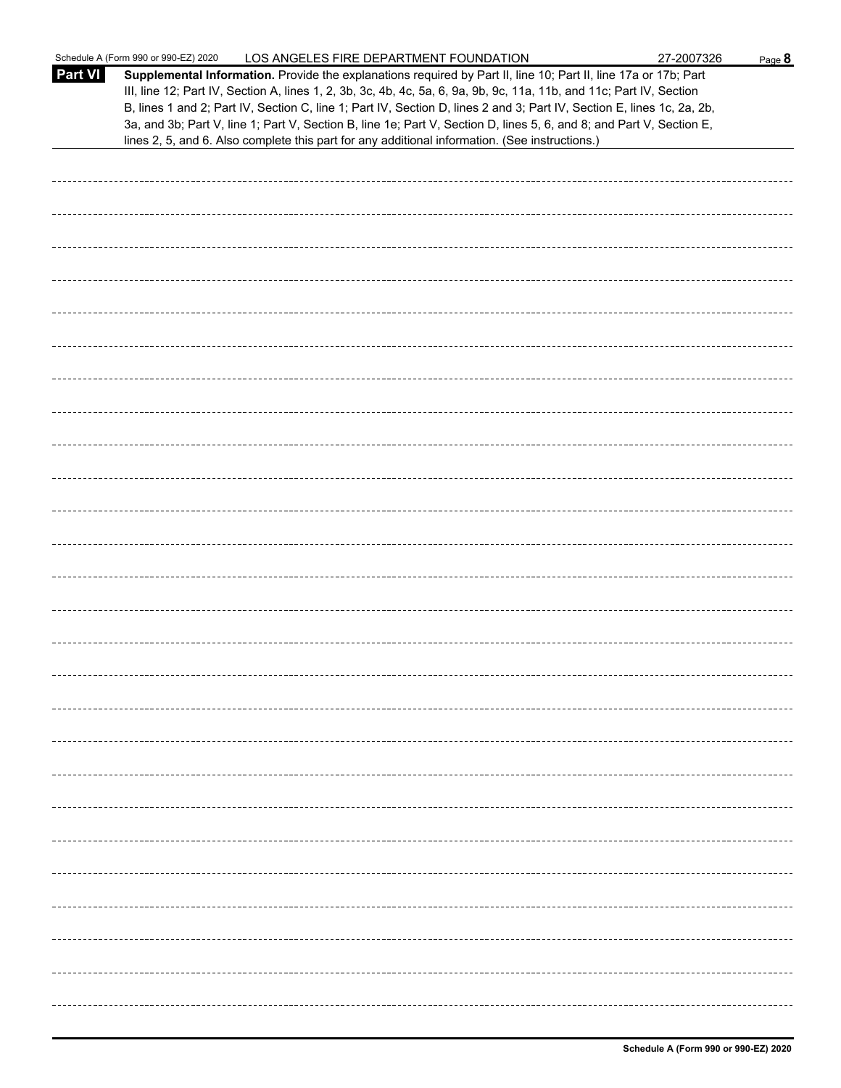|                | Schedule A (Form 990 or 990-EZ) 2020<br>LOS ANGELES FIRE DEPARTMENT FOUNDATION                                                                                                                                                                                                                                                                                                                                                                                                            | 27-2007326 | Page 8 |
|----------------|-------------------------------------------------------------------------------------------------------------------------------------------------------------------------------------------------------------------------------------------------------------------------------------------------------------------------------------------------------------------------------------------------------------------------------------------------------------------------------------------|------------|--------|
| <b>Part VI</b> | Supplemental Information. Provide the explanations required by Part II, line 10; Part II, line 17a or 17b; Part<br>III, line 12; Part IV, Section A, lines 1, 2, 3b, 3c, 4b, 4c, 5a, 6, 9a, 9b, 9c, 11a, 11b, and 11c; Part IV, Section<br>B, lines 1 and 2; Part IV, Section C, line 1; Part IV, Section D, lines 2 and 3; Part IV, Section E, lines 1c, 2a, 2b,<br>3a, and 3b; Part V, line 1; Part V, Section B, line 1e; Part V, Section D, lines 5, 6, and 8; and Part V, Section E, |            |        |
|                | lines 2, 5, and 6. Also complete this part for any additional information. (See instructions.)                                                                                                                                                                                                                                                                                                                                                                                            |            |        |
|                |                                                                                                                                                                                                                                                                                                                                                                                                                                                                                           |            |        |
|                |                                                                                                                                                                                                                                                                                                                                                                                                                                                                                           |            |        |
|                |                                                                                                                                                                                                                                                                                                                                                                                                                                                                                           |            |        |
|                |                                                                                                                                                                                                                                                                                                                                                                                                                                                                                           |            |        |
|                |                                                                                                                                                                                                                                                                                                                                                                                                                                                                                           |            |        |
|                |                                                                                                                                                                                                                                                                                                                                                                                                                                                                                           |            |        |
|                |                                                                                                                                                                                                                                                                                                                                                                                                                                                                                           |            |        |
|                |                                                                                                                                                                                                                                                                                                                                                                                                                                                                                           |            |        |
|                |                                                                                                                                                                                                                                                                                                                                                                                                                                                                                           |            |        |
|                |                                                                                                                                                                                                                                                                                                                                                                                                                                                                                           |            |        |
|                |                                                                                                                                                                                                                                                                                                                                                                                                                                                                                           |            |        |
|                |                                                                                                                                                                                                                                                                                                                                                                                                                                                                                           |            |        |
|                |                                                                                                                                                                                                                                                                                                                                                                                                                                                                                           |            |        |
|                |                                                                                                                                                                                                                                                                                                                                                                                                                                                                                           |            |        |
|                |                                                                                                                                                                                                                                                                                                                                                                                                                                                                                           |            |        |
|                |                                                                                                                                                                                                                                                                                                                                                                                                                                                                                           |            |        |
|                |                                                                                                                                                                                                                                                                                                                                                                                                                                                                                           |            |        |
|                |                                                                                                                                                                                                                                                                                                                                                                                                                                                                                           |            |        |
|                |                                                                                                                                                                                                                                                                                                                                                                                                                                                                                           |            |        |
|                |                                                                                                                                                                                                                                                                                                                                                                                                                                                                                           |            |        |
|                |                                                                                                                                                                                                                                                                                                                                                                                                                                                                                           |            |        |
|                |                                                                                                                                                                                                                                                                                                                                                                                                                                                                                           |            |        |
|                |                                                                                                                                                                                                                                                                                                                                                                                                                                                                                           |            |        |
|                |                                                                                                                                                                                                                                                                                                                                                                                                                                                                                           |            |        |
|                |                                                                                                                                                                                                                                                                                                                                                                                                                                                                                           |            |        |
|                |                                                                                                                                                                                                                                                                                                                                                                                                                                                                                           |            |        |
|                |                                                                                                                                                                                                                                                                                                                                                                                                                                                                                           |            |        |
|                |                                                                                                                                                                                                                                                                                                                                                                                                                                                                                           |            |        |
|                |                                                                                                                                                                                                                                                                                                                                                                                                                                                                                           |            |        |
|                |                                                                                                                                                                                                                                                                                                                                                                                                                                                                                           |            |        |
|                |                                                                                                                                                                                                                                                                                                                                                                                                                                                                                           |            |        |
|                |                                                                                                                                                                                                                                                                                                                                                                                                                                                                                           |            |        |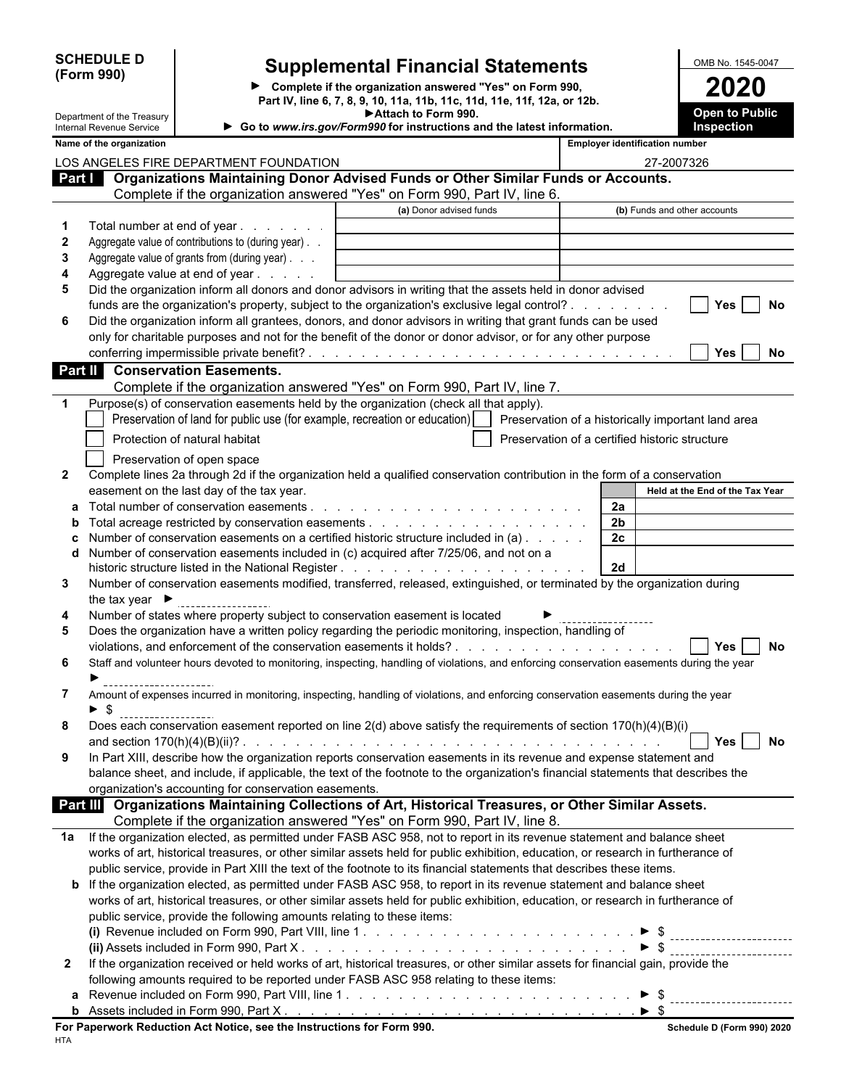| <b>SCHEDULE D</b> |  |
|-------------------|--|
| (Form 990)        |  |

### **D Supplemental Financial Statements DEDUCE ALL DISC SUPPLEM**

|                                                                   | (Form 990)                                             |                                                                            | ▶ Complete if the organization answered "Yes" on Form 990,<br>Part IV, line 6, 7, 8, 9, 10, 11a, 11b, 11c, 11d, 11e, 11f, 12a, or 12b. |                                                    |                |            | 2020                                       |
|-------------------------------------------------------------------|--------------------------------------------------------|----------------------------------------------------------------------------|----------------------------------------------------------------------------------------------------------------------------------------|----------------------------------------------------|----------------|------------|--------------------------------------------|
|                                                                   | Department of the Treasury<br>Internal Revenue Service |                                                                            | Attach to Form 990.<br>Go to www.irs.gov/Form990 for instructions and the latest information.                                          |                                                    |                |            | <b>Open to Public</b><br><b>Inspection</b> |
| <b>Employer identification number</b><br>Name of the organization |                                                        |                                                                            |                                                                                                                                        |                                                    |                |            |                                            |
|                                                                   |                                                        | LOS ANGELES FIRE DEPARTMENT FOUNDATION                                     |                                                                                                                                        |                                                    |                | 27-2007326 |                                            |
| Part I                                                            |                                                        |                                                                            | Organizations Maintaining Donor Advised Funds or Other Similar Funds or Accounts.                                                      |                                                    |                |            |                                            |
|                                                                   |                                                        |                                                                            | Complete if the organization answered "Yes" on Form 990, Part IV, line 6.                                                              |                                                    |                |            |                                            |
|                                                                   |                                                        |                                                                            | (a) Donor advised funds                                                                                                                |                                                    |                |            | (b) Funds and other accounts               |
| 1                                                                 | Total number at end of year.                           | and the contract of the con-                                               |                                                                                                                                        |                                                    |                |            |                                            |
| 2                                                                 |                                                        | Aggregate value of contributions to (during year). .                       |                                                                                                                                        |                                                    |                |            |                                            |
| 3                                                                 |                                                        | Aggregate value of grants from (during year)                               |                                                                                                                                        |                                                    |                |            |                                            |
| 4                                                                 |                                                        | Aggregate value at end of year                                             |                                                                                                                                        |                                                    |                |            |                                            |
| 5                                                                 |                                                        |                                                                            | Did the organization inform all donors and donor advisors in writing that the assets held in donor advised                             |                                                    |                |            |                                            |
|                                                                   |                                                        |                                                                            | funds are the organization's property, subject to the organization's exclusive legal control?                                          |                                                    |                |            | Yes<br>No                                  |
| 6                                                                 |                                                        |                                                                            | Did the organization inform all grantees, donors, and donor advisors in writing that grant funds can be used                           |                                                    |                |            |                                            |
|                                                                   |                                                        |                                                                            | only for charitable purposes and not for the benefit of the donor or donor advisor, or for any other purpose                           |                                                    |                |            |                                            |
|                                                                   |                                                        |                                                                            |                                                                                                                                        |                                                    |                |            | Yes<br>No                                  |
| Part II                                                           |                                                        | <b>Conservation Easements.</b>                                             |                                                                                                                                        |                                                    |                |            |                                            |
|                                                                   |                                                        |                                                                            | Complete if the organization answered "Yes" on Form 990, Part IV, line 7.                                                              |                                                    |                |            |                                            |
| 1                                                                 |                                                        | Preservation of land for public use (for example, recreation or education) | Purpose(s) of conservation easements held by the organization (check all that apply).                                                  | Preservation of a historically important land area |                |            |                                            |
|                                                                   |                                                        | Protection of natural habitat                                              |                                                                                                                                        | Preservation of a certified historic structure     |                |            |                                            |
|                                                                   |                                                        | Preservation of open space                                                 |                                                                                                                                        |                                                    |                |            |                                            |
| $\mathbf{2}$                                                      |                                                        |                                                                            | Complete lines 2a through 2d if the organization held a qualified conservation contribution in the form of a conservation              |                                                    |                |            |                                            |
|                                                                   |                                                        | easement on the last day of the tax year.                                  |                                                                                                                                        |                                                    |                |            | Held at the End of the Tax Year            |
| а                                                                 |                                                        |                                                                            |                                                                                                                                        |                                                    | 2a             |            |                                            |
| b                                                                 |                                                        |                                                                            |                                                                                                                                        |                                                    | 2 <sub>b</sub> |            |                                            |
| c                                                                 |                                                        |                                                                            | Number of conservation easements on a certified historic structure included in (a)                                                     |                                                    | 2c             |            |                                            |
| d                                                                 |                                                        |                                                                            | Number of conservation easements included in (c) acquired after 7/25/06, and not on a                                                  |                                                    |                |            |                                            |
|                                                                   |                                                        |                                                                            |                                                                                                                                        |                                                    | 2d             |            |                                            |
| 3                                                                 |                                                        |                                                                            | Number of conservation easements modified, transferred, released, extinguished, or terminated by the organization during               |                                                    |                |            |                                            |
|                                                                   | the tax year $\blacktriangleright$                     |                                                                            |                                                                                                                                        |                                                    |                |            |                                            |
| 4                                                                 |                                                        |                                                                            | Number of states where property subject to conservation easement is located                                                            |                                                    |                |            |                                            |
|                                                                   |                                                        |                                                                            | المساري والرجال وتعاويتها والمتحاسب والملازم والمرجوح والمراجع والمتلائس والمتحول وروالا والمستحدث والملازم والمحار                    | أتكرم المرتبة المرتوح والمستورد والقراري           |                |            |                                            |

| Does the organization have a written policy regarding the periodic monitoring, inspection, handling of                                    |
|-------------------------------------------------------------------------------------------------------------------------------------------|
| Yes<br>No                                                                                                                                 |
| Staff and volunteer hours devoted to monitoring, inspecting, handling of violations, and enforcing conservation easements during the year |
|                                                                                                                                           |

| Amount of expenses incurred in monitoring, inspecting, handling of violations, and enforcing conservation easements during the year |
|-------------------------------------------------------------------------------------------------------------------------------------|
|                                                                                                                                     |

|   | <sub>1</sub> t reported on line 2(d) above satisfy the requirements of section |
|---|--------------------------------------------------------------------------------|
| o | easement                                                                       |
|   | nn                                                                             |

| In Part XIII, describe how the organization reports conservation easements in its revenue and expense statement and               |
|-----------------------------------------------------------------------------------------------------------------------------------|
| balance sheet, and include, if applicable, the text of the footnote to the organization's financial statements that describes the |
| organization's accounting for conservation easements.                                                                             |

|  | Part III Organizations Maintaining Collections of Art, Historical Treasures, or Other Similar Assets. |
|--|-------------------------------------------------------------------------------------------------------|
|  | Complete if the organization answered "Yes" on Form 990, Part IV, line 8.                             |

| 1a If the organization elected, as permitted under FASB ASC 958, not to report in its revenue statement and balance sheet        |
|----------------------------------------------------------------------------------------------------------------------------------|
| works of art, historical treasures, or other similar assets held for public exhibition, education, or research in furtherance of |
| public service, provide in Part XIII the text of the footnote to its financial statements that describes these items.            |

#### **b** If the organization elected, as permitted under FASB ASC 958, to report in its revenue statement and balance sheet works of art, historical treasures, or other similar assets held for public exhibition, education, or research in furtherance of public service, provide the following amounts relating to these items: **(i)** Revenue included on Form 990, Part VIII, line 1 . . . . . . . . . . . . . . . . . . . . . . . . . . . . . . . . . . . . . . . . . . . . . . . . . \$ (ii) Assets included in Form 990, Part X

| $\mu$ , $\mu$ , $\mu$ , $\mu$ , $\mu$ , $\mu$ , $\mu$ , $\mu$ , $\mu$ , $\mu$ , $\mu$ , $\mu$ , $\mu$ , $\mu$ , $\mu$ , $\mu$ , $\mu$ , $\mu$ , $\mu$ , $\mu$ , $\mu$ , $\mu$ , $\mu$ , $\mu$ , $\mu$ , $\mu$ , $\mu$ , $\mu$ , $\mu$ , $\mu$ , $\mu$ , $\mu$ , $\mu$ , $\mu$ , $\mu$ , $\mu$ , $\mu$ , |
|---------------------------------------------------------------------------------------------------------------------------------------------------------------------------------------------------------------------------------------------------------------------------------------------------------|
| If the organization received or held works of art, historical treasures, or other similar assets for financial gain, provide the                                                                                                                                                                        |
| following amounts required to be reported under FASB ASC 958 relating to these items:                                                                                                                                                                                                                   |
| <b>a</b> Revenue included on Form 990. Part VIII. line 1. $\ldots$ , $\ldots$ , $\ldots$ , $\ldots$ , $\ldots$ , $\ldots$ , $\ldots$ , $\ldots$                                                                                                                                                         |

|  | .<br>nuuutu un<br>. טווי<br>ט כנ<br>ant vill.<br>---<br><b>NEVELIUE</b><br>------------------------- |  |
|--|------------------------------------------------------------------------------------------------------|--|
|  | 990.<br>--<br>` Part ∧<br>−orm<br>$\Lambda$ ccat $\sim$<br>$\overline{\phantom{a}}$<br>:luded in     |  |
|  |                                                                                                      |  |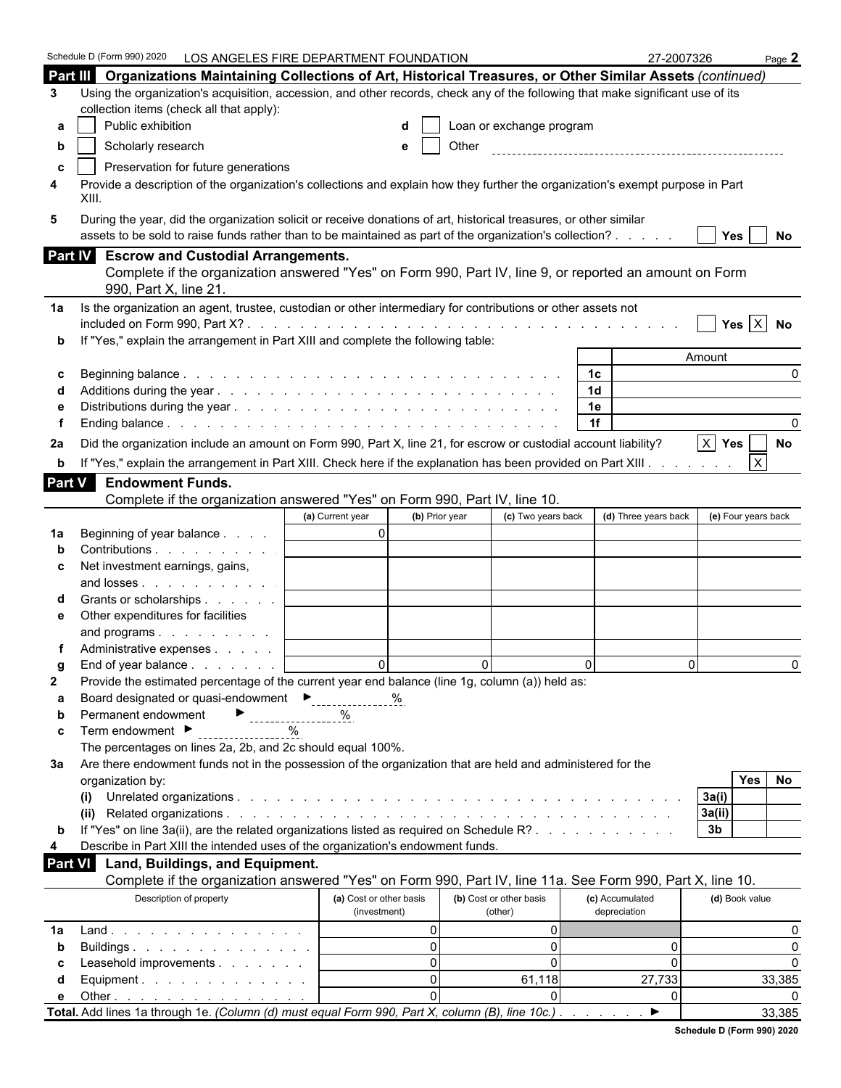|               | Schedule D (Form 990) 2020<br>LOS ANGELES FIRE DEPARTMENT FOUNDATION                                                                                                  |                                                |                          |                      | 27-2007326          | Page $2$     |
|---------------|-----------------------------------------------------------------------------------------------------------------------------------------------------------------------|------------------------------------------------|--------------------------|----------------------|---------------------|--------------|
|               | Part III Organizations Maintaining Collections of Art, Historical Treasures, or Other Similar Assets (continued)                                                      |                                                |                          |                      |                     |              |
| 3             | Using the organization's acquisition, accession, and other records, check any of the following that make significant use of its                                       |                                                |                          |                      |                     |              |
|               | collection items (check all that apply):                                                                                                                              |                                                |                          |                      |                     |              |
| а             | Public exhibition                                                                                                                                                     |                                                | Loan or exchange program |                      |                     |              |
| b             | Scholarly research                                                                                                                                                    | e                                              | Other                    |                      |                     |              |
|               |                                                                                                                                                                       |                                                |                          |                      |                     |              |
| c<br>4        | Preservation for future generations<br>Provide a description of the organization's collections and explain how they further the organization's exempt purpose in Part |                                                |                          |                      |                     |              |
|               | XIII.                                                                                                                                                                 |                                                |                          |                      |                     |              |
| 5             | During the year, did the organization solicit or receive donations of art, historical treasures, or other similar                                                     |                                                |                          |                      |                     |              |
|               | assets to be sold to raise funds rather than to be maintained as part of the organization's collection?                                                               |                                                |                          |                      | Yes                 | No           |
|               | Part IV Escrow and Custodial Arrangements.                                                                                                                            |                                                |                          |                      |                     |              |
|               | Complete if the organization answered "Yes" on Form 990, Part IV, line 9, or reported an amount on Form                                                               |                                                |                          |                      |                     |              |
|               | 990, Part X, line 21.                                                                                                                                                 |                                                |                          |                      |                     |              |
| 1a            | Is the organization an agent, trustee, custodian or other intermediary for contributions or other assets not                                                          |                                                |                          |                      |                     |              |
|               |                                                                                                                                                                       |                                                |                          |                      |                     | Yes $X$ No   |
|               | If "Yes," explain the arrangement in Part XIII and complete the following table:                                                                                      |                                                |                          |                      |                     |              |
|               |                                                                                                                                                                       |                                                |                          |                      | Amount              |              |
| С             |                                                                                                                                                                       |                                                |                          | 1 <sup>c</sup>       |                     | $\Omega$     |
|               |                                                                                                                                                                       |                                                |                          | 1 <sub>d</sub>       |                     |              |
|               |                                                                                                                                                                       |                                                |                          | 1e                   |                     |              |
|               |                                                                                                                                                                       |                                                |                          | 1f                   |                     |              |
| 2a            | Did the organization include an amount on Form 990, Part X, line 21, for escrow or custodial account liability?                                                       |                                                |                          |                      | $X$ Yes             | No           |
| b             | If "Yes," explain the arrangement in Part XIII. Check here if the explanation has been provided on Part XIII.                                                         |                                                |                          |                      |                     | $\mathsf{X}$ |
|               |                                                                                                                                                                       |                                                |                          |                      |                     |              |
| <b>Part V</b> | <b>Endowment Funds.</b>                                                                                                                                               |                                                |                          |                      |                     |              |
|               | Complete if the organization answered "Yes" on Form 990, Part IV, line 10.                                                                                            |                                                |                          |                      |                     |              |
|               |                                                                                                                                                                       | (b) Prior year<br>(a) Current year<br>$\Omega$ | (c) Two years back       | (d) Three years back | (e) Four years back |              |
| 1a            | Beginning of year balance<br>Contributions                                                                                                                            |                                                |                          |                      |                     |              |
|               |                                                                                                                                                                       |                                                |                          |                      |                     |              |
| c             | Net investment earnings, gains,<br>and losses                                                                                                                         |                                                |                          |                      |                     |              |
|               | Grants or scholarships                                                                                                                                                |                                                |                          |                      |                     |              |
|               | Other expenditures for facilities                                                                                                                                     |                                                |                          |                      |                     |              |
| е             | and programs                                                                                                                                                          |                                                |                          |                      |                     |              |
|               | Administrative expenses                                                                                                                                               |                                                |                          |                      |                     |              |
|               | End of year balance                                                                                                                                                   | $\Omega$                                       | $\Omega$                 | $\Omega$             | $\Omega$            | $\Omega$     |
| g<br>2        | Provide the estimated percentage of the current year end balance (line 1g, column (a)) held as:                                                                       |                                                |                          |                      |                     |              |
| а             | Board designated or quasi-endowment<br>Figures 2011                                                                                                                   | %                                              |                          |                      |                     |              |
| b             | Permanent endowment                                                                                                                                                   | %                                              |                          |                      |                     |              |
| c             | ------------------<br>Term endowment ▶<br>$\%$                                                                                                                        |                                                |                          |                      |                     |              |
|               | The percentages on lines 2a, 2b, and 2c should equal 100%.                                                                                                            |                                                |                          |                      |                     |              |
| За            | Are there endowment funds not in the possession of the organization that are held and administered for the                                                            |                                                |                          |                      |                     |              |
|               | organization by:                                                                                                                                                      |                                                |                          |                      | <b>Yes</b>          | No           |
|               | (i)                                                                                                                                                                   |                                                |                          |                      | 3a(i)               |              |
|               |                                                                                                                                                                       |                                                |                          |                      | 3a(ii)              |              |
| b             | If "Yes" on line 3a(ii), are the related organizations listed as required on Schedule R?                                                                              |                                                |                          |                      | 3 <sub>b</sub>      |              |
| 4             | Describe in Part XIII the intended uses of the organization's endowment funds.                                                                                        |                                                |                          |                      |                     |              |
| Part VI       | Land, Buildings, and Equipment.                                                                                                                                       |                                                |                          |                      |                     |              |
|               | Complete if the organization answered "Yes" on Form 990, Part IV, line 11a. See Form 990, Part X, line 10.                                                            |                                                |                          |                      |                     |              |
|               | Description of property                                                                                                                                               | (a) Cost or other basis                        | (b) Cost or other basis  | (c) Accumulated      | (d) Book value      |              |
|               |                                                                                                                                                                       | (investment)                                   | (other)                  | depreciation         |                     |              |
| 1a            | Land.                                                                                                                                                                 | $\Omega$                                       | 0                        |                      |                     | 0            |
| b             | Buildings                                                                                                                                                             | $\Omega$                                       | $\overline{0}$           |                      | 0                   | $\Omega$     |
| С             | Leasehold improvements                                                                                                                                                | $\Omega$                                       | $\mathbf 0$              |                      | 0                   | $\Omega$     |
| d             | Equipment.                                                                                                                                                            | $\Omega$                                       | 61,118                   | 27,733               |                     | 33,385       |
| е             | Other $\ldots$ $\ldots$ $\ldots$ $\ldots$ $\ldots$ $\ldots$ $\ldots$                                                                                                  | $\Omega$                                       | $\Omega$                 |                      | 0                   |              |
|               | Total. Add lines 1a through 1e. (Column (d) must equal Form 990, Part X, column (B), line 10c.).                                                                      |                                                |                          | ▶                    |                     | 33,385       |

| Schedule D (Form 990) 2020 |  |
|----------------------------|--|
|                            |  |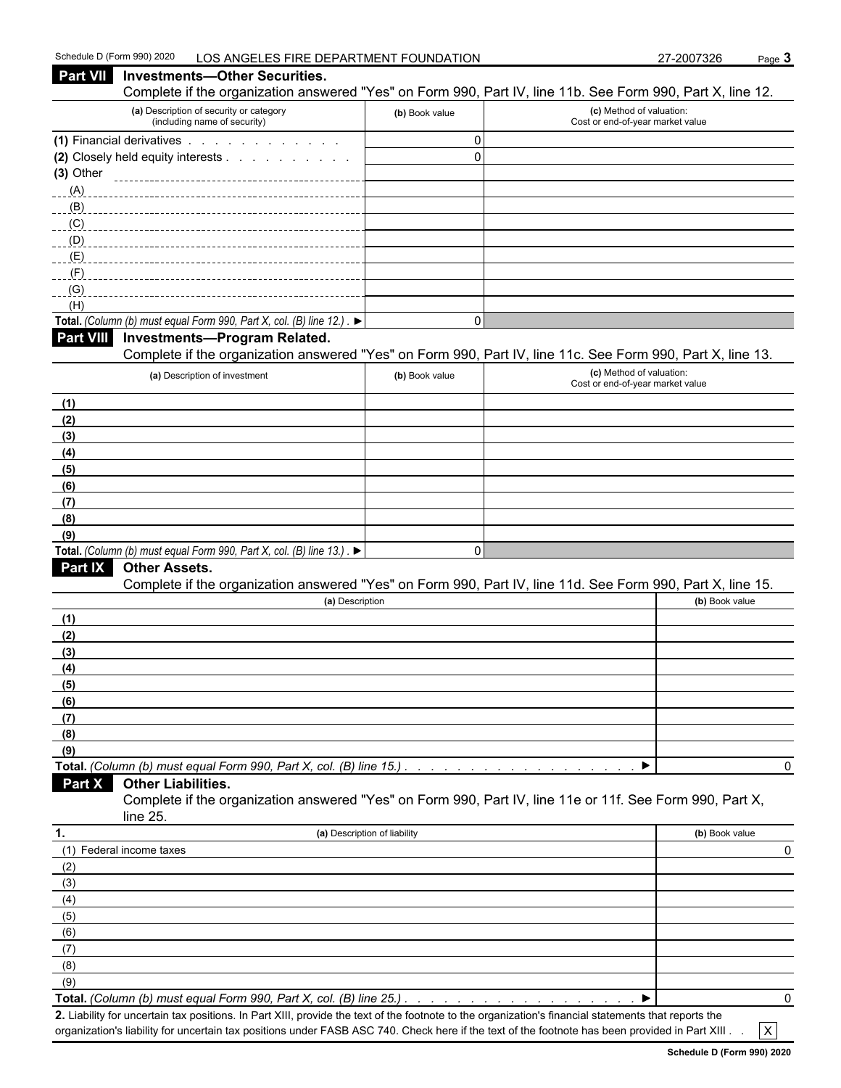| Complete if the organization answered "Yes" on Form 990, Part IV, line 11b. See Form 990, Part X, line 12.<br>(a) Description of security or category<br>(c) Method of valuation:<br>(b) Book value<br>(including name of security)<br>Cost or end-of-year market value<br>(1) Financial derivatives<br>$\mathbf 0$<br>$\mathbf 0$<br>(2) Closely held equity interests<br>(3) Other<br>(A)<br>(B)<br>(C)<br>(D)<br>(E)<br>(F)<br>(G)<br>(H)<br>Total. (Column (b) must equal Form 990, Part X, col. (B) line 12.). $\blacktriangleright$<br>$\Omega$<br><b>Investments-Program Related.</b><br>Complete if the organization answered "Yes" on Form 990, Part IV, line 11c. See Form 990, Part X, line 13.<br>(c) Method of valuation:<br>(a) Description of investment<br>(b) Book value<br>Cost or end-of-year market value<br>(1)<br>(2)<br>(3)<br>(4)<br>(5)<br>(6)<br>(7)<br>(8)<br>(9)<br>Total. (Column (b) must equal Form 990, Part X, col. (B) line 13.). $\blacktriangleright$<br>$\mathbf 0$<br>Part IX<br><b>Other Assets.</b><br>Complete if the organization answered "Yes" on Form 990, Part IV, line 11d. See Form 990, Part X, line 15.<br>(a) Description<br>(b) Book value<br>(1)<br>(2)<br>(3)<br>(4)<br>(5)<br>(6)<br>(7)<br>(8)<br>(9)<br>Total. (Column (b) must equal Form 990, Part X, col. (B) line 15.)<br>0<br><b>Other Liabilities.</b><br>Part X<br>Complete if the organization answered "Yes" on Form 990, Part IV, line 11e or 11f. See Form 990, Part X,<br>line 25.<br>(a) Description of liability<br>(b) Book value<br>(1) Federal income taxes<br>0<br>(2)<br>(3)<br>(4)<br>(5)<br>(6)<br>(7)<br>(8)<br>(9)<br>Total. (Column (b) must equal Form 990, Part X, col. (B) line 25.) | Part VII         | <b>Investments-Other Securities.</b> |  |   |
|--------------------------------------------------------------------------------------------------------------------------------------------------------------------------------------------------------------------------------------------------------------------------------------------------------------------------------------------------------------------------------------------------------------------------------------------------------------------------------------------------------------------------------------------------------------------------------------------------------------------------------------------------------------------------------------------------------------------------------------------------------------------------------------------------------------------------------------------------------------------------------------------------------------------------------------------------------------------------------------------------------------------------------------------------------------------------------------------------------------------------------------------------------------------------------------------------------------------------------------------------------------------------------------------------------------------------------------------------------------------------------------------------------------------------------------------------------------------------------------------------------------------------------------------------------------------------------------------------------------------------------------------------------------------------------------------------------------------------|------------------|--------------------------------------|--|---|
|                                                                                                                                                                                                                                                                                                                                                                                                                                                                                                                                                                                                                                                                                                                                                                                                                                                                                                                                                                                                                                                                                                                                                                                                                                                                                                                                                                                                                                                                                                                                                                                                                                                                                                                          |                  |                                      |  |   |
|                                                                                                                                                                                                                                                                                                                                                                                                                                                                                                                                                                                                                                                                                                                                                                                                                                                                                                                                                                                                                                                                                                                                                                                                                                                                                                                                                                                                                                                                                                                                                                                                                                                                                                                          |                  |                                      |  |   |
|                                                                                                                                                                                                                                                                                                                                                                                                                                                                                                                                                                                                                                                                                                                                                                                                                                                                                                                                                                                                                                                                                                                                                                                                                                                                                                                                                                                                                                                                                                                                                                                                                                                                                                                          |                  |                                      |  |   |
|                                                                                                                                                                                                                                                                                                                                                                                                                                                                                                                                                                                                                                                                                                                                                                                                                                                                                                                                                                                                                                                                                                                                                                                                                                                                                                                                                                                                                                                                                                                                                                                                                                                                                                                          |                  |                                      |  |   |
|                                                                                                                                                                                                                                                                                                                                                                                                                                                                                                                                                                                                                                                                                                                                                                                                                                                                                                                                                                                                                                                                                                                                                                                                                                                                                                                                                                                                                                                                                                                                                                                                                                                                                                                          |                  |                                      |  |   |
|                                                                                                                                                                                                                                                                                                                                                                                                                                                                                                                                                                                                                                                                                                                                                                                                                                                                                                                                                                                                                                                                                                                                                                                                                                                                                                                                                                                                                                                                                                                                                                                                                                                                                                                          |                  |                                      |  |   |
|                                                                                                                                                                                                                                                                                                                                                                                                                                                                                                                                                                                                                                                                                                                                                                                                                                                                                                                                                                                                                                                                                                                                                                                                                                                                                                                                                                                                                                                                                                                                                                                                                                                                                                                          |                  |                                      |  |   |
|                                                                                                                                                                                                                                                                                                                                                                                                                                                                                                                                                                                                                                                                                                                                                                                                                                                                                                                                                                                                                                                                                                                                                                                                                                                                                                                                                                                                                                                                                                                                                                                                                                                                                                                          |                  |                                      |  |   |
|                                                                                                                                                                                                                                                                                                                                                                                                                                                                                                                                                                                                                                                                                                                                                                                                                                                                                                                                                                                                                                                                                                                                                                                                                                                                                                                                                                                                                                                                                                                                                                                                                                                                                                                          |                  |                                      |  |   |
|                                                                                                                                                                                                                                                                                                                                                                                                                                                                                                                                                                                                                                                                                                                                                                                                                                                                                                                                                                                                                                                                                                                                                                                                                                                                                                                                                                                                                                                                                                                                                                                                                                                                                                                          |                  |                                      |  |   |
|                                                                                                                                                                                                                                                                                                                                                                                                                                                                                                                                                                                                                                                                                                                                                                                                                                                                                                                                                                                                                                                                                                                                                                                                                                                                                                                                                                                                                                                                                                                                                                                                                                                                                                                          |                  |                                      |  |   |
|                                                                                                                                                                                                                                                                                                                                                                                                                                                                                                                                                                                                                                                                                                                                                                                                                                                                                                                                                                                                                                                                                                                                                                                                                                                                                                                                                                                                                                                                                                                                                                                                                                                                                                                          |                  |                                      |  |   |
|                                                                                                                                                                                                                                                                                                                                                                                                                                                                                                                                                                                                                                                                                                                                                                                                                                                                                                                                                                                                                                                                                                                                                                                                                                                                                                                                                                                                                                                                                                                                                                                                                                                                                                                          |                  |                                      |  |   |
|                                                                                                                                                                                                                                                                                                                                                                                                                                                                                                                                                                                                                                                                                                                                                                                                                                                                                                                                                                                                                                                                                                                                                                                                                                                                                                                                                                                                                                                                                                                                                                                                                                                                                                                          | <b>Part VIII</b> |                                      |  |   |
|                                                                                                                                                                                                                                                                                                                                                                                                                                                                                                                                                                                                                                                                                                                                                                                                                                                                                                                                                                                                                                                                                                                                                                                                                                                                                                                                                                                                                                                                                                                                                                                                                                                                                                                          |                  |                                      |  |   |
|                                                                                                                                                                                                                                                                                                                                                                                                                                                                                                                                                                                                                                                                                                                                                                                                                                                                                                                                                                                                                                                                                                                                                                                                                                                                                                                                                                                                                                                                                                                                                                                                                                                                                                                          |                  |                                      |  |   |
|                                                                                                                                                                                                                                                                                                                                                                                                                                                                                                                                                                                                                                                                                                                                                                                                                                                                                                                                                                                                                                                                                                                                                                                                                                                                                                                                                                                                                                                                                                                                                                                                                                                                                                                          |                  |                                      |  |   |
|                                                                                                                                                                                                                                                                                                                                                                                                                                                                                                                                                                                                                                                                                                                                                                                                                                                                                                                                                                                                                                                                                                                                                                                                                                                                                                                                                                                                                                                                                                                                                                                                                                                                                                                          |                  |                                      |  |   |
|                                                                                                                                                                                                                                                                                                                                                                                                                                                                                                                                                                                                                                                                                                                                                                                                                                                                                                                                                                                                                                                                                                                                                                                                                                                                                                                                                                                                                                                                                                                                                                                                                                                                                                                          |                  |                                      |  |   |
|                                                                                                                                                                                                                                                                                                                                                                                                                                                                                                                                                                                                                                                                                                                                                                                                                                                                                                                                                                                                                                                                                                                                                                                                                                                                                                                                                                                                                                                                                                                                                                                                                                                                                                                          |                  |                                      |  |   |
|                                                                                                                                                                                                                                                                                                                                                                                                                                                                                                                                                                                                                                                                                                                                                                                                                                                                                                                                                                                                                                                                                                                                                                                                                                                                                                                                                                                                                                                                                                                                                                                                                                                                                                                          |                  |                                      |  |   |
|                                                                                                                                                                                                                                                                                                                                                                                                                                                                                                                                                                                                                                                                                                                                                                                                                                                                                                                                                                                                                                                                                                                                                                                                                                                                                                                                                                                                                                                                                                                                                                                                                                                                                                                          |                  |                                      |  |   |
|                                                                                                                                                                                                                                                                                                                                                                                                                                                                                                                                                                                                                                                                                                                                                                                                                                                                                                                                                                                                                                                                                                                                                                                                                                                                                                                                                                                                                                                                                                                                                                                                                                                                                                                          |                  |                                      |  |   |
|                                                                                                                                                                                                                                                                                                                                                                                                                                                                                                                                                                                                                                                                                                                                                                                                                                                                                                                                                                                                                                                                                                                                                                                                                                                                                                                                                                                                                                                                                                                                                                                                                                                                                                                          |                  |                                      |  |   |
|                                                                                                                                                                                                                                                                                                                                                                                                                                                                                                                                                                                                                                                                                                                                                                                                                                                                                                                                                                                                                                                                                                                                                                                                                                                                                                                                                                                                                                                                                                                                                                                                                                                                                                                          |                  |                                      |  |   |
|                                                                                                                                                                                                                                                                                                                                                                                                                                                                                                                                                                                                                                                                                                                                                                                                                                                                                                                                                                                                                                                                                                                                                                                                                                                                                                                                                                                                                                                                                                                                                                                                                                                                                                                          |                  |                                      |  |   |
|                                                                                                                                                                                                                                                                                                                                                                                                                                                                                                                                                                                                                                                                                                                                                                                                                                                                                                                                                                                                                                                                                                                                                                                                                                                                                                                                                                                                                                                                                                                                                                                                                                                                                                                          |                  |                                      |  |   |
|                                                                                                                                                                                                                                                                                                                                                                                                                                                                                                                                                                                                                                                                                                                                                                                                                                                                                                                                                                                                                                                                                                                                                                                                                                                                                                                                                                                                                                                                                                                                                                                                                                                                                                                          |                  |                                      |  |   |
|                                                                                                                                                                                                                                                                                                                                                                                                                                                                                                                                                                                                                                                                                                                                                                                                                                                                                                                                                                                                                                                                                                                                                                                                                                                                                                                                                                                                                                                                                                                                                                                                                                                                                                                          |                  |                                      |  |   |
|                                                                                                                                                                                                                                                                                                                                                                                                                                                                                                                                                                                                                                                                                                                                                                                                                                                                                                                                                                                                                                                                                                                                                                                                                                                                                                                                                                                                                                                                                                                                                                                                                                                                                                                          |                  |                                      |  |   |
|                                                                                                                                                                                                                                                                                                                                                                                                                                                                                                                                                                                                                                                                                                                                                                                                                                                                                                                                                                                                                                                                                                                                                                                                                                                                                                                                                                                                                                                                                                                                                                                                                                                                                                                          |                  |                                      |  |   |
|                                                                                                                                                                                                                                                                                                                                                                                                                                                                                                                                                                                                                                                                                                                                                                                                                                                                                                                                                                                                                                                                                                                                                                                                                                                                                                                                                                                                                                                                                                                                                                                                                                                                                                                          |                  |                                      |  |   |
|                                                                                                                                                                                                                                                                                                                                                                                                                                                                                                                                                                                                                                                                                                                                                                                                                                                                                                                                                                                                                                                                                                                                                                                                                                                                                                                                                                                                                                                                                                                                                                                                                                                                                                                          |                  |                                      |  |   |
|                                                                                                                                                                                                                                                                                                                                                                                                                                                                                                                                                                                                                                                                                                                                                                                                                                                                                                                                                                                                                                                                                                                                                                                                                                                                                                                                                                                                                                                                                                                                                                                                                                                                                                                          |                  |                                      |  |   |
|                                                                                                                                                                                                                                                                                                                                                                                                                                                                                                                                                                                                                                                                                                                                                                                                                                                                                                                                                                                                                                                                                                                                                                                                                                                                                                                                                                                                                                                                                                                                                                                                                                                                                                                          |                  |                                      |  |   |
|                                                                                                                                                                                                                                                                                                                                                                                                                                                                                                                                                                                                                                                                                                                                                                                                                                                                                                                                                                                                                                                                                                                                                                                                                                                                                                                                                                                                                                                                                                                                                                                                                                                                                                                          |                  |                                      |  |   |
|                                                                                                                                                                                                                                                                                                                                                                                                                                                                                                                                                                                                                                                                                                                                                                                                                                                                                                                                                                                                                                                                                                                                                                                                                                                                                                                                                                                                                                                                                                                                                                                                                                                                                                                          |                  |                                      |  |   |
|                                                                                                                                                                                                                                                                                                                                                                                                                                                                                                                                                                                                                                                                                                                                                                                                                                                                                                                                                                                                                                                                                                                                                                                                                                                                                                                                                                                                                                                                                                                                                                                                                                                                                                                          |                  |                                      |  |   |
|                                                                                                                                                                                                                                                                                                                                                                                                                                                                                                                                                                                                                                                                                                                                                                                                                                                                                                                                                                                                                                                                                                                                                                                                                                                                                                                                                                                                                                                                                                                                                                                                                                                                                                                          |                  |                                      |  |   |
|                                                                                                                                                                                                                                                                                                                                                                                                                                                                                                                                                                                                                                                                                                                                                                                                                                                                                                                                                                                                                                                                                                                                                                                                                                                                                                                                                                                                                                                                                                                                                                                                                                                                                                                          |                  |                                      |  |   |
|                                                                                                                                                                                                                                                                                                                                                                                                                                                                                                                                                                                                                                                                                                                                                                                                                                                                                                                                                                                                                                                                                                                                                                                                                                                                                                                                                                                                                                                                                                                                                                                                                                                                                                                          |                  |                                      |  |   |
|                                                                                                                                                                                                                                                                                                                                                                                                                                                                                                                                                                                                                                                                                                                                                                                                                                                                                                                                                                                                                                                                                                                                                                                                                                                                                                                                                                                                                                                                                                                                                                                                                                                                                                                          | 1.               |                                      |  |   |
|                                                                                                                                                                                                                                                                                                                                                                                                                                                                                                                                                                                                                                                                                                                                                                                                                                                                                                                                                                                                                                                                                                                                                                                                                                                                                                                                                                                                                                                                                                                                                                                                                                                                                                                          |                  |                                      |  |   |
|                                                                                                                                                                                                                                                                                                                                                                                                                                                                                                                                                                                                                                                                                                                                                                                                                                                                                                                                                                                                                                                                                                                                                                                                                                                                                                                                                                                                                                                                                                                                                                                                                                                                                                                          |                  |                                      |  |   |
|                                                                                                                                                                                                                                                                                                                                                                                                                                                                                                                                                                                                                                                                                                                                                                                                                                                                                                                                                                                                                                                                                                                                                                                                                                                                                                                                                                                                                                                                                                                                                                                                                                                                                                                          |                  |                                      |  |   |
|                                                                                                                                                                                                                                                                                                                                                                                                                                                                                                                                                                                                                                                                                                                                                                                                                                                                                                                                                                                                                                                                                                                                                                                                                                                                                                                                                                                                                                                                                                                                                                                                                                                                                                                          |                  |                                      |  |   |
|                                                                                                                                                                                                                                                                                                                                                                                                                                                                                                                                                                                                                                                                                                                                                                                                                                                                                                                                                                                                                                                                                                                                                                                                                                                                                                                                                                                                                                                                                                                                                                                                                                                                                                                          |                  |                                      |  |   |
|                                                                                                                                                                                                                                                                                                                                                                                                                                                                                                                                                                                                                                                                                                                                                                                                                                                                                                                                                                                                                                                                                                                                                                                                                                                                                                                                                                                                                                                                                                                                                                                                                                                                                                                          |                  |                                      |  |   |
|                                                                                                                                                                                                                                                                                                                                                                                                                                                                                                                                                                                                                                                                                                                                                                                                                                                                                                                                                                                                                                                                                                                                                                                                                                                                                                                                                                                                                                                                                                                                                                                                                                                                                                                          |                  |                                      |  |   |
|                                                                                                                                                                                                                                                                                                                                                                                                                                                                                                                                                                                                                                                                                                                                                                                                                                                                                                                                                                                                                                                                                                                                                                                                                                                                                                                                                                                                                                                                                                                                                                                                                                                                                                                          |                  |                                      |  |   |
|                                                                                                                                                                                                                                                                                                                                                                                                                                                                                                                                                                                                                                                                                                                                                                                                                                                                                                                                                                                                                                                                                                                                                                                                                                                                                                                                                                                                                                                                                                                                                                                                                                                                                                                          |                  |                                      |  | 0 |

**2.** Liability for uncertain tax positions. In Part XIII, provide the text of the footnote to the organization's financial statements that reports the organization's liability for uncertain tax positions under FASB ASC 740. Check here if the text of the footnote has been provided in Part XIII .  $\mathsf{X}$ 

**Schedule D (Form 990) 2020**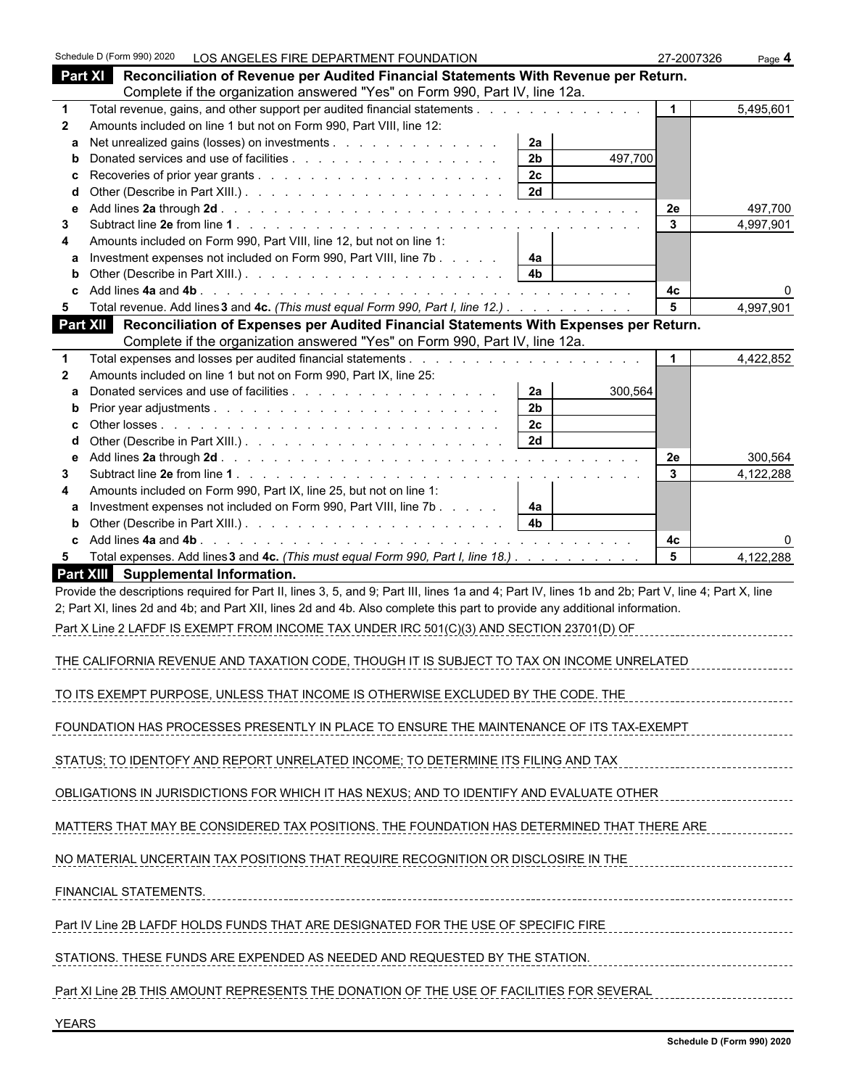|              | Schedule D (Form 990) 2020 LOS ANGELES FIRE DEPARTMENT FOUNDATION    |                                                                                                                                                    |                                             | 27-2007326      | Page 4    |
|--------------|----------------------------------------------------------------------|----------------------------------------------------------------------------------------------------------------------------------------------------|---------------------------------------------|-----------------|-----------|
|              | Part XI                                                              | Reconciliation of Revenue per Audited Financial Statements With Revenue per Return.                                                                |                                             |                 |           |
|              |                                                                      | Complete if the organization answered "Yes" on Form 990, Part IV, line 12a.                                                                        |                                             |                 |           |
| $\mathbf 1$  |                                                                      | Total revenue, gains, and other support per audited financial statements                                                                           |                                             |                 | 5,495,601 |
| $\mathbf{2}$ | Amounts included on line 1 but not on Form 990, Part VIII, line 12:  |                                                                                                                                                    |                                             |                 |           |
| a            |                                                                      | Net unrealized gains (losses) on investments                                                                                                       | 2a                                          |                 |           |
| b            |                                                                      |                                                                                                                                                    | 2 <sub>b</sub><br>497,700<br>2 <sub>c</sub> |                 |           |
| d            |                                                                      |                                                                                                                                                    | 2d                                          |                 |           |
| е            |                                                                      |                                                                                                                                                    |                                             | 2e              | 497,700   |
| 3            |                                                                      |                                                                                                                                                    |                                             | 3               | 4,997,901 |
| 4            | Amounts included on Form 990, Part VIII, line 12, but not on line 1: |                                                                                                                                                    |                                             |                 |           |
|              |                                                                      | Investment expenses not included on Form 990, Part VIII, line 7b                                                                                   | 4a                                          |                 |           |
|              |                                                                      |                                                                                                                                                    | 4 <sub>b</sub>                              |                 |           |
|              |                                                                      |                                                                                                                                                    |                                             | 4c              |           |
| 5.           |                                                                      | Total revenue. Add lines 3 and 4c. (This must equal Form 990, Part I, line 12.)                                                                    |                                             | 5               | 4,997,901 |
|              |                                                                      | Part XII Reconciliation of Expenses per Audited Financial Statements With Expenses per Return.                                                     |                                             |                 |           |
|              |                                                                      | Complete if the organization answered "Yes" on Form 990, Part IV, line 12a.                                                                        |                                             |                 |           |
| $\mathbf 1$  |                                                                      |                                                                                                                                                    |                                             |                 | 4,422,852 |
| $\mathbf{2}$ | Amounts included on line 1 but not on Form 990, Part IX, line 25:    |                                                                                                                                                    |                                             |                 |           |
| a            |                                                                      |                                                                                                                                                    | 2a<br>300,564                               |                 |           |
| b            |                                                                      |                                                                                                                                                    | 2 <sub>b</sub>                              |                 |           |
|              |                                                                      |                                                                                                                                                    | 2c                                          |                 |           |
| d            |                                                                      |                                                                                                                                                    | 2d                                          |                 |           |
| е<br>3       |                                                                      |                                                                                                                                                    |                                             | 2e<br>3         | 300,564   |
| 4            | Amounts included on Form 990, Part IX, line 25, but not on line 1:   |                                                                                                                                                    |                                             |                 | 4,122,288 |
| a            |                                                                      | Investment expenses not included on Form 990, Part VIII, line 7b                                                                                   | 4a                                          |                 |           |
| b            |                                                                      |                                                                                                                                                    | 4 <sub>b</sub>                              |                 |           |
| c            |                                                                      |                                                                                                                                                    |                                             | 4c              | 0         |
| 5            |                                                                      | Total expenses. Add lines 3 and 4c. (This must equal Form 990, Part I, line 18.)                                                                   |                                             | $5\phantom{.0}$ | 4,122,288 |
|              | Part XIII Supplemental Information.                                  |                                                                                                                                                    |                                             |                 |           |
|              |                                                                      | Provide the descriptions required for Part II, lines 3, 5, and 9; Part III, lines 1a and 4; Part IV, lines 1b and 2b; Part V, line 4; Part X, line |                                             |                 |           |
|              |                                                                      | 2; Part XI, lines 2d and 4b; and Part XII, lines 2d and 4b. Also complete this part to provide any additional information.                         |                                             |                 |           |
|              |                                                                      | Part X Line 2 LAFDF IS EXEMPT FROM INCOME TAX UNDER IRC 501(C)(3) AND SECTION 23701(D) OF                                                          |                                             |                 |           |
|              |                                                                      |                                                                                                                                                    |                                             |                 |           |
|              |                                                                      | THE CALIFORNIA REVENUE AND TAXATION CODE, THOUGH IT IS SUBJECT TO TAX ON INCOME UNRELATED                                                          |                                             |                 |           |
|              |                                                                      |                                                                                                                                                    |                                             |                 |           |
|              |                                                                      | TO ITS EXEMPT PURPOSE, UNLESS THAT INCOME IS OTHERWISE EXCLUDED BY THE CODE. THE                                                                   |                                             |                 |           |
|              |                                                                      |                                                                                                                                                    |                                             |                 |           |
|              |                                                                      | FOUNDATION HAS PROCESSES PRESENTLY IN PLACE TO ENSURE THE MAINTENANCE OF ITS TAX-EXEMPT                                                            |                                             |                 |           |
|              |                                                                      |                                                                                                                                                    |                                             |                 |           |
|              |                                                                      | STATUS: TO IDENTOFY AND REPORT UNRELATED INCOME: TO DETERMINE ITS FILING AND TAX                                                                   |                                             |                 |           |
|              |                                                                      |                                                                                                                                                    |                                             |                 |           |
|              |                                                                      | OBLIGATIONS IN JURISDICTIONS FOR WHICH IT HAS NEXUS; AND TO IDENTIFY AND EVALUATE OTHER                                                            |                                             |                 |           |
|              |                                                                      |                                                                                                                                                    |                                             |                 |           |
|              |                                                                      | MATTERS THAT MAY BE CONSIDERED TAX POSITIONS. THE FOUNDATION HAS DETERMINED THAT THERE ARE                                                         |                                             |                 |           |
|              |                                                                      | NO MATERIAL UNCERTAIN TAX POSITIONS THAT REQUIRE RECOGNITION OR DISCLOSIRE IN THE                                                                  |                                             |                 |           |
|              |                                                                      |                                                                                                                                                    |                                             |                 |           |
|              | FINANCIAL STATEMENTS.                                                |                                                                                                                                                    |                                             |                 |           |
|              |                                                                      |                                                                                                                                                    |                                             |                 |           |
|              |                                                                      | Part IV Line 2B LAFDF HOLDS FUNDS THAT ARE DESIGNATED FOR THE USE OF SPECIFIC FIRE                                                                 |                                             |                 |           |
|              |                                                                      |                                                                                                                                                    |                                             |                 |           |
|              |                                                                      | STATIONS. THESE FUNDS ARE EXPENDED AS NEEDED AND REQUESTED BY THE STATION.                                                                         |                                             |                 |           |
|              |                                                                      |                                                                                                                                                    |                                             |                 |           |
|              |                                                                      | Part XI Line 2B THIS AMOUNT REPRESENTS THE DONATION OF THE USE OF FACILITIES FOR SEVERAL                                                           |                                             |                 |           |
|              |                                                                      |                                                                                                                                                    |                                             |                 |           |
| <b>YEARS</b> |                                                                      |                                                                                                                                                    |                                             |                 |           |
|              |                                                                      |                                                                                                                                                    |                                             |                 |           |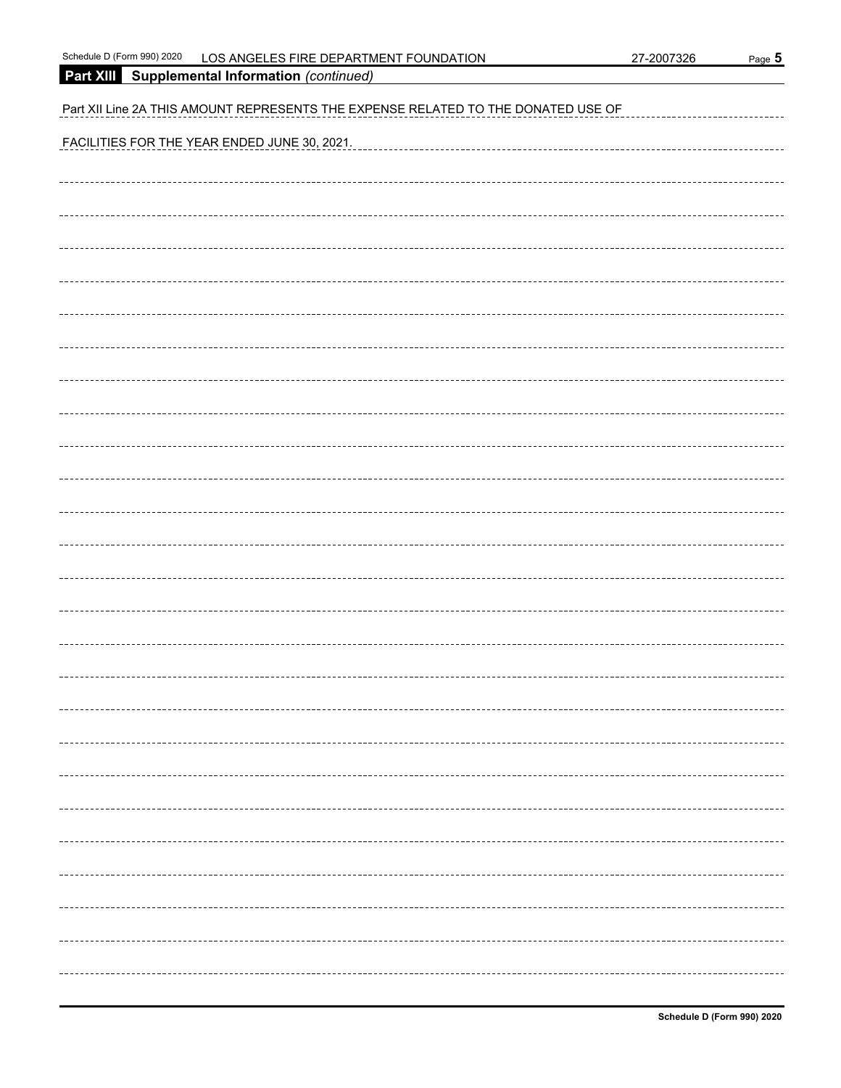|  | 27-2007326 |  |
|--|------------|--|
|  |            |  |

| Schedule D (Form 990) 2020 | LOS ANGELES FIRE DEPARTMENT FOUNDATION | 27-2007326 | Page 5 |
|----------------------------|----------------------------------------|------------|--------|
|----------------------------|----------------------------------------|------------|--------|

**Part XIII Supplemental Information** *(continued)* Part XII Line 2A THIS AMOUNT REPRESENTS THE EXPENSE RELATED TO THE DONATED USE OF FACILITIES FOR THE YEAR ENDED JUNE 30, 2021.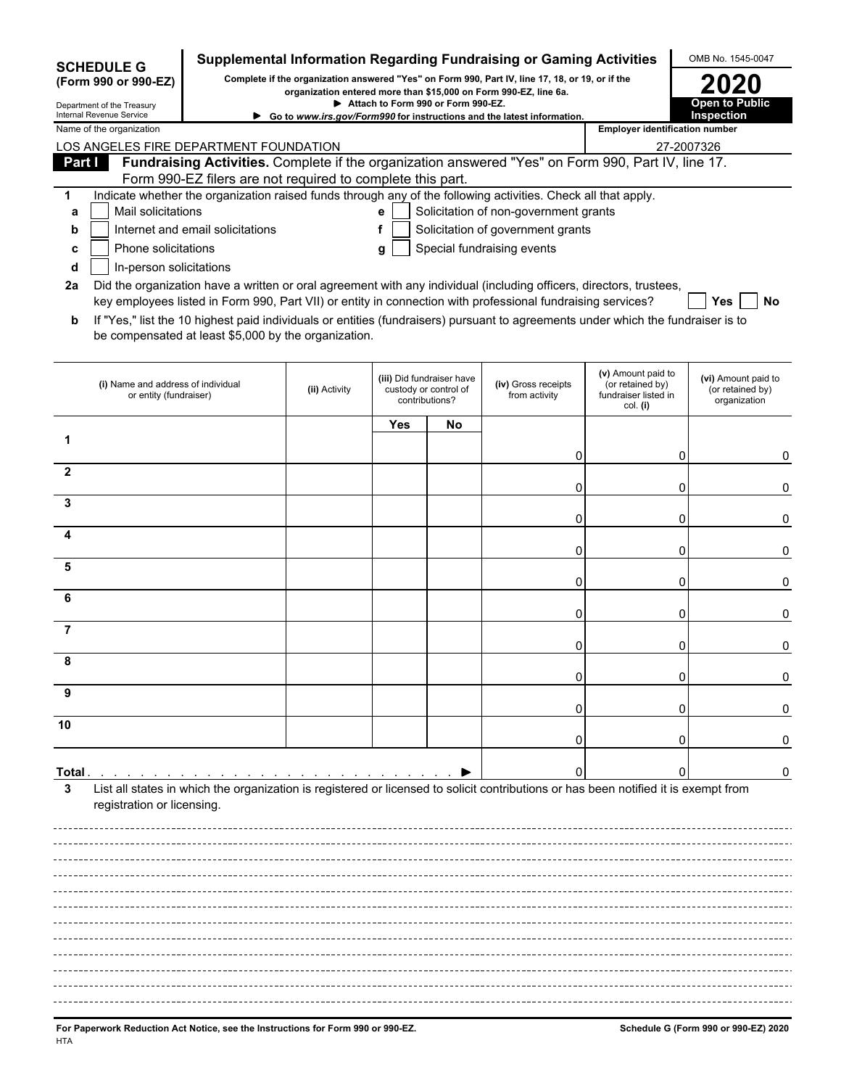|                                                                                                                                                                                             | <b>SCHEDULE G</b>                                            |                                                                                                                                              |               |            |                                                                      | Supplemental Information Regarding Fundraising or Gaming Activities                                                                 |                                                                            | OMB No. 1545-0047                                       |
|---------------------------------------------------------------------------------------------------------------------------------------------------------------------------------------------|--------------------------------------------------------------|----------------------------------------------------------------------------------------------------------------------------------------------|---------------|------------|----------------------------------------------------------------------|-------------------------------------------------------------------------------------------------------------------------------------|----------------------------------------------------------------------------|---------------------------------------------------------|
| Complete if the organization answered "Yes" on Form 990, Part IV, line 17, 18, or 19, or if the<br>(Form 990 or 990-EZ)<br>organization entered more than \$15,000 on Form 990-EZ, line 6a. |                                                              |                                                                                                                                              |               |            |                                                                      |                                                                                                                                     |                                                                            |                                                         |
| Attach to Form 990 or Form 990-EZ.<br>Department of the Treasury<br>Internal Revenue Service<br>► Go to www.irs.gov/Form990 for instructions and the latest information.                    |                                                              |                                                                                                                                              |               |            |                                                                      |                                                                                                                                     |                                                                            | Open to Public<br>Inspection                            |
| Name of the organization                                                                                                                                                                    |                                                              |                                                                                                                                              |               |            |                                                                      |                                                                                                                                     | <b>Employer identification number</b>                                      |                                                         |
|                                                                                                                                                                                             |                                                              | LOS ANGELES FIRE DEPARTMENT FOUNDATION<br>Fundraising Activities. Complete if the organization answered "Yes" on Form 990, Part IV, line 17. |               |            |                                                                      |                                                                                                                                     |                                                                            | 27-2007326                                              |
| Part I                                                                                                                                                                                      |                                                              |                                                                                                                                              |               |            |                                                                      |                                                                                                                                     |                                                                            |                                                         |
| 1                                                                                                                                                                                           |                                                              | Form 990-EZ filers are not required to complete this part.                                                                                   |               |            |                                                                      | Indicate whether the organization raised funds through any of the following activities. Check all that apply.                       |                                                                            |                                                         |
| a                                                                                                                                                                                           | Mail solicitations                                           |                                                                                                                                              |               | е          |                                                                      | Solicitation of non-government grants                                                                                               |                                                                            |                                                         |
| b                                                                                                                                                                                           |                                                              | Internet and email solicitations                                                                                                             |               | f          |                                                                      | Solicitation of government grants                                                                                                   |                                                                            |                                                         |
| C                                                                                                                                                                                           | Phone solicitations                                          |                                                                                                                                              |               | g          |                                                                      | Special fundraising events                                                                                                          |                                                                            |                                                         |
| d                                                                                                                                                                                           | In-person solicitations                                      |                                                                                                                                              |               |            |                                                                      |                                                                                                                                     |                                                                            |                                                         |
| 2a                                                                                                                                                                                          |                                                              |                                                                                                                                              |               |            |                                                                      | Did the organization have a written or oral agreement with any individual (including officers, directors, trustees,                 |                                                                            |                                                         |
|                                                                                                                                                                                             |                                                              |                                                                                                                                              |               |            |                                                                      | key employees listed in Form 990, Part VII) or entity in connection with professional fundraising services?                         |                                                                            | No<br>Yes.                                              |
| b                                                                                                                                                                                           |                                                              | be compensated at least \$5,000 by the organization.                                                                                         |               |            |                                                                      | If "Yes," list the 10 highest paid individuals or entities (fundraisers) pursuant to agreements under which the fundraiser is to    |                                                                            |                                                         |
|                                                                                                                                                                                             | (i) Name and address of individual<br>or entity (fundraiser) |                                                                                                                                              | (ii) Activity |            | (iii) Did fundraiser have<br>custody or control of<br>contributions? | (iv) Gross receipts<br>from activity                                                                                                | (v) Amount paid to<br>(or retained by)<br>fundraiser listed in<br>col. (i) | (vi) Amount paid to<br>(or retained by)<br>organization |
|                                                                                                                                                                                             |                                                              |                                                                                                                                              |               | <b>Yes</b> | No                                                                   |                                                                                                                                     |                                                                            |                                                         |
| 1                                                                                                                                                                                           |                                                              |                                                                                                                                              |               |            |                                                                      |                                                                                                                                     |                                                                            |                                                         |
|                                                                                                                                                                                             |                                                              |                                                                                                                                              |               |            |                                                                      | 0                                                                                                                                   | 0                                                                          | 0                                                       |
| 2                                                                                                                                                                                           |                                                              |                                                                                                                                              |               |            |                                                                      | 0                                                                                                                                   | ი                                                                          | 0                                                       |
| 3                                                                                                                                                                                           |                                                              |                                                                                                                                              |               |            |                                                                      |                                                                                                                                     |                                                                            |                                                         |
|                                                                                                                                                                                             |                                                              |                                                                                                                                              |               |            |                                                                      | 0                                                                                                                                   | ი                                                                          | 0                                                       |
| Δ                                                                                                                                                                                           |                                                              |                                                                                                                                              |               |            |                                                                      |                                                                                                                                     |                                                                            |                                                         |
| 5                                                                                                                                                                                           |                                                              |                                                                                                                                              |               |            |                                                                      | 0                                                                                                                                   | 0                                                                          | 0                                                       |
|                                                                                                                                                                                             |                                                              |                                                                                                                                              |               |            |                                                                      | 0                                                                                                                                   | 0                                                                          | 0                                                       |
| 6                                                                                                                                                                                           |                                                              |                                                                                                                                              |               |            |                                                                      |                                                                                                                                     |                                                                            |                                                         |
|                                                                                                                                                                                             |                                                              |                                                                                                                                              |               |            |                                                                      | 0                                                                                                                                   | 0                                                                          | 0                                                       |
| 7                                                                                                                                                                                           |                                                              |                                                                                                                                              |               |            |                                                                      | 0                                                                                                                                   |                                                                            | 0                                                       |
|                                                                                                                                                                                             |                                                              |                                                                                                                                              |               |            |                                                                      |                                                                                                                                     |                                                                            |                                                         |
|                                                                                                                                                                                             |                                                              |                                                                                                                                              |               |            |                                                                      |                                                                                                                                     |                                                                            |                                                         |
| 9                                                                                                                                                                                           |                                                              |                                                                                                                                              |               |            |                                                                      |                                                                                                                                     |                                                                            |                                                         |
| 10                                                                                                                                                                                          |                                                              |                                                                                                                                              |               |            |                                                                      |                                                                                                                                     |                                                                            |                                                         |
|                                                                                                                                                                                             |                                                              |                                                                                                                                              |               |            |                                                                      | $\Omega$                                                                                                                            |                                                                            |                                                         |
|                                                                                                                                                                                             |                                                              |                                                                                                                                              |               |            |                                                                      |                                                                                                                                     |                                                                            |                                                         |
| Total .                                                                                                                                                                                     |                                                              |                                                                                                                                              |               |            |                                                                      |                                                                                                                                     |                                                                            | 0                                                       |
| 3                                                                                                                                                                                           |                                                              |                                                                                                                                              |               |            |                                                                      | List all states in which the organization is registered or licensed to solicit contributions or has been notified it is exempt from |                                                                            |                                                         |
|                                                                                                                                                                                             | registration or licensing.                                   |                                                                                                                                              |               |            |                                                                      |                                                                                                                                     |                                                                            |                                                         |
|                                                                                                                                                                                             |                                                              |                                                                                                                                              |               |            |                                                                      |                                                                                                                                     |                                                                            |                                                         |
|                                                                                                                                                                                             |                                                              |                                                                                                                                              |               |            |                                                                      |                                                                                                                                     |                                                                            |                                                         |
|                                                                                                                                                                                             |                                                              |                                                                                                                                              |               |            |                                                                      |                                                                                                                                     |                                                                            |                                                         |
|                                                                                                                                                                                             |                                                              |                                                                                                                                              |               |            |                                                                      |                                                                                                                                     |                                                                            |                                                         |
|                                                                                                                                                                                             |                                                              |                                                                                                                                              |               |            |                                                                      |                                                                                                                                     |                                                                            |                                                         |
|                                                                                                                                                                                             |                                                              |                                                                                                                                              |               |            |                                                                      |                                                                                                                                     |                                                                            |                                                         |
|                                                                                                                                                                                             |                                                              |                                                                                                                                              |               |            |                                                                      |                                                                                                                                     |                                                                            |                                                         |
|                                                                                                                                                                                             |                                                              |                                                                                                                                              |               |            |                                                                      |                                                                                                                                     |                                                                            |                                                         |
|                                                                                                                                                                                             |                                                              |                                                                                                                                              |               |            |                                                                      |                                                                                                                                     |                                                                            |                                                         |
|                                                                                                                                                                                             |                                                              |                                                                                                                                              |               |            |                                                                      |                                                                                                                                     |                                                                            |                                                         |
|                                                                                                                                                                                             |                                                              |                                                                                                                                              |               |            |                                                                      |                                                                                                                                     |                                                                            |                                                         |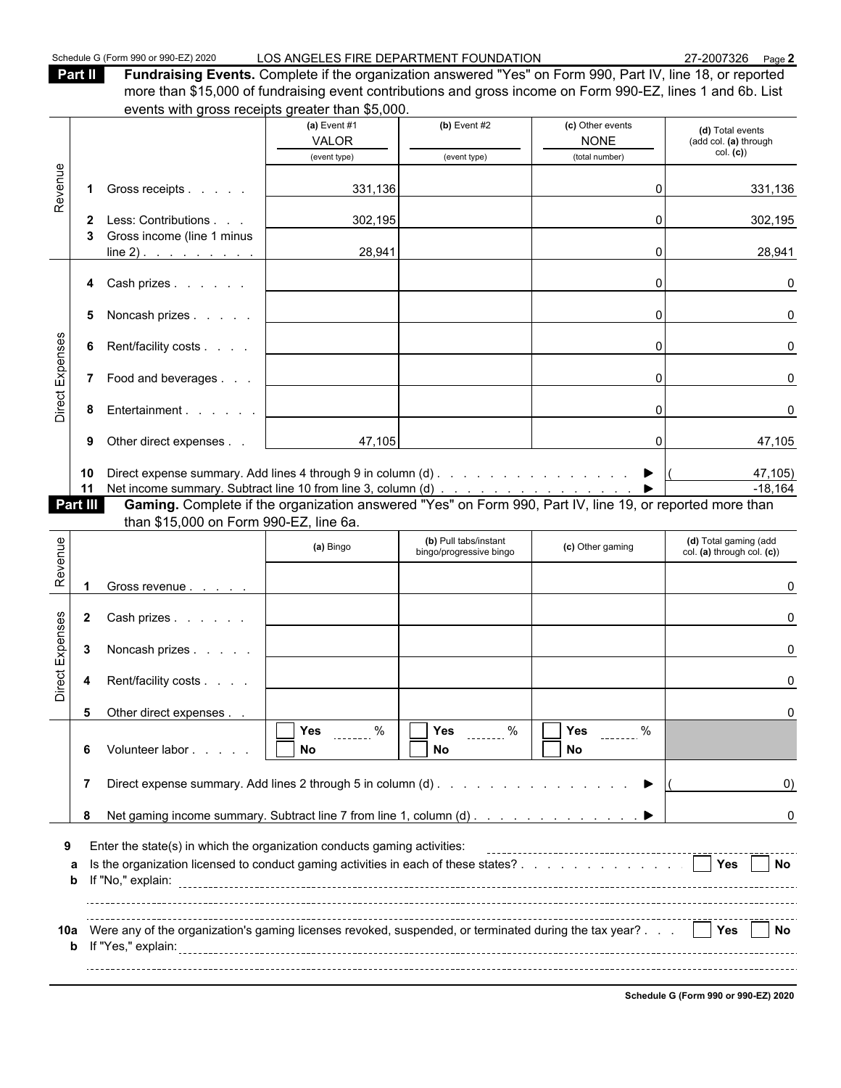Schedule G (Form 990 or 990-EZ) 2020 LOS ANGELES FIRE DEPARTMENT FOUNDATION 27-2007326 Page 2

**Part II Fundraising Events.** Complete if the organization answered "Yes" on Form 990, Part IV, line 18, or reported more than \$15,000 of fundraising event contributions and gross income on Form 990-EZ, lines 1 and 6b. List events with gross receipts greater than \$5,000.

|                 |              |                                                                                                                                                                |                                | ovono with gross roocipts grouter than φο,ουσ.   |                                   |                                                     |
|-----------------|--------------|----------------------------------------------------------------------------------------------------------------------------------------------------------------|--------------------------------|--------------------------------------------------|-----------------------------------|-----------------------------------------------------|
|                 |              |                                                                                                                                                                | (a) Event $#1$                 | $(b)$ Event #2                                   | (c) Other events                  | (d) Total events                                    |
|                 |              |                                                                                                                                                                | <b>VALOR</b><br>(event type)   | (event type)                                     | <b>NONE</b><br>(total number)     | (add col. (a) through<br>col. (c)                   |
|                 |              |                                                                                                                                                                |                                |                                                  |                                   |                                                     |
| Revenue         |              | Gross receipts                                                                                                                                                 | 331,136                        |                                                  | ΩI                                | 331,136                                             |
|                 | 2            | Less: Contributions                                                                                                                                            | 302,195                        |                                                  | 0                                 | 302,195                                             |
|                 |              | Gross income (line 1 minus<br>$line 2)$ .                                                                                                                      | 28,941                         |                                                  | $\Omega$                          | 28,941                                              |
|                 | 4            | Cash prizes                                                                                                                                                    |                                |                                                  | $\Omega$                          | 0                                                   |
|                 | 5            | Noncash prizes                                                                                                                                                 |                                |                                                  | $\Omega$                          | 0                                                   |
|                 | 6            | Rent/facility costs                                                                                                                                            |                                |                                                  | $\overline{0}$                    | 0                                                   |
| Direct Expenses |              | 7 Food and beverages                                                                                                                                           |                                |                                                  | $\Omega$                          | 0                                                   |
|                 | 8            | Entertainment                                                                                                                                                  |                                |                                                  | 0                                 |                                                     |
|                 | 9            | Other direct expenses                                                                                                                                          | 47,105                         |                                                  | οI                                | 47,105                                              |
|                 | 10<br>11     | Direct expense summary. Add lines 4 through 9 in column (d) ▶                                                                                                  |                                |                                                  |                                   | 47,105)<br>$-18,164$                                |
|                 | Part III     |                                                                                                                                                                |                                |                                                  |                                   |                                                     |
|                 |              | than \$15,000 on Form 990-EZ, line 6a.                                                                                                                         |                                |                                                  |                                   |                                                     |
| Revenue         |              |                                                                                                                                                                | (a) Bingo                      | (b) Pull tabs/instant<br>bingo/progressive bingo | (c) Other gaming                  | (d) Total gaming (add<br>col. (a) through col. (c)) |
|                 |              | Gross revenue                                                                                                                                                  |                                |                                                  |                                   |                                                     |
|                 | $\mathbf{2}$ | Cash prizes                                                                                                                                                    |                                |                                                  |                                   |                                                     |
|                 | 3            | Noncash prizes                                                                                                                                                 |                                |                                                  |                                   | U                                                   |
| Direct Expenses | 4            | Rent/facility costs                                                                                                                                            |                                |                                                  |                                   |                                                     |
|                 |              |                                                                                                                                                                |                                |                                                  |                                   |                                                     |
|                 | 5            |                                                                                                                                                                |                                |                                                  |                                   |                                                     |
|                 |              | Other direct expenses                                                                                                                                          | $\sqrt{Y}$ Yes $\frac{1}{2}$ % |                                                  |                                   |                                                     |
|                 | 6            | Volunteer labor                                                                                                                                                | No                             | $\sqrt{Y}$ es  %<br>No                           | $\sqrt{ }$ Yes $\sqrt{ }$ %<br>No |                                                     |
|                 | 7            | Direct expense summary. Add lines 2 through 5 in column (d)                                                                                                    |                                |                                                  |                                   | $\left( 0\right)$                                   |
|                 | 8            |                                                                                                                                                                |                                |                                                  |                                   | 0                                                   |
| 9               |              |                                                                                                                                                                |                                |                                                  |                                   |                                                     |
|                 | a<br>b       | Enter the state(s) in which the organization conducts gaming activities:<br>Is the organization licensed to conduct gaming activities in each of these states? |                                |                                                  |                                   | <b>Yes</b><br>$\blacksquare$ No                     |
|                 |              |                                                                                                                                                                |                                |                                                  |                                   |                                                     |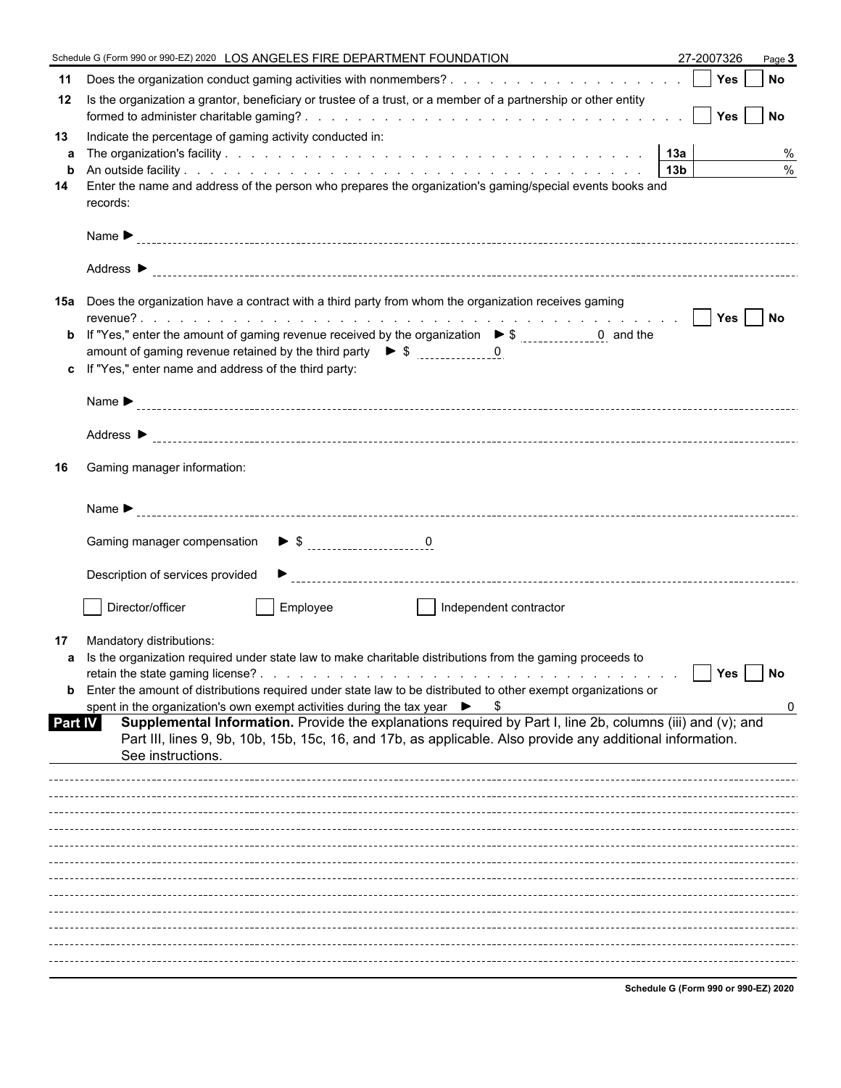|                                                                                                                                                                                                                                                                                                                                                                                                                                                                                                                                                                                                                                                | Page 3    |
|------------------------------------------------------------------------------------------------------------------------------------------------------------------------------------------------------------------------------------------------------------------------------------------------------------------------------------------------------------------------------------------------------------------------------------------------------------------------------------------------------------------------------------------------------------------------------------------------------------------------------------------------|-----------|
| 11                                                                                                                                                                                                                                                                                                                                                                                                                                                                                                                                                                                                                                             |           |
| Is the organization a grantor, beneficiary or trustee of a trust, or a member of a partnership or other entity<br>12.                                                                                                                                                                                                                                                                                                                                                                                                                                                                                                                          |           |
| Indicate the percentage of gaming activity conducted in:<br>13<br>a<br>$\mathbf b$                                                                                                                                                                                                                                                                                                                                                                                                                                                                                                                                                             | %<br>$\%$ |
| Enter the name and address of the person who prepares the organization's gaming/special events books and<br>14<br>records:                                                                                                                                                                                                                                                                                                                                                                                                                                                                                                                     |           |
|                                                                                                                                                                                                                                                                                                                                                                                                                                                                                                                                                                                                                                                |           |
|                                                                                                                                                                                                                                                                                                                                                                                                                                                                                                                                                                                                                                                |           |
| Does the organization have a contract with a third party from whom the organization receives gaming<br>15а<br>amount of gaming revenue retained by the third party $\triangleright$ \$ $\frac{1}{2}$ = $\frac{0}{2}$<br>c If "Yes," enter name and address of the third party:                                                                                                                                                                                                                                                                                                                                                                 |           |
|                                                                                                                                                                                                                                                                                                                                                                                                                                                                                                                                                                                                                                                |           |
|                                                                                                                                                                                                                                                                                                                                                                                                                                                                                                                                                                                                                                                |           |
| Gaming manager information:<br>16                                                                                                                                                                                                                                                                                                                                                                                                                                                                                                                                                                                                              |           |
|                                                                                                                                                                                                                                                                                                                                                                                                                                                                                                                                                                                                                                                |           |
|                                                                                                                                                                                                                                                                                                                                                                                                                                                                                                                                                                                                                                                |           |
| Description of services provided                                                                                                                                                                                                                                                                                                                                                                                                                                                                                                                                                                                                               |           |
| Director/officer<br>Employee<br>Independent contractor                                                                                                                                                                                                                                                                                                                                                                                                                                                                                                                                                                                         |           |
| Mandatory distributions:<br>17<br>a Is the organization required under state law to make charitable distributions from the gaming proceeds to<br>Yes<br><b>b</b> Enter the amount of distributions required under state law to be distributed to other exempt organizations or<br>spent in the organization's own exempt activities during the tax year $\triangleright$ \$<br>Supplemental Information. Provide the explanations required by Part I, line 2b, columns (iii) and (v); and<br><b>Part IV</b><br>Part III, lines 9, 9b, 10b, 15b, 15c, 16, and 17b, as applicable. Also provide any additional information.<br>See instructions. | No        |
|                                                                                                                                                                                                                                                                                                                                                                                                                                                                                                                                                                                                                                                |           |
|                                                                                                                                                                                                                                                                                                                                                                                                                                                                                                                                                                                                                                                |           |
|                                                                                                                                                                                                                                                                                                                                                                                                                                                                                                                                                                                                                                                |           |
|                                                                                                                                                                                                                                                                                                                                                                                                                                                                                                                                                                                                                                                |           |
|                                                                                                                                                                                                                                                                                                                                                                                                                                                                                                                                                                                                                                                |           |
|                                                                                                                                                                                                                                                                                                                                                                                                                                                                                                                                                                                                                                                |           |
|                                                                                                                                                                                                                                                                                                                                                                                                                                                                                                                                                                                                                                                |           |

| Schedule G (Form 990 or 990-EZ) 2020 |  |  |
|--------------------------------------|--|--|
|                                      |  |  |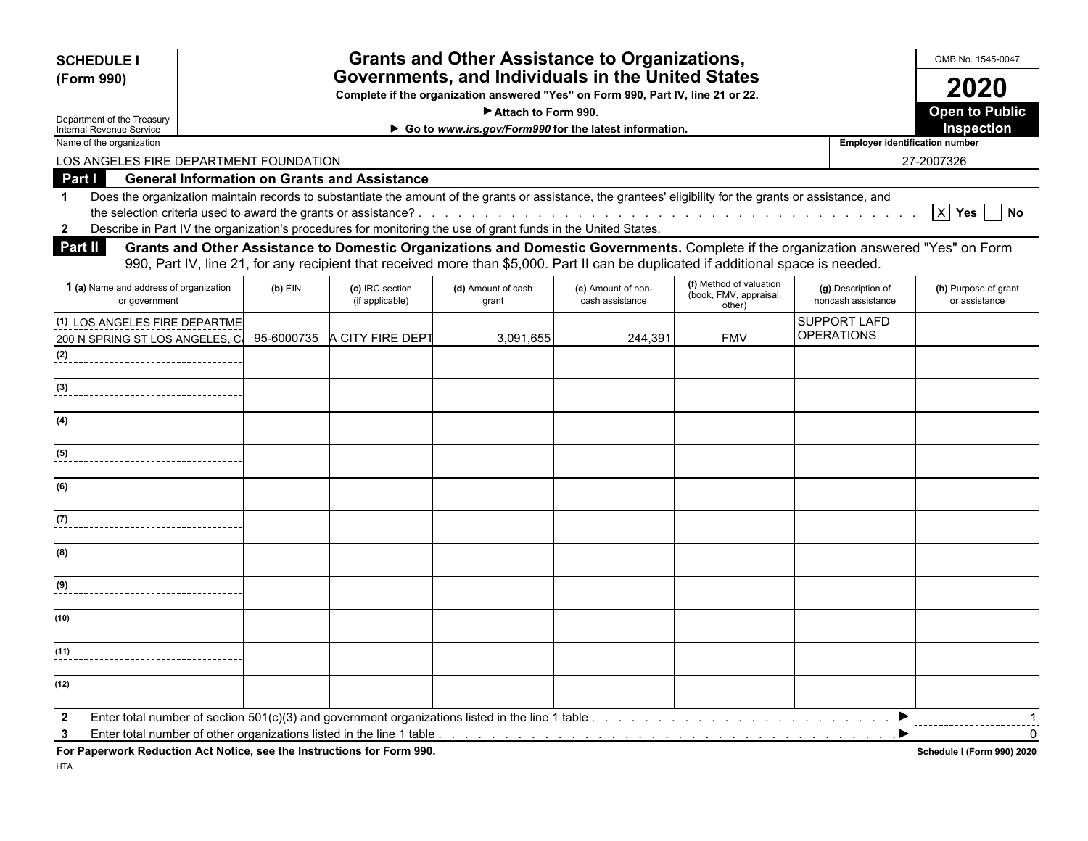| <b>Grants and Other Assistance to Organizations,</b><br><b>SCHEDULE I</b><br>Governments, and Individuals in the United States |  |           |                                                     |                                                                                                               |                                                                                                                                                                                                                                                                           | OMB No. 1545-0047                                           |                                          |                                       |
|--------------------------------------------------------------------------------------------------------------------------------|--|-----------|-----------------------------------------------------|---------------------------------------------------------------------------------------------------------------|---------------------------------------------------------------------------------------------------------------------------------------------------------------------------------------------------------------------------------------------------------------------------|-------------------------------------------------------------|------------------------------------------|---------------------------------------|
| (Form 990)                                                                                                                     |  |           |                                                     |                                                                                                               | Complete if the organization answered "Yes" on Form 990, Part IV, line 21 or 22.                                                                                                                                                                                          |                                                             |                                          | 2020                                  |
|                                                                                                                                |  |           |                                                     | Attach to Form 990.                                                                                           |                                                                                                                                                                                                                                                                           |                                                             |                                          | <b>Open to Public</b>                 |
| Department of the Treasury<br><b>Internal Revenue Service</b>                                                                  |  |           |                                                     |                                                                                                               | Go to www.irs.gov/Form990 for the latest information.                                                                                                                                                                                                                     |                                                             |                                          | Inspection                            |
| Name of the organization                                                                                                       |  |           |                                                     |                                                                                                               |                                                                                                                                                                                                                                                                           |                                                             | <b>Employer identification number</b>    |                                       |
| LOS ANGELES FIRE DEPARTMENT FOUNDATION                                                                                         |  |           |                                                     |                                                                                                               |                                                                                                                                                                                                                                                                           |                                                             |                                          | 27-2007326                            |
| Part I                                                                                                                         |  |           | <b>General Information on Grants and Assistance</b> |                                                                                                               |                                                                                                                                                                                                                                                                           |                                                             |                                          |                                       |
| -1<br>$\mathbf{2}$                                                                                                             |  |           |                                                     | Describe in Part IV the organization's procedures for monitoring the use of grant funds in the United States. | Does the organization maintain records to substantiate the amount of the grants or assistance, the grantees' eligibility for the grants or assistance, and                                                                                                                |                                                             |                                          | $X$ Yes<br><b>No</b>                  |
| Part II                                                                                                                        |  |           |                                                     |                                                                                                               | Grants and Other Assistance to Domestic Organizations and Domestic Governments. Complete if the organization answered "Yes" on Form<br>990, Part IV, line 21, for any recipient that received more than \$5,000. Part II can be duplicated if additional space is needed. |                                                             |                                          |                                       |
| 1 (a) Name and address of organization<br>or government                                                                        |  | $(b)$ EIN | (c) IRC section<br>(if applicable)                  | (d) Amount of cash<br>grant                                                                                   | (e) Amount of non-<br>cash assistance                                                                                                                                                                                                                                     | (f) Method of valuation<br>(book, FMV, appraisal,<br>other) | (g) Description of<br>noncash assistance | (h) Purpose of grant<br>or assistance |
| (1) LOS ANGELES FIRE DEPARTME<br>200 N SPRING ST LOS ANGELES. C.                                                               |  |           | 95-6000735 A CITY FIRE DEPT                         | 3.091.655                                                                                                     | 244.391                                                                                                                                                                                                                                                                   | <b>FMV</b>                                                  | <b>SUPPORT LAFD</b><br><b>OPERATIONS</b> |                                       |
| (2)                                                                                                                            |  |           |                                                     |                                                                                                               |                                                                                                                                                                                                                                                                           |                                                             |                                          |                                       |
| (3)                                                                                                                            |  |           |                                                     |                                                                                                               |                                                                                                                                                                                                                                                                           |                                                             |                                          |                                       |
| (4)                                                                                                                            |  |           |                                                     |                                                                                                               |                                                                                                                                                                                                                                                                           |                                                             |                                          |                                       |
| (5)                                                                                                                            |  |           |                                                     |                                                                                                               |                                                                                                                                                                                                                                                                           |                                                             |                                          |                                       |
| (6)                                                                                                                            |  |           |                                                     |                                                                                                               |                                                                                                                                                                                                                                                                           |                                                             |                                          |                                       |
|                                                                                                                                |  |           |                                                     |                                                                                                               |                                                                                                                                                                                                                                                                           |                                                             |                                          |                                       |
| (8)                                                                                                                            |  |           |                                                     |                                                                                                               |                                                                                                                                                                                                                                                                           |                                                             |                                          |                                       |
| (9)                                                                                                                            |  |           |                                                     |                                                                                                               |                                                                                                                                                                                                                                                                           |                                                             |                                          |                                       |

**2** Enter total number of section 501(c)(3) and government organizations listed in the line 1 table . . . . . . . . . . . . . . . . . . . . . . . . . . . . . . . . . . . . . . . . . . . . 1

**3** Enter total number of other organizations listed in the line 1 table . . . . . . . . . . . . . . . . . . . . . . . . . . . . . . . . . . . . . . . . . . . . . . . . . . . 0

**For Paperwork Reduction Act Notice, see the Instructions for Form 990.** Schedule I (Form 990) 2020

**(12)**

**(11)**

**(10)**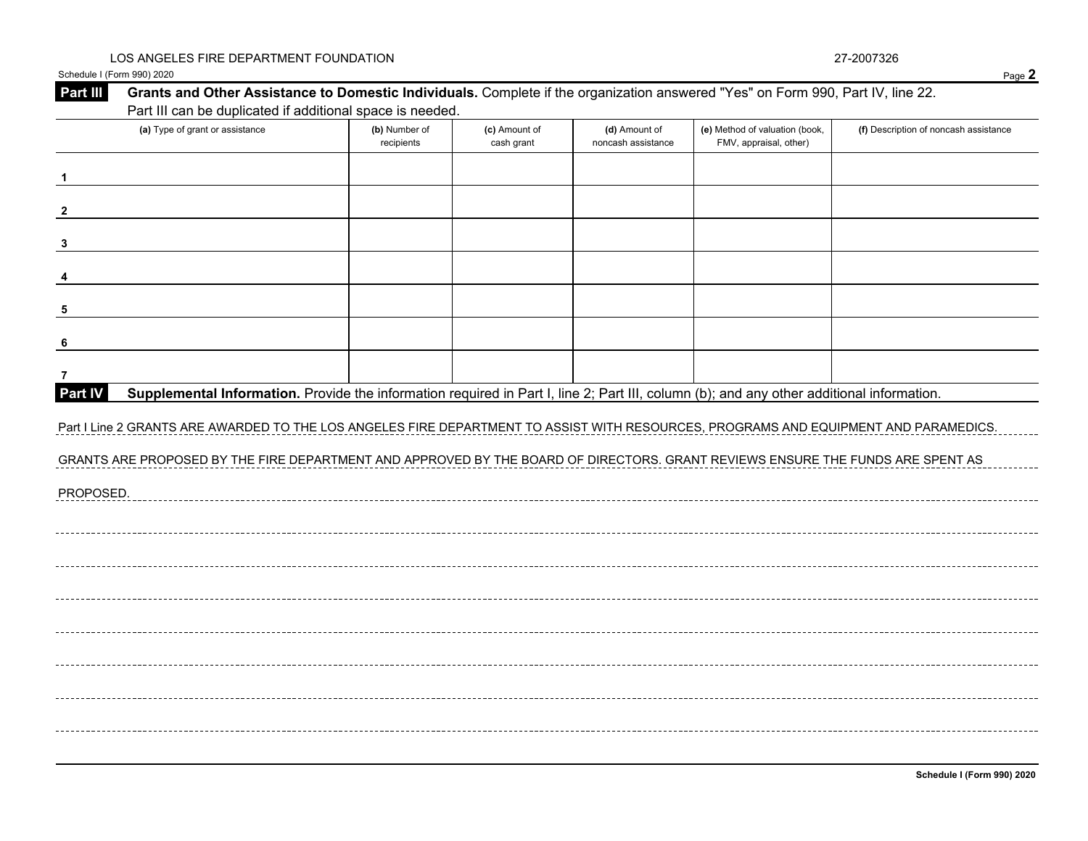|                         | Schedule I (Form 990) 2020                                                                                                                                                                   |                             |                             |                                     |                                                          | Page 2                                |
|-------------------------|----------------------------------------------------------------------------------------------------------------------------------------------------------------------------------------------|-----------------------------|-----------------------------|-------------------------------------|----------------------------------------------------------|---------------------------------------|
| Part III                | Grants and Other Assistance to Domestic Individuals. Complete if the organization answered "Yes" on Form 990, Part IV, line 22.<br>Part III can be duplicated if additional space is needed. |                             |                             |                                     |                                                          |                                       |
|                         | (a) Type of grant or assistance                                                                                                                                                              | (b) Number of<br>recipients | (c) Amount of<br>cash grant | (d) Amount of<br>noncash assistance | (e) Method of valuation (book,<br>FMV, appraisal, other) | (f) Description of noncash assistance |
|                         |                                                                                                                                                                                              |                             |                             |                                     |                                                          |                                       |
| $\overline{\mathbf{2}}$ |                                                                                                                                                                                              |                             |                             |                                     |                                                          |                                       |
| $\overline{\mathbf{3}}$ |                                                                                                                                                                                              |                             |                             |                                     |                                                          |                                       |
| $\overline{\mathbf{4}}$ |                                                                                                                                                                                              |                             |                             |                                     |                                                          |                                       |
| 5                       |                                                                                                                                                                                              |                             |                             |                                     |                                                          |                                       |
| 6                       |                                                                                                                                                                                              |                             |                             |                                     |                                                          |                                       |
| $\overline{7}$          |                                                                                                                                                                                              |                             |                             |                                     |                                                          |                                       |
| Part IV                 | Supplemental Information. Provide the information required in Part I, line 2; Part III, column (b); and any other additional information.                                                    |                             |                             |                                     |                                                          |                                       |
|                         | Part I Line 2 GRANTS ARE AWARDED TO THE LOS ANGELES FIRE DEPARTMENT TO ASSIST WITH RESOURCES, PROGRAMS AND EQUIPMENT AND PARAMEDICS.                                                         |                             |                             |                                     |                                                          |                                       |
|                         | GRANTS ARE PROPOSED BY THE FIRE DEPARTMENT AND APPROVED BY THE BOARD OF DIRECTORS. GRANT REVIEWS ENSURE THE FUNDS ARE SPENT AS                                                               |                             |                             |                                     |                                                          |                                       |
| PROPOSED.               |                                                                                                                                                                                              |                             |                             |                                     |                                                          |                                       |
|                         |                                                                                                                                                                                              |                             |                             |                                     |                                                          |                                       |
|                         |                                                                                                                                                                                              |                             |                             |                                     |                                                          |                                       |
|                         |                                                                                                                                                                                              |                             |                             |                                     |                                                          |                                       |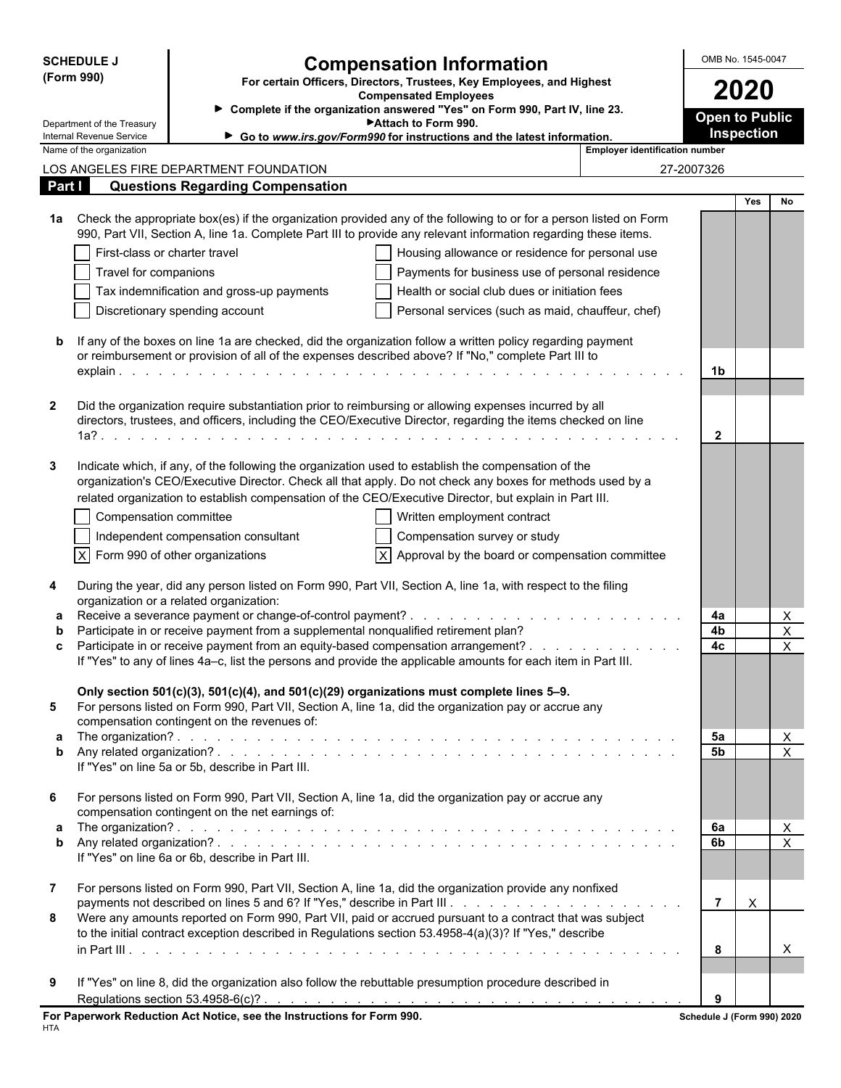| <b>SCHEDULE J</b>          |                                                                                                    | <b>Compensation Information</b>                                                                                                                                                                                                      |                                                                                                       |                            | OMB No. 1545-0047 |                     |  |
|----------------------------|----------------------------------------------------------------------------------------------------|--------------------------------------------------------------------------------------------------------------------------------------------------------------------------------------------------------------------------------------|-------------------------------------------------------------------------------------------------------|----------------------------|-------------------|---------------------|--|
| (Form 990)                 |                                                                                                    | For certain Officers, Directors, Trustees, Key Employees, and Highest<br><b>Compensated Employees</b>                                                                                                                                |                                                                                                       |                            |                   |                     |  |
| Department of the Treasury |                                                                                                    | Attach to Form 990.                                                                                                                                                                                                                  | > Complete if the organization answered "Yes" on Form 990, Part IV, line 23.<br><b>Open to Public</b> |                            |                   |                     |  |
|                            | Internal Revenue Service<br>Go to www.irs.gov/Form990 for instructions and the latest information. |                                                                                                                                                                                                                                      |                                                                                                       |                            |                   |                     |  |
| Name of the organization   |                                                                                                    |                                                                                                                                                                                                                                      | <b>Employer identification number</b>                                                                 |                            |                   |                     |  |
|                            | LOS ANGELES FIRE DEPARTMENT FOUNDATION                                                             |                                                                                                                                                                                                                                      |                                                                                                       | 27-2007326                 |                   |                     |  |
| Part I                     | <b>Questions Regarding Compensation</b>                                                            |                                                                                                                                                                                                                                      |                                                                                                       |                            | <b>Yes</b>        | <b>No</b>           |  |
| 1a                         |                                                                                                    | Check the appropriate box(es) if the organization provided any of the following to or for a person listed on Form<br>990, Part VII, Section A, line 1a. Complete Part III to provide any relevant information regarding these items. |                                                                                                       |                            |                   |                     |  |
|                            | First-class or charter travel                                                                      | Housing allowance or residence for personal use                                                                                                                                                                                      |                                                                                                       |                            |                   |                     |  |
|                            | Travel for companions                                                                              | Payments for business use of personal residence                                                                                                                                                                                      |                                                                                                       |                            |                   |                     |  |
|                            | Tax indemnification and gross-up payments                                                          | Health or social club dues or initiation fees                                                                                                                                                                                        |                                                                                                       |                            |                   |                     |  |
|                            | Discretionary spending account                                                                     | Personal services (such as maid, chauffeur, chef)                                                                                                                                                                                    |                                                                                                       |                            |                   |                     |  |
| b                          |                                                                                                    | If any of the boxes on line 1a are checked, did the organization follow a written policy regarding payment                                                                                                                           |                                                                                                       |                            |                   |                     |  |
|                            |                                                                                                    | or reimbursement or provision of all of the expenses described above? If "No," complete Part III to                                                                                                                                  |                                                                                                       |                            |                   |                     |  |
|                            |                                                                                                    |                                                                                                                                                                                                                                      |                                                                                                       | 1b                         |                   |                     |  |
|                            |                                                                                                    |                                                                                                                                                                                                                                      |                                                                                                       |                            |                   |                     |  |
| $\mathbf{2}$               |                                                                                                    | Did the organization require substantiation prior to reimbursing or allowing expenses incurred by all<br>directors, trustees, and officers, including the CEO/Executive Director, regarding the items checked on line                |                                                                                                       |                            |                   |                     |  |
|                            |                                                                                                    |                                                                                                                                                                                                                                      |                                                                                                       | $\mathbf{2}$               |                   |                     |  |
|                            |                                                                                                    |                                                                                                                                                                                                                                      |                                                                                                       |                            |                   |                     |  |
| 3                          |                                                                                                    | Indicate which, if any, of the following the organization used to establish the compensation of the<br>organization's CEO/Executive Director. Check all that apply. Do not check any boxes for methods used by a                     |                                                                                                       |                            |                   |                     |  |
|                            |                                                                                                    | related organization to establish compensation of the CEO/Executive Director, but explain in Part III.                                                                                                                               |                                                                                                       |                            |                   |                     |  |
|                            | Compensation committee                                                                             | Written employment contract                                                                                                                                                                                                          |                                                                                                       |                            |                   |                     |  |
|                            | Independent compensation consultant                                                                | Compensation survey or study                                                                                                                                                                                                         |                                                                                                       |                            |                   |                     |  |
| $\times$                   | Form 990 of other organizations                                                                    | $\overline{X}$ Approval by the board or compensation committee                                                                                                                                                                       |                                                                                                       |                            |                   |                     |  |
|                            |                                                                                                    |                                                                                                                                                                                                                                      |                                                                                                       |                            |                   |                     |  |
| 4                          | organization or a related organization:                                                            | During the year, did any person listed on Form 990, Part VII, Section A, line 1a, with respect to the filing                                                                                                                         |                                                                                                       |                            |                   |                     |  |
| a                          |                                                                                                    |                                                                                                                                                                                                                                      |                                                                                                       | 4a                         |                   | X                   |  |
| C                          | Participate in or receive payment from a supplemental nonqualified retirement plan?                | Participate in or receive payment from an equity-based compensation arrangement?                                                                                                                                                     |                                                                                                       | 4b<br>4c                   |                   | X<br>$\mathsf X$    |  |
|                            |                                                                                                    | If "Yes" to any of lines 4a-c, list the persons and provide the applicable amounts for each item in Part III.                                                                                                                        |                                                                                                       |                            |                   |                     |  |
|                            |                                                                                                    | Only section 501(c)(3), 501(c)(4), and 501(c)(29) organizations must complete lines 5-9.                                                                                                                                             |                                                                                                       |                            |                   |                     |  |
| 5                          |                                                                                                    | For persons listed on Form 990, Part VII, Section A, line 1a, did the organization pay or accrue any                                                                                                                                 |                                                                                                       |                            |                   |                     |  |
|                            | compensation contingent on the revenues of:                                                        |                                                                                                                                                                                                                                      |                                                                                                       |                            |                   |                     |  |
| b                          |                                                                                                    |                                                                                                                                                                                                                                      |                                                                                                       | 5a<br><b>5b</b>            |                   | X<br>$\pmb{\times}$ |  |
|                            | If "Yes" on line 5a or 5b, describe in Part III.                                                   |                                                                                                                                                                                                                                      |                                                                                                       |                            |                   |                     |  |
|                            |                                                                                                    |                                                                                                                                                                                                                                      |                                                                                                       |                            |                   |                     |  |
| 6                          | compensation contingent on the net earnings of:                                                    | For persons listed on Form 990, Part VII, Section A, line 1a, did the organization pay or accrue any                                                                                                                                 |                                                                                                       |                            |                   |                     |  |
|                            |                                                                                                    |                                                                                                                                                                                                                                      |                                                                                                       | 6а                         |                   | X                   |  |
| b                          |                                                                                                    |                                                                                                                                                                                                                                      |                                                                                                       | 6 <sub>b</sub>             |                   | $\pmb{\times}$      |  |
|                            | If "Yes" on line 6a or 6b, describe in Part III.                                                   |                                                                                                                                                                                                                                      |                                                                                                       |                            |                   |                     |  |
| $\mathbf{7}$               |                                                                                                    | For persons listed on Form 990, Part VII, Section A, line 1a, did the organization provide any nonfixed                                                                                                                              |                                                                                                       |                            |                   |                     |  |
|                            |                                                                                                    |                                                                                                                                                                                                                                      |                                                                                                       | $\overline{7}$             | $\times$          |                     |  |
| 8                          |                                                                                                    | Were any amounts reported on Form 990, Part VII, paid or accrued pursuant to a contract that was subject                                                                                                                             |                                                                                                       |                            |                   |                     |  |
|                            |                                                                                                    | to the initial contract exception described in Regulations section 53.4958-4(a)(3)? If "Yes," describe                                                                                                                               |                                                                                                       |                            |                   |                     |  |
|                            |                                                                                                    |                                                                                                                                                                                                                                      |                                                                                                       | 8                          |                   | X                   |  |
| 9                          |                                                                                                    | If "Yes" on line 8, did the organization also follow the rebuttable presumption procedure described in                                                                                                                               |                                                                                                       |                            |                   |                     |  |
|                            |                                                                                                    |                                                                                                                                                                                                                                      |                                                                                                       | 9                          |                   |                     |  |
|                            | For Paperwork Reduction Act Notice, see the Instructions for Form 990.                             |                                                                                                                                                                                                                                      |                                                                                                       | Schedule J (Form 990) 2020 |                   |                     |  |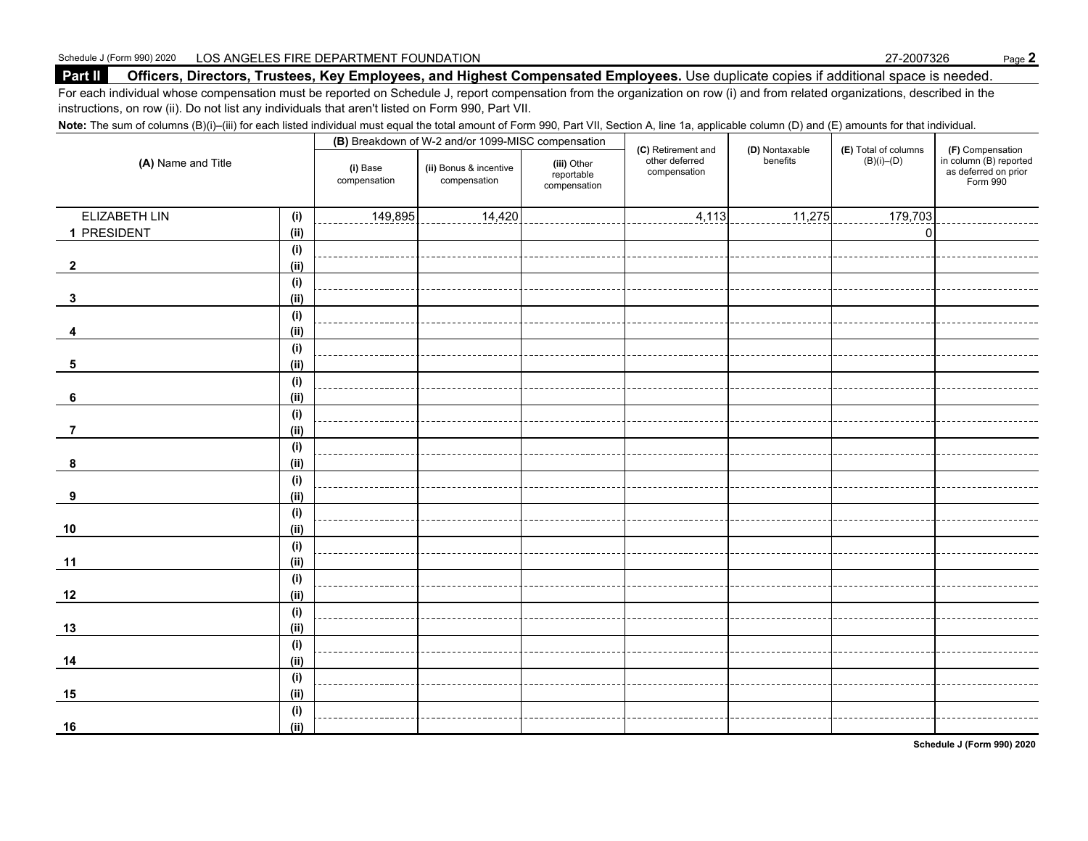Schedule J (Form 990) 2020 LOS ANGELES FIRE DEPARTMENT FOUNDATION 27-2007326 Page **2**

#### **Part II Officers, Directors, Trustees, Key Employees, and Highest Compensated Employees.** Use duplicate copies if additional space is needed.

For each individual whose compensation must be reported on Schedule J, report compensation from the organization on row (i) and from related organizations, described in the instructions, on row (ii). Do not list any individuals that aren't listed on Form 990, Part VII.

Note: The sum of columns (B)(i)–(iii) for each listed individual must equal the total amount of Form 990, Part VII, Section A, line 1a, applicable column (D) and (E) amounts for that individual.

| (A) Name and Title      |             |                          | (B) Breakdown of W-2 and/or 1099-MISC compensation |                                           | (C) Retirement and             | (D) Nontaxable | (E) Total of columns | (F) Compensation<br>in column (B) reported<br>as deferred on prior<br>Form 990 |
|-------------------------|-------------|--------------------------|----------------------------------------------------|-------------------------------------------|--------------------------------|----------------|----------------------|--------------------------------------------------------------------------------|
|                         |             | (i) Base<br>compensation | (ii) Bonus & incentive<br>compensation             | (iii) Other<br>reportable<br>compensation | other deferred<br>compensation | benefits       | $(B)(i)$ – $(D)$     |                                                                                |
| ELIZABETH LIN           | (i)         | 149,895                  | 14,420                                             |                                           | 4,113                          | 11,275         | 179,703              |                                                                                |
| 1 PRESIDENT             | (ii)        |                          |                                                    |                                           |                                |                | $\Omega$             |                                                                                |
|                         | (i)         |                          |                                                    |                                           |                                |                |                      |                                                                                |
| $\overline{\mathbf{2}}$ | (i)         |                          |                                                    |                                           |                                |                |                      |                                                                                |
|                         | (i)         |                          |                                                    |                                           |                                |                |                      |                                                                                |
| 3                       | (ii)        |                          |                                                    |                                           |                                |                |                      |                                                                                |
|                         | (i)         |                          |                                                    |                                           |                                |                |                      |                                                                                |
| 4                       | (ii)        |                          |                                                    |                                           |                                |                |                      |                                                                                |
|                         | (i)         |                          |                                                    |                                           |                                |                |                      |                                                                                |
| 5                       | (ii)        |                          |                                                    |                                           |                                |                |                      |                                                                                |
|                         | (i)         |                          |                                                    |                                           |                                |                |                      |                                                                                |
| 6                       | (i)         |                          |                                                    |                                           |                                |                |                      |                                                                                |
|                         | (i)         |                          |                                                    |                                           |                                |                |                      |                                                                                |
| 7                       | (ii)        |                          |                                                    |                                           |                                |                |                      |                                                                                |
|                         | (i)         |                          |                                                    |                                           |                                |                |                      |                                                                                |
| 8                       | (ii)        |                          |                                                    |                                           |                                |                |                      |                                                                                |
|                         | (i)         |                          |                                                    |                                           |                                |                |                      |                                                                                |
| 9                       | (i)         |                          |                                                    |                                           |                                |                |                      |                                                                                |
|                         | (i)         |                          |                                                    |                                           |                                |                |                      |                                                                                |
| 10                      | (ii)        |                          |                                                    |                                           |                                |                |                      |                                                                                |
|                         | (i)         |                          |                                                    |                                           |                                |                |                      |                                                                                |
| 11                      | (ii)        |                          |                                                    |                                           |                                |                |                      |                                                                                |
|                         | (i)         |                          |                                                    |                                           |                                |                |                      |                                                                                |
| 12                      | (ii)        |                          |                                                    |                                           |                                |                |                      |                                                                                |
|                         | (i)         |                          |                                                    |                                           |                                |                |                      |                                                                                |
| 13                      | (ii)        |                          |                                                    |                                           |                                |                |                      |                                                                                |
|                         | (i)         |                          |                                                    |                                           |                                |                |                      |                                                                                |
| 14                      | (ii)        |                          |                                                    |                                           |                                |                |                      |                                                                                |
|                         | (i)         |                          |                                                    |                                           |                                |                |                      |                                                                                |
| 15                      | (i)         |                          |                                                    |                                           |                                |                |                      |                                                                                |
| 16                      | (i)<br>(ii) |                          |                                                    |                                           |                                |                |                      |                                                                                |

**Schedule J (Form 990) 2020**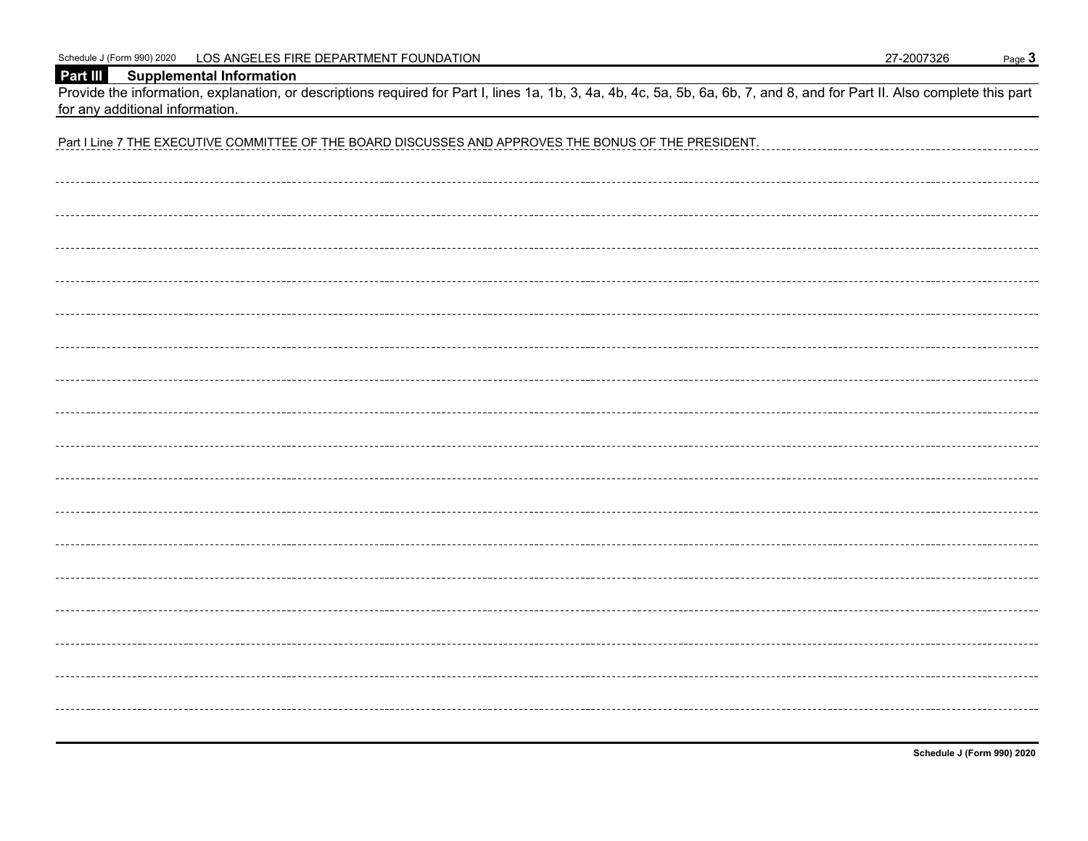Schedule J (Form 990) 2020 LOS ANGELES FIRE DEPARTMENT FOUNDATION 27-2007326 Page 3

#### **Part III Supplemental Information**

Provide the information, explanation, or descriptions required for Part I, lines 1a, 1b, 3, 4a, 4b, 4c, 5a, 5b, 6a, 6b, 7, and 8, and for Part II. Also complete this part for any additional information.

**Schedule J (Form 990) 2020**

| Part I Line 7 THE EXECUTIVE COMMITTEE OF THE BOARD DISCUSSES AND APPROVES THE BONUS OF THE PRESIDENT. |  |  |  |  |  |
|-------------------------------------------------------------------------------------------------------|--|--|--|--|--|
|                                                                                                       |  |  |  |  |  |
|                                                                                                       |  |  |  |  |  |
|                                                                                                       |  |  |  |  |  |
|                                                                                                       |  |  |  |  |  |
|                                                                                                       |  |  |  |  |  |
|                                                                                                       |  |  |  |  |  |
|                                                                                                       |  |  |  |  |  |
|                                                                                                       |  |  |  |  |  |
|                                                                                                       |  |  |  |  |  |
|                                                                                                       |  |  |  |  |  |
|                                                                                                       |  |  |  |  |  |
|                                                                                                       |  |  |  |  |  |
|                                                                                                       |  |  |  |  |  |
|                                                                                                       |  |  |  |  |  |
|                                                                                                       |  |  |  |  |  |
|                                                                                                       |  |  |  |  |  |
|                                                                                                       |  |  |  |  |  |
|                                                                                                       |  |  |  |  |  |
|                                                                                                       |  |  |  |  |  |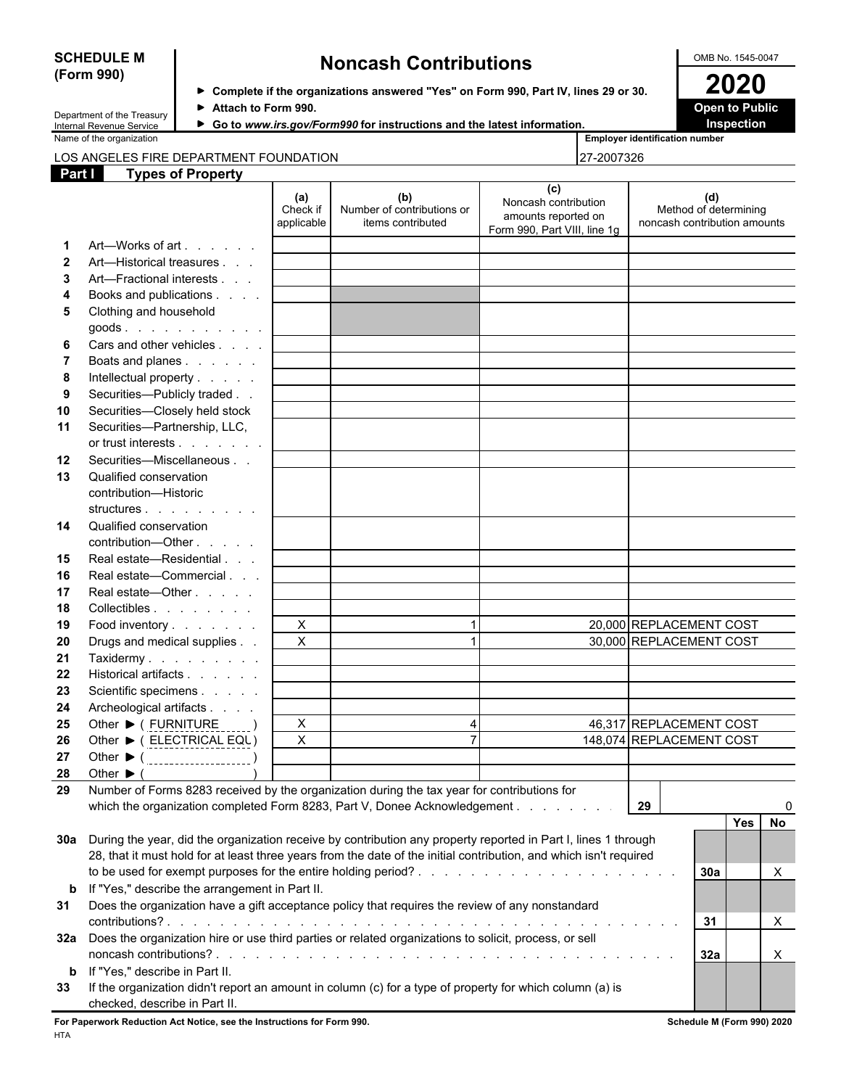## **(Form 990)**

## **SCHEDULE M Noncash Contributions OMB No. 1545-0047**

| Department of the Treasury |
|----------------------------|
| Internal Revenue Service   |

**Complete if the organizations answered "Yes" on Form 990, Part IV, lines 29 or 30. 2020** ▶ Attach to Form 990. **Dependent of Attach to Form 990. Open to Public** 

▶ Go to www.irs.gov/Form990 for instructions and the latest information. **Inspection** 

| Name<br>of the organization | $-$<br>r identification number<br>Emplover |
|-----------------------------|--------------------------------------------|
|                             |                                            |

#### LOS ANGELES FIRE DEPARTMENT FOUNDATION **Part I Types of Property**

| 27-2007326 |  |  |
|------------|--|--|

| ган          | <u>i ypes or Fropery</u>                                                                                                                  |                               |                                                        |                                                                                    |                                                              |
|--------------|-------------------------------------------------------------------------------------------------------------------------------------------|-------------------------------|--------------------------------------------------------|------------------------------------------------------------------------------------|--------------------------------------------------------------|
|              |                                                                                                                                           | (a)<br>Check if<br>applicable | (b)<br>Number of contributions or<br>items contributed | (c)<br>Noncash contribution<br>amounts reported on<br>Form 990, Part VIII, line 1g | (d)<br>Method of determining<br>noncash contribution amounts |
| -1.          | Art—Works of art                                                                                                                          |                               |                                                        |                                                                                    |                                                              |
| $\mathbf{2}$ | Art-Historical treasures                                                                                                                  |                               |                                                        |                                                                                    |                                                              |
| 3            | Art-Fractional interests                                                                                                                  |                               |                                                        |                                                                                    |                                                              |
| 4            | Books and publications                                                                                                                    |                               |                                                        |                                                                                    |                                                              |
| 5            | Clothing and household                                                                                                                    |                               |                                                        |                                                                                    |                                                              |
|              | goods.                                                                                                                                    |                               |                                                        |                                                                                    |                                                              |
| 6            | Cars and other vehicles                                                                                                                   |                               |                                                        |                                                                                    |                                                              |
| 7            | Boats and planes                                                                                                                          |                               |                                                        |                                                                                    |                                                              |
| 8            | Intellectual property                                                                                                                     |                               |                                                        |                                                                                    |                                                              |
| 9            | Securities-Publicly traded                                                                                                                |                               |                                                        |                                                                                    |                                                              |
| 10           | Securities-Closely held stock                                                                                                             |                               |                                                        |                                                                                    |                                                              |
| 11           | Securities-Partnership, LLC,                                                                                                              |                               |                                                        |                                                                                    |                                                              |
|              | or trust interests                                                                                                                        |                               |                                                        |                                                                                    |                                                              |
| 12           | Securities-Miscellaneous                                                                                                                  |                               |                                                        |                                                                                    |                                                              |
| 13           | Qualified conservation                                                                                                                    |                               |                                                        |                                                                                    |                                                              |
|              | contribution-Historic                                                                                                                     |                               |                                                        |                                                                                    |                                                              |
|              | structures                                                                                                                                |                               |                                                        |                                                                                    |                                                              |
| 14           | Qualified conservation                                                                                                                    |                               |                                                        |                                                                                    |                                                              |
|              | contribution-Other                                                                                                                        |                               |                                                        |                                                                                    |                                                              |
| 15           | Real estate-Residential                                                                                                                   |                               |                                                        |                                                                                    |                                                              |
| 16           | Real estate-Commercial                                                                                                                    |                               |                                                        |                                                                                    |                                                              |
| 17           | Real estate-Other                                                                                                                         |                               |                                                        |                                                                                    |                                                              |
| 18           | Collectibles                                                                                                                              |                               |                                                        |                                                                                    |                                                              |
| 19           | Food inventory                                                                                                                            | $\sf X$                       | -1                                                     |                                                                                    | 20,000 REPLACEMENT COST                                      |
| 20           | Drugs and medical supplies                                                                                                                | X                             |                                                        |                                                                                    | 30,000 REPLACEMENT COST                                      |
| 21           | Taxidermy                                                                                                                                 |                               |                                                        |                                                                                    |                                                              |
| 22           | Historical artifacts                                                                                                                      |                               |                                                        |                                                                                    |                                                              |
| 23           | Scientific specimens                                                                                                                      |                               |                                                        |                                                                                    |                                                              |
| 24           | Archeological artifacts                                                                                                                   |                               |                                                        |                                                                                    |                                                              |
| 25           | Other ▶ ( FURNITURE                                                                                                                       | X                             | $\overline{4}$                                         |                                                                                    | 46,317 REPLACEMENT COST                                      |
| 26           | Other ▶ ( ELECTRICAL EQU)                                                                                                                 | X                             | $\overline{7}$                                         |                                                                                    | 148,074 REPLACEMENT COST                                     |
| 27           | Other ▶ ( ___________________)                                                                                                            |                               |                                                        |                                                                                    |                                                              |
| 28           | Other $\blacktriangleright$ (                                                                                                             |                               |                                                        |                                                                                    |                                                              |
| 29           | Number of Forms 8283 received by the organization during the tax year for contributions for                                               |                               |                                                        |                                                                                    |                                                              |
|              | which the organization completed Form 8283, Part V, Donee Acknowledgement                                                                 |                               |                                                        |                                                                                    | 29<br>0                                                      |
|              |                                                                                                                                           |                               |                                                        |                                                                                    | Yes<br><b>No</b>                                             |
| 30a          | During the year, did the organization receive by contribution any property reported in Part I, lines 1 through                            |                               |                                                        |                                                                                    |                                                              |
|              | 28, that it must hold for at least three years from the date of the initial contribution, and which isn't required                        |                               |                                                        |                                                                                    |                                                              |
|              |                                                                                                                                           |                               |                                                        |                                                                                    | 30a<br>X                                                     |
| b            | If "Yes," describe the arrangement in Part II.                                                                                            |                               |                                                        |                                                                                    |                                                              |
| 31           | Does the organization have a gift acceptance policy that requires the review of any nonstandard                                           |                               |                                                        |                                                                                    |                                                              |
|              |                                                                                                                                           |                               |                                                        |                                                                                    |                                                              |
|              |                                                                                                                                           |                               |                                                        |                                                                                    | 31<br>X                                                      |
| 32a          | Does the organization hire or use third parties or related organizations to solicit, process, or sell                                     |                               |                                                        |                                                                                    |                                                              |
|              |                                                                                                                                           |                               |                                                        |                                                                                    | 32a<br>X                                                     |
| b            | If "Yes," describe in Part II.                                                                                                            |                               |                                                        |                                                                                    |                                                              |
| 33           | If the organization didn't report an amount in column (c) for a type of property for which column (a) is<br>checked, describe in Part II. |                               |                                                        |                                                                                    |                                                              |

**For Paperwork Reduction Act Notice, see the Instructions for Form 990. Schedule M (Form 990) 2020** HTA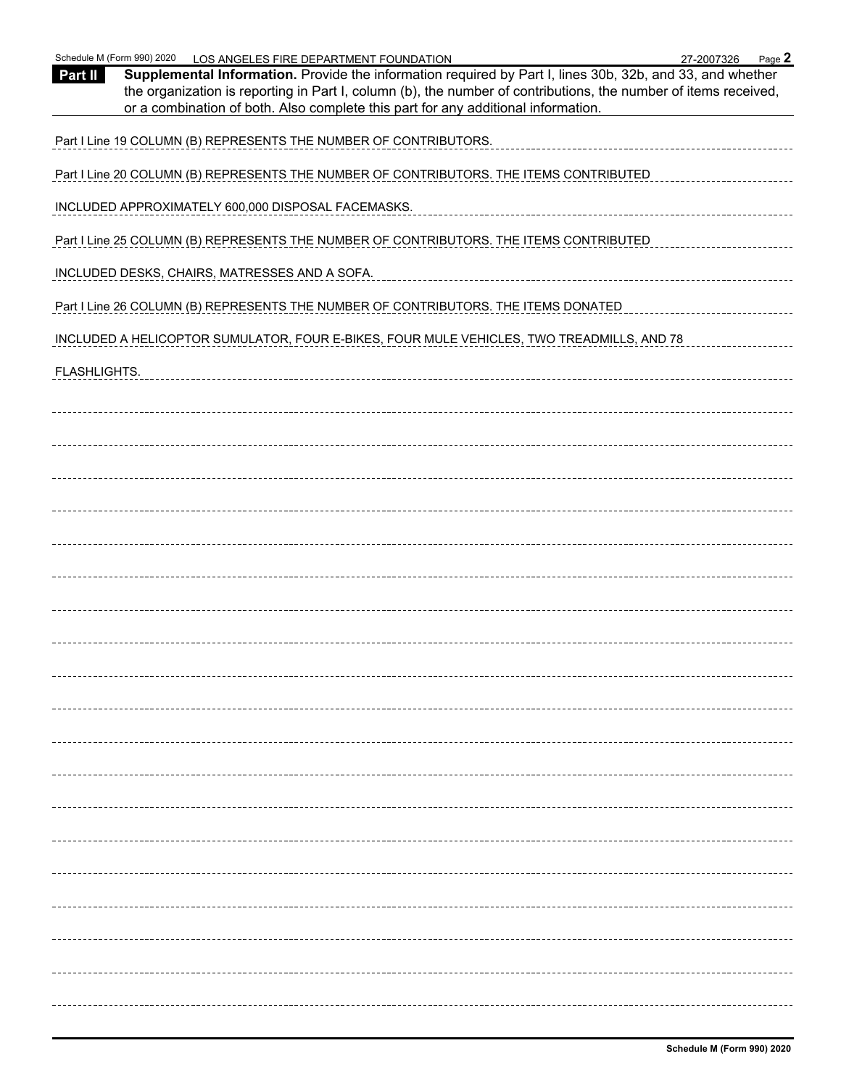| Schedule M (Form 990) 2020<br>LOS ANGELES FIRE DEPARTMENT FOUNDATION<br>Page 2<br>27-2007326<br>Supplemental Information. Provide the information required by Part I, lines 30b, 32b, and 33, and whether<br>Part II<br>the organization is reporting in Part I, column (b), the number of contributions, the number of items received,<br>or a combination of both. Also complete this part for any additional information. |
|------------------------------------------------------------------------------------------------------------------------------------------------------------------------------------------------------------------------------------------------------------------------------------------------------------------------------------------------------------------------------------------------------------------------------|
| Part I Line 19 COLUMN (B) REPRESENTS THE NUMBER OF CONTRIBUTORS.                                                                                                                                                                                                                                                                                                                                                             |
| Part I Line 20 COLUMN (B) REPRESENTS THE NUMBER OF CONTRIBUTORS. THE ITEMS CONTRIBUTED                                                                                                                                                                                                                                                                                                                                       |
| INCLUDED APPROXIMATELY 600,000 DISPOSAL FACEMASKS.                                                                                                                                                                                                                                                                                                                                                                           |
| Part I Line 25 COLUMN (B) REPRESENTS THE NUMBER OF CONTRIBUTORS. THE ITEMS CONTRIBUTED                                                                                                                                                                                                                                                                                                                                       |
| INCLUDED DESKS, CHAIRS, MATRESSES AND A SOFA.                                                                                                                                                                                                                                                                                                                                                                                |
| Part I Line 26 COLUMN (B) REPRESENTS THE NUMBER OF CONTRIBUTORS. THE ITEMS DONATED                                                                                                                                                                                                                                                                                                                                           |
| INCLUDED A HELICOPTOR SUMULATOR, FOUR E-BIKES, FOUR MULE VEHICLES, TWO TREADMILLS, AND 78                                                                                                                                                                                                                                                                                                                                    |
| FLASHLIGHTS.                                                                                                                                                                                                                                                                                                                                                                                                                 |
|                                                                                                                                                                                                                                                                                                                                                                                                                              |
|                                                                                                                                                                                                                                                                                                                                                                                                                              |
|                                                                                                                                                                                                                                                                                                                                                                                                                              |
|                                                                                                                                                                                                                                                                                                                                                                                                                              |
|                                                                                                                                                                                                                                                                                                                                                                                                                              |
|                                                                                                                                                                                                                                                                                                                                                                                                                              |
|                                                                                                                                                                                                                                                                                                                                                                                                                              |
|                                                                                                                                                                                                                                                                                                                                                                                                                              |
|                                                                                                                                                                                                                                                                                                                                                                                                                              |
|                                                                                                                                                                                                                                                                                                                                                                                                                              |
|                                                                                                                                                                                                                                                                                                                                                                                                                              |
|                                                                                                                                                                                                                                                                                                                                                                                                                              |
|                                                                                                                                                                                                                                                                                                                                                                                                                              |
|                                                                                                                                                                                                                                                                                                                                                                                                                              |
|                                                                                                                                                                                                                                                                                                                                                                                                                              |
|                                                                                                                                                                                                                                                                                                                                                                                                                              |
|                                                                                                                                                                                                                                                                                                                                                                                                                              |
|                                                                                                                                                                                                                                                                                                                                                                                                                              |
|                                                                                                                                                                                                                                                                                                                                                                                                                              |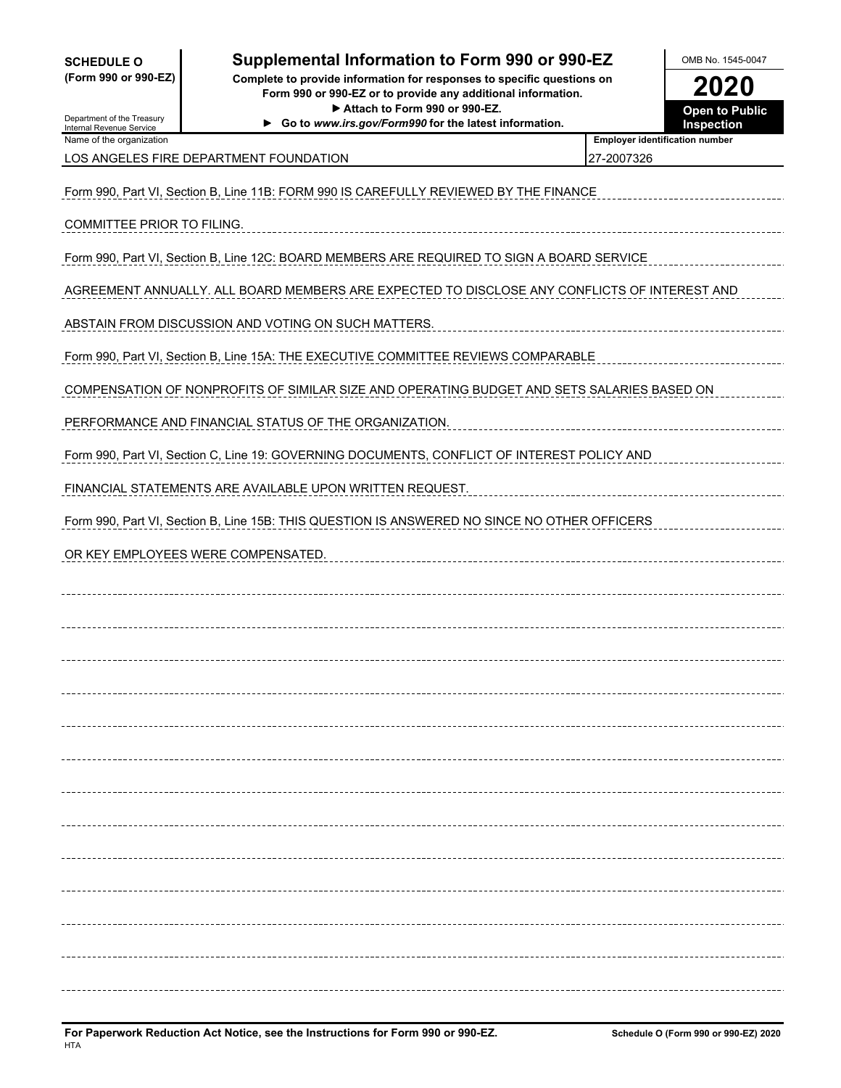| <b>SCHEDULE O</b> |  |                      |
|-------------------|--|----------------------|
|                   |  | (Form 990 or 990-EZ) |

#### **Supplemental Information to Form 990 or 990-EZ** North OMB No. 1545-0047

**(Form 990 or 990-EZ) Complete to provide information for responses to specific questions on Form 990 or 990-EZ or to provide any additional information. 2020** ▶ Attach to Form 990 or 990-EZ. **Open to Public**<br>W.irs.gov/Form990 for the latest information. **Inspection** 

▶ Go to *www.irs.gov/Form990* for the latest information.

| 2020           |
|----------------|
| Onan to Public |

Department of the Treasury Internal Revenue Service

| Name of the organization               | <b>Employer identification number</b> |
|----------------------------------------|---------------------------------------|
| LOS ANGELES FIRE DEPARTMENT FOUNDATION | 127-2007326                           |

| Form 990, Part VI, Section B, Line 11B: FORM 990 IS CAREFULLY REVIEWED BY THE FINANCE        |
|----------------------------------------------------------------------------------------------|
| COMMITTEE PRIOR TO FILING.                                                                   |
| Form 990, Part VI, Section B, Line 12C: BOARD MEMBERS ARE REQUIRED TO SIGN A BOARD SERVICE   |
| AGREEMENT ANNUALLY. ALL BOARD MEMBERS ARE EXPECTED TO DISCLOSE ANY CONFLICTS OF INTEREST AND |
| ABSTAIN FROM DISCUSSION AND VOTING ON SUCH MATTERS.                                          |
| Form 990, Part VI, Section B, Line 15A: THE EXECUTIVE COMMITTEE REVIEWS COMPARABLE           |
| COMPENSATION OF NONPROFITS OF SIMILAR SIZE AND OPERATING BUDGET AND SETS SALARIES BASED ON   |
| PERFORMANCE AND FINANCIAL STATUS OF THE ORGANIZATION.                                        |
| Form 990, Part VI, Section C, Line 19: GOVERNING DOCUMENTS, CONFLICT OF INTEREST POLICY AND  |
| FINANCIAL STATEMENTS ARE AVAILABLE UPON WRITTEN REQUEST.                                     |
| Form 990, Part VI, Section B, Line 15B: THIS QUESTION IS ANSWERED NO SINCE NO OTHER OFFICERS |
| OR KEY EMPLOYEES WERE COMPENSATED.                                                           |
|                                                                                              |
|                                                                                              |
|                                                                                              |
|                                                                                              |
|                                                                                              |
|                                                                                              |
|                                                                                              |
|                                                                                              |
|                                                                                              |
|                                                                                              |
|                                                                                              |
|                                                                                              |
|                                                                                              |